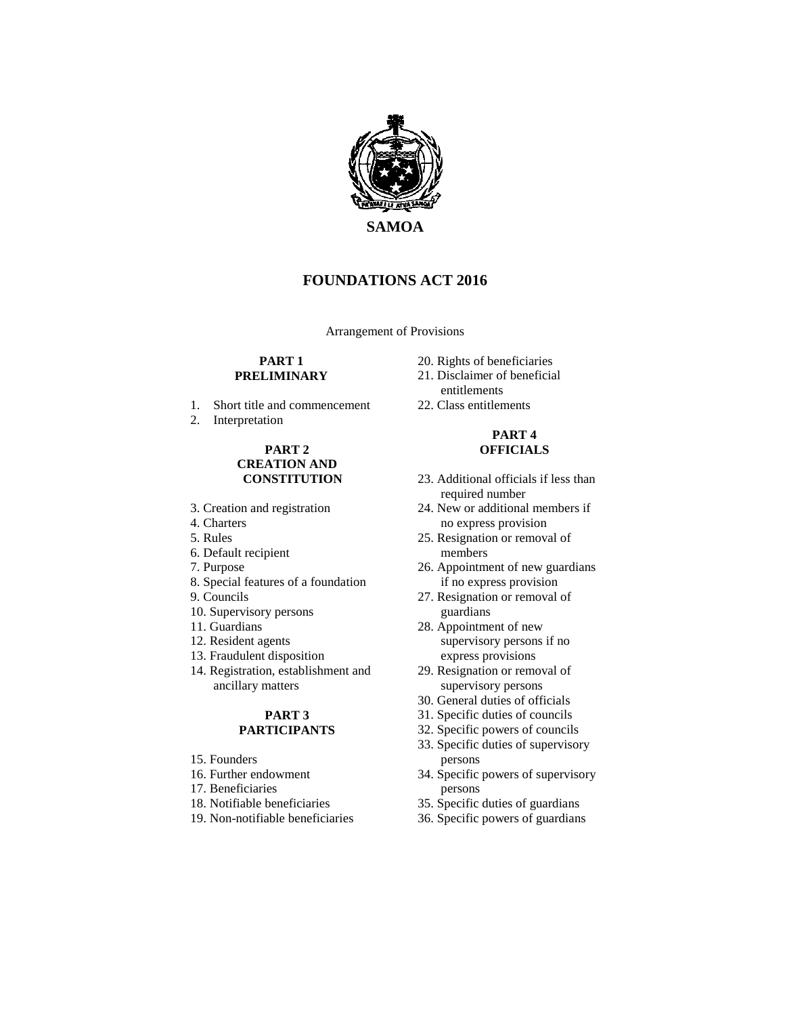

# **FOUNDATIONS ACT 2016**

Arrangement of Provisions

#### **PART 1 PRELIMINARY**

- 1. Short title and commencement
- 2. Interpretation

### **PART 2 CREATION AND CONSTITUTION**

- 3. Creation and registration
- 4. Charters
- 5. Rules
- 6. Default recipient
- 7. Purpose
- 8. Special features of a foundation
- 9. Councils
- 10. Supervisory persons
- 11. Guardians
- 12. Resident agents
- 13. Fraudulent disposition
- 14. Registration, establishment and ancillary matters

### **PART 3 PARTICIPANTS**

- 15. Founders
- 16. Further endowment
- 17. Beneficiaries
- 18. Notifiable beneficiaries
- 19. Non-notifiable beneficiaries
- 20. Rights of beneficiaries
- 21. Disclaimer of beneficial entitlements
- 22. Class entitlements

### **PART 4 OFFICIALS**

- 23. Additional officials if less than required number
- 24. New or additional members if no express provision
- 25. Resignation or removal of members
- 26. Appointment of new guardians if no express provision
- 27. Resignation or removal of guardians
- 28. Appointment of new supervisory persons if no express provisions
- 29. Resignation or removal of supervisory persons
- 30. General duties of officials
- 31. Specific duties of councils
- 32. Specific powers of councils
- 33. Specific duties of supervisory persons
- 34. Specific powers of supervisory persons
- 35. Specific duties of guardians
- 36. Specific powers of guardians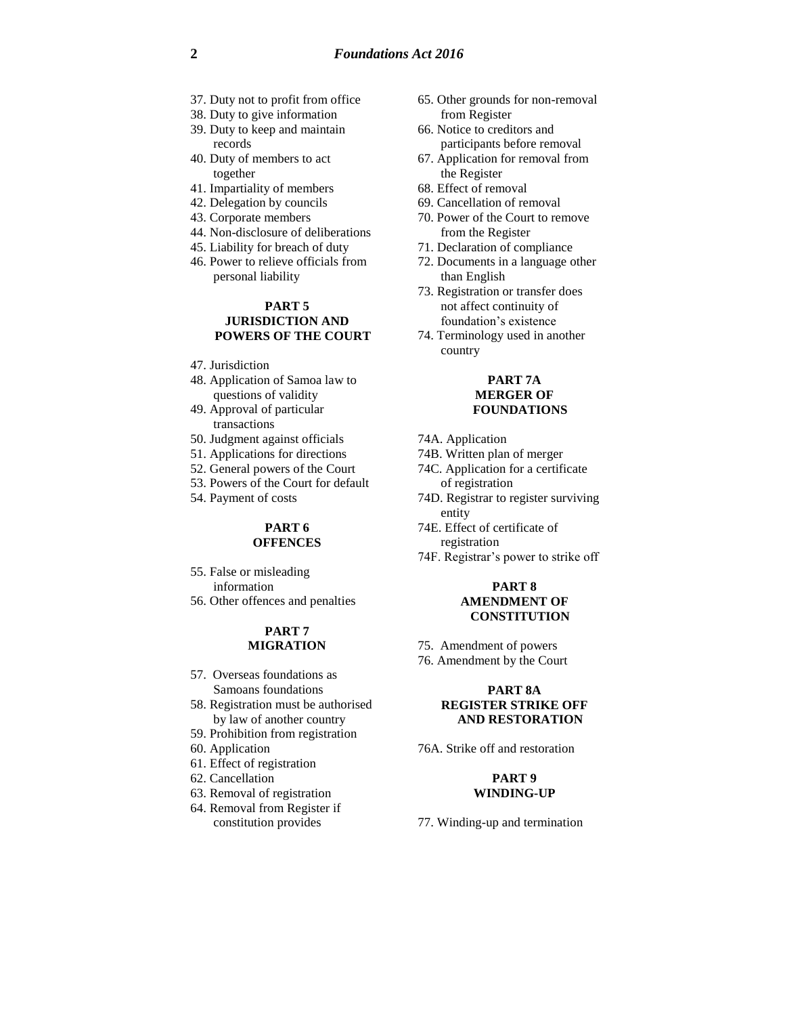- 37. Duty not to profit from office
- 38. Duty to give information
- 39. Duty to keep and maintain records
- 40. Duty of members to act together
- 41. Impartiality of members
- 42. Delegation by councils
- 43. Corporate members
- 44. Non-disclosure of deliberations
- 45. Liability for breach of duty
- 46. Power to relieve officials from personal liability

#### **PART 5 JURISDICTION AND POWERS OF THE COURT**

- 47. Jurisdiction
- 48. Application of Samoa law to questions of validity
- 49. Approval of particular transactions
- 50. Judgment against officials
- 51. Applications for directions
- 52. General powers of the Court
- 53. Powers of the Court for default
- 54. Payment of costs

#### **PART 6 OFFENCES**

- 55. False or misleading information
- 56. Other offences and penalties

### **PART 7 MIGRATION**

- 57. Overseas foundations as Samoans foundations
- 58. Registration must be authorised by law of another country
- 59. Prohibition from registration
- 60. Application
- 61. Effect of registration
- 62. Cancellation
- 63. Removal of registration
- 64. Removal from Register if constitution provides
- 65. Other grounds for non-removal from Register
- 66. Notice to creditors and participants before removal
- 67. Application for removal from the Register
- 68. Effect of removal
- 69. Cancellation of removal
- 70. Power of the Court to remove from the Register
- 71. Declaration of compliance
- 72. Documents in a language other than English
- 73. Registration or transfer does not affect continuity of foundation's existence
- 74. Terminology used in another country

### **PART 7A MERGER OF FOUNDATIONS**

- 74A. Application
- 74B. Written plan of merger
- 74C. Application for a certificate of registration
- 74D. Registrar to register surviving entity
- 74E. Effect of certificate of registration
- 74F. Registrar's power to strike off

#### **PART 8 AMENDMENT OF CONSTITUTION**

- 75. Amendment of powers
- 76. Amendment by the Court

#### **PART 8A REGISTER STRIKE OFF AND RESTORATION**

76A. Strike off and restoration

#### **PART 9 WINDING-UP**

77. Winding-up and termination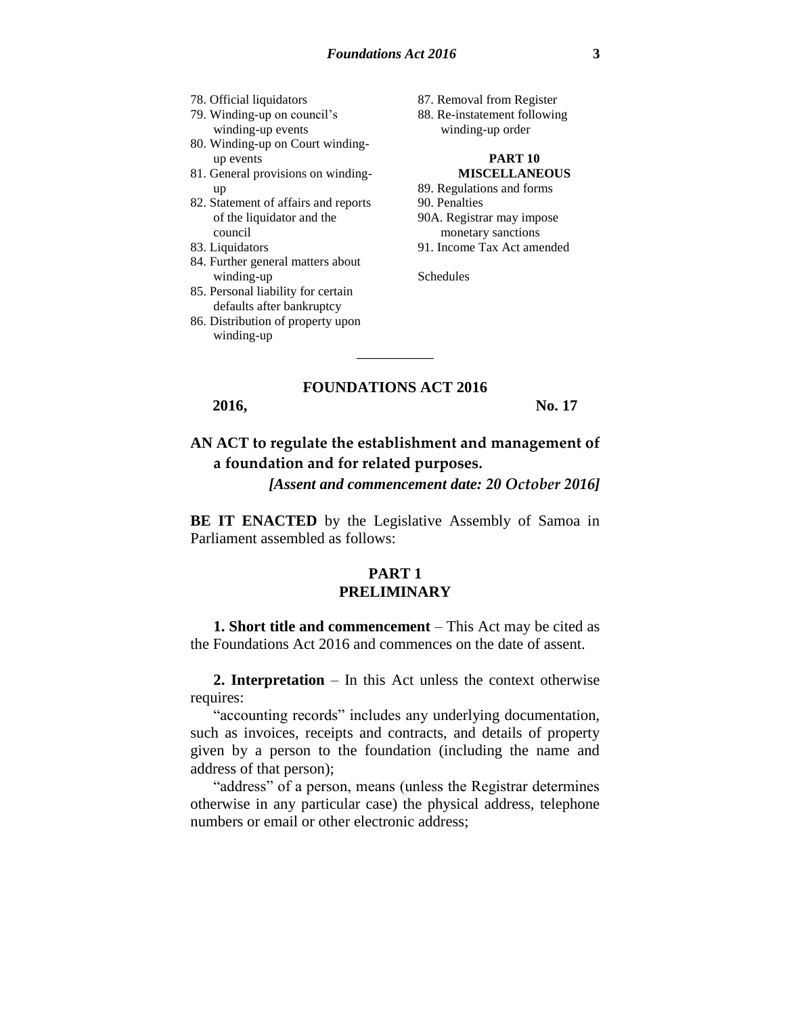- 78. Official liquidators
- 79. Winding-up on council's winding-up events
- 80. Winding-up on Court windingup events
- 81. General provisions on windingup
- 82. Statement of affairs and reports of the liquidator and the council
- 83. Liquidators
- 84. Further general matters about winding-up
- 85. Personal liability for certain defaults after bankruptcy
- 86. Distribution of property upon winding-up
- 87. Removal from Register
- 88. Re-instatement following winding-up order

#### **PART 10 MISCELLANEOUS**

89. Regulations and forms 90. Penalties 90A. Registrar may impose monetary sanctions 91. Income Tax Act amended

Schedules

### **FOUNDATIONS ACT 2016**

\_\_\_\_\_\_\_\_\_\_

**2016, No. 17**

# **AN ACT to regulate the establishment and management of a foundation and for related purposes.**

*[Assent and commencement date: 20 October 2016]*

**BE IT ENACTED** by the Legislative Assembly of Samoa in Parliament assembled as follows:

# **PART 1 PRELIMINARY**

**1. Short title and commencement** – This Act may be cited as the Foundations Act 2016 and commences on the date of assent.

**2. Interpretation** – In this Act unless the context otherwise requires:

"accounting records" includes any underlying documentation, such as invoices, receipts and contracts, and details of property given by a person to the foundation (including the name and address of that person);

"address" of a person, means (unless the Registrar determines otherwise in any particular case) the physical address, telephone numbers or email or other electronic address;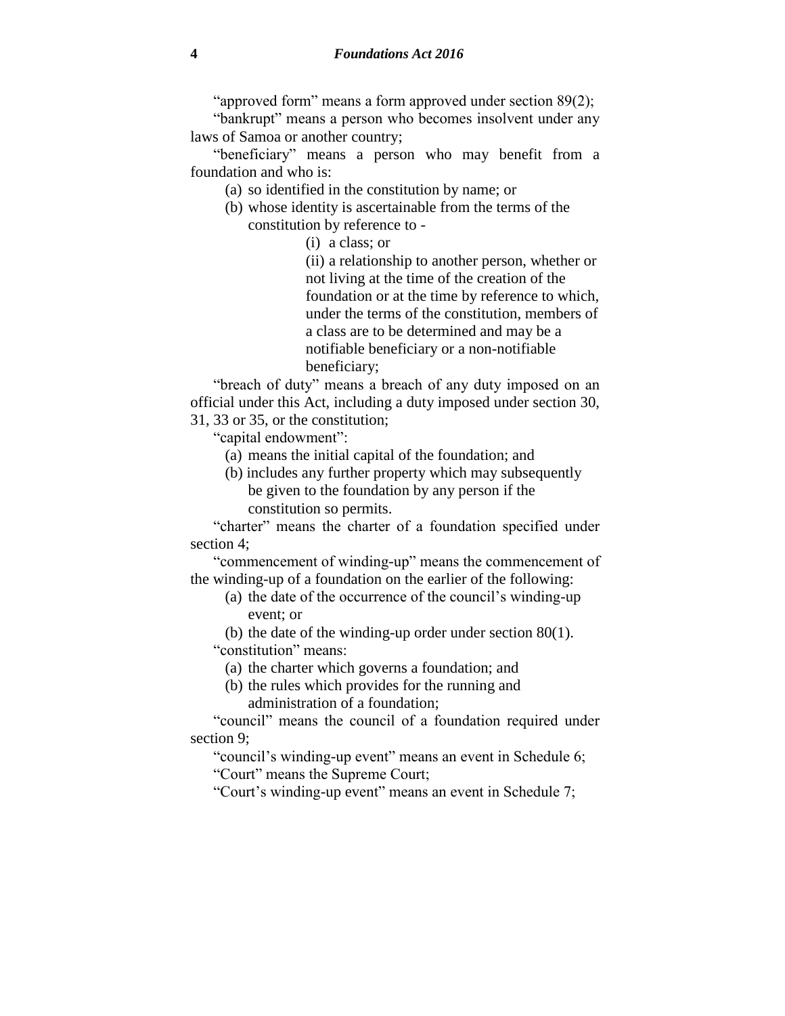"approved form" means a form approved under section 89(2);

"bankrupt" means a person who becomes insolvent under any laws of Samoa or another country;

"beneficiary" means a person who may benefit from a foundation and who is:

(a) so identified in the constitution by name; or

- (b) whose identity is ascertainable from the terms of the constitution by reference to -
	- (i) a class; or

(ii) a relationship to another person, whether or not living at the time of the creation of the foundation or at the time by reference to which, under the terms of the constitution, members of a class are to be determined and may be a notifiable beneficiary or a non-notifiable beneficiary;

"breach of duty" means a breach of any duty imposed on an official under this Act, including a duty imposed under section 30, 31, 33 or 35, or the constitution;

"capital endowment":

(a) means the initial capital of the foundation; and

(b) includes any further property which may subsequently be given to the foundation by any person if the constitution so permits.

"charter" means the charter of a foundation specified under section 4;

"commencement of winding-up" means the commencement of the winding-up of a foundation on the earlier of the following:

(a) the date of the occurrence of the council's winding-up event; or

(b) the date of the winding-up order under section 80(1). "constitution" means:

- (a) the charter which governs a foundation; and
- (b) the rules which provides for the running and administration of a foundation;

"council" means the council of a foundation required under section 9;

"council's winding-up event" means an event in Schedule 6;

"Court" means the Supreme Court;

"Court's winding-up event" means an event in Schedule 7;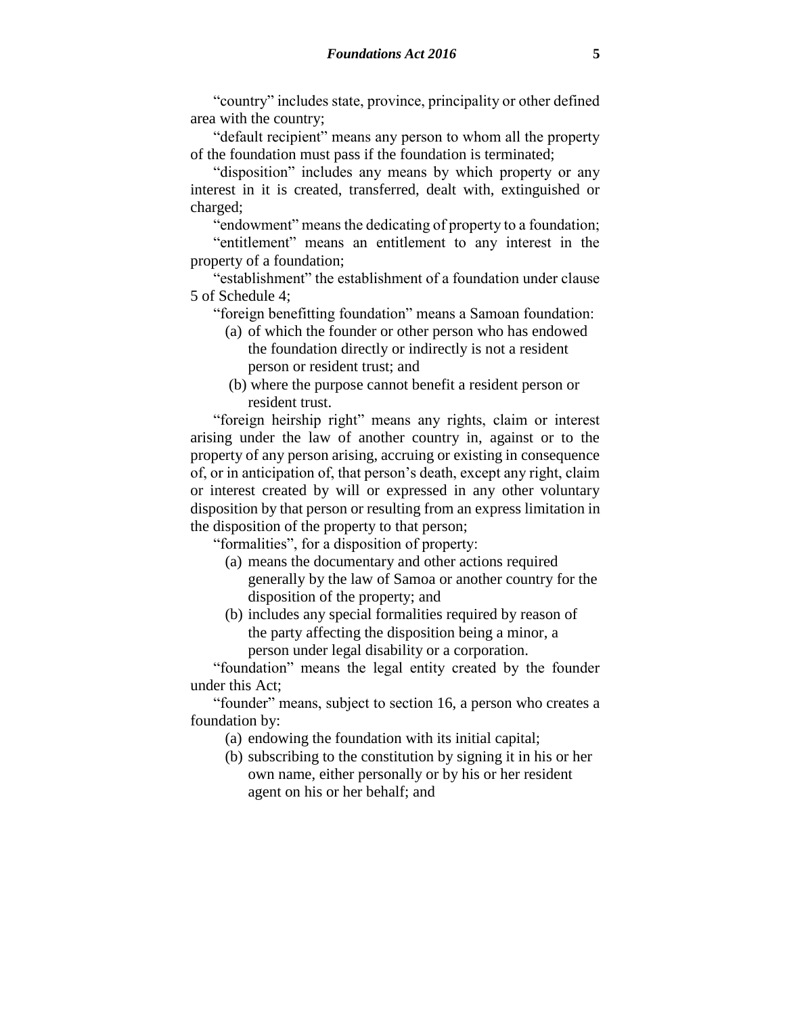"country" includes state, province, principality or other defined area with the country;

"default recipient" means any person to whom all the property of the foundation must pass if the foundation is terminated;

"disposition" includes any means by which property or any interest in it is created, transferred, dealt with, extinguished or charged;

"endowment" means the dedicating of property to a foundation; "entitlement" means an entitlement to any interest in the property of a foundation;

"establishment" the establishment of a foundation under clause 5 of Schedule 4;

"foreign benefitting foundation" means a Samoan foundation:

- (a) of which the founder or other person who has endowed the foundation directly or indirectly is not a resident person or resident trust; and
- (b) where the purpose cannot benefit a resident person or resident trust.

"foreign heirship right" means any rights, claim or interest arising under the law of another country in, against or to the property of any person arising, accruing or existing in consequence of, or in anticipation of, that person's death, except any right, claim or interest created by will or expressed in any other voluntary disposition by that person or resulting from an express limitation in the disposition of the property to that person;

"formalities", for a disposition of property:

- (a) means the documentary and other actions required generally by the law of Samoa or another country for the disposition of the property; and
- (b) includes any special formalities required by reason of the party affecting the disposition being a minor, a person under legal disability or a corporation.

"foundation" means the legal entity created by the founder under this Act;

"founder" means, subject to section 16, a person who creates a foundation by:

- (a) endowing the foundation with its initial capital;
- (b) subscribing to the constitution by signing it in his or her own name, either personally or by his or her resident agent on his or her behalf; and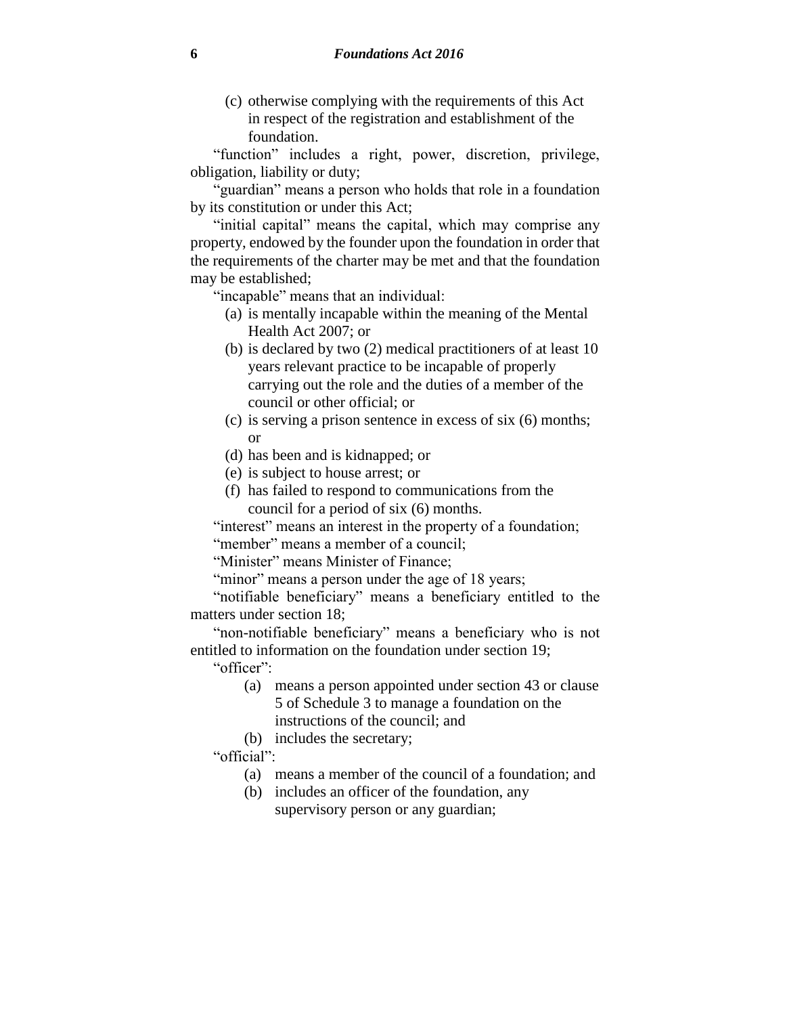(c) otherwise complying with the requirements of this Act in respect of the registration and establishment of the foundation.

"function" includes a right, power, discretion, privilege, obligation, liability or duty;

"guardian" means a person who holds that role in a foundation by its constitution or under this Act;

"initial capital" means the capital, which may comprise any property, endowed by the founder upon the foundation in order that the requirements of the charter may be met and that the foundation may be established;

"incapable" means that an individual:

- (a) is mentally incapable within the meaning of the Mental Health Act 2007; or
- (b) is declared by two (2) medical practitioners of at least 10 years relevant practice to be incapable of properly carrying out the role and the duties of a member of the council or other official; or
- (c) is serving a prison sentence in excess of six (6) months; or
- (d) has been and is kidnapped; or
- (e) is subject to house arrest; or
- (f) has failed to respond to communications from the council for a period of six (6) months.

"interest" means an interest in the property of a foundation; "member" means a member of a council;

"Minister" means Minister of Finance;

"minor" means a person under the age of 18 years;

"notifiable beneficiary" means a beneficiary entitled to the matters under section 18;

"non-notifiable beneficiary" means a beneficiary who is not entitled to information on the foundation under section 19;

"officer":

- (a) means a person appointed under section 43 or clause 5 of Schedule 3 to manage a foundation on the instructions of the council; and
- (b) includes the secretary;

"official":

- (a) means a member of the council of a foundation; and
- (b) includes an officer of the foundation, any supervisory person or any guardian;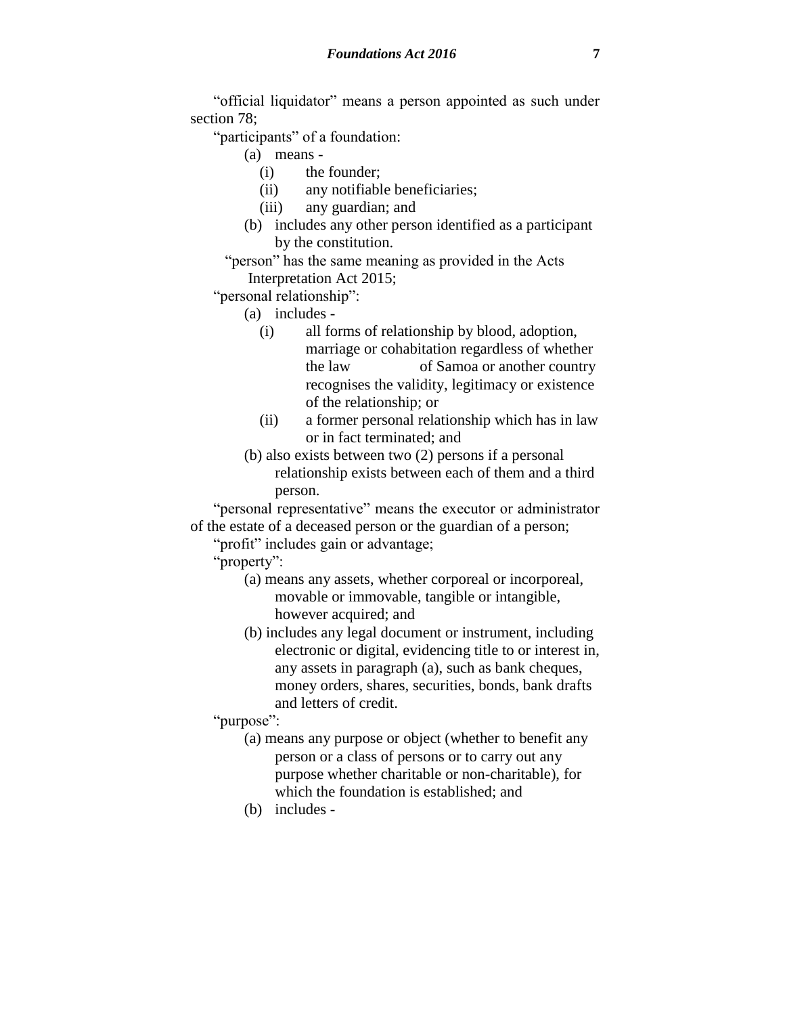"official liquidator" means a person appointed as such under section 78;

"participants" of a foundation:

- (a) means
	- (i) the founder;
	- (ii) any notifiable beneficiaries;
	- (iii) any guardian; and
- (b) includes any other person identified as a participant by the constitution.
- "person" has the same meaning as provided in the Acts Interpretation Act 2015;

"personal relationship":

- (a) includes
	- (i) all forms of relationship by blood, adoption, marriage or cohabitation regardless of whether the law of Samoa or another country recognises the validity, legitimacy or existence of the relationship; or
	- (ii) a former personal relationship which has in law or in fact terminated; and
- (b) also exists between two (2) persons if a personal relationship exists between each of them and a third person.

"personal representative" means the executor or administrator of the estate of a deceased person or the guardian of a person;

"profit" includes gain or advantage;

"property":

- (a) means any assets, whether corporeal or incorporeal, movable or immovable, tangible or intangible, however acquired; and
- (b) includes any legal document or instrument, including electronic or digital, evidencing title to or interest in, any assets in paragraph (a), such as bank cheques, money orders, shares, securities, bonds, bank drafts and letters of credit.

"purpose":

- (a) means any purpose or object (whether to benefit any person or a class of persons or to carry out any purpose whether charitable or non-charitable), for which the foundation is established; and
- (b) includes -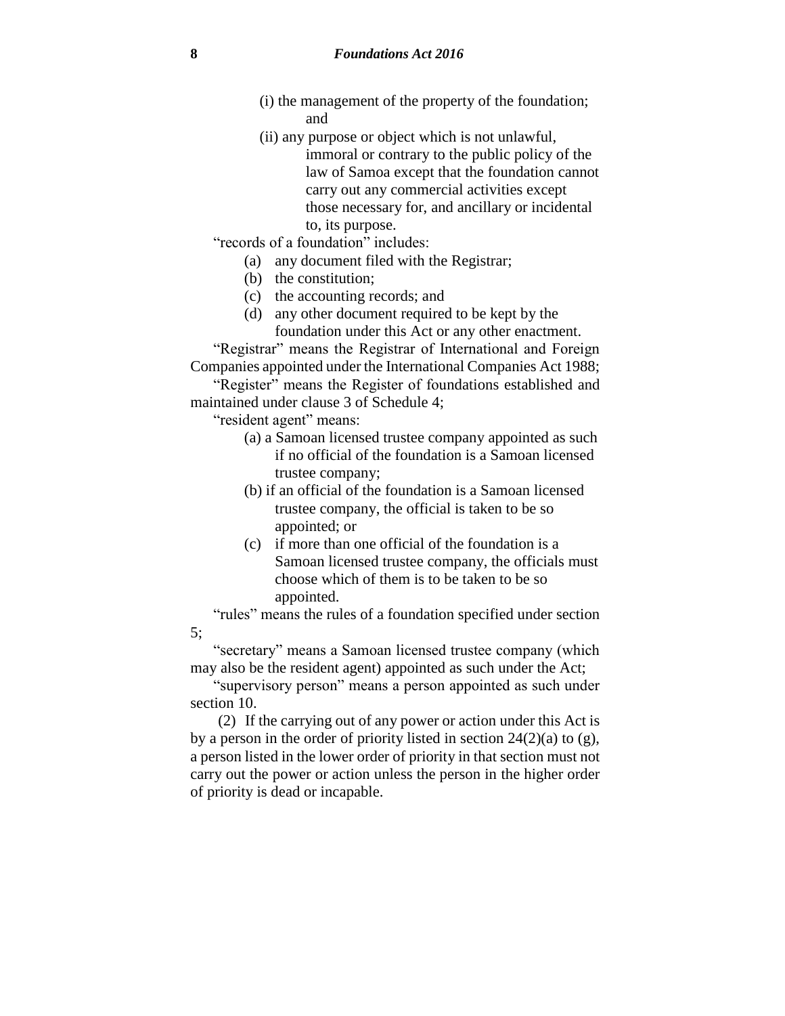- (i) the management of the property of the foundation; and
- (ii) any purpose or object which is not unlawful, immoral or contrary to the public policy of the law of Samoa except that the foundation cannot carry out any commercial activities except those necessary for, and ancillary or incidental to, its purpose.
- "records of a foundation" includes:
	- (a) any document filed with the Registrar;
	- (b) the constitution;
	- (c) the accounting records; and
	- (d) any other document required to be kept by the foundation under this Act or any other enactment.

"Registrar" means the Registrar of International and Foreign Companies appointed under the International Companies Act 1988;

"Register" means the Register of foundations established and maintained under clause 3 of Schedule 4;

"resident agent" means:

- (a) a Samoan licensed trustee company appointed as such if no official of the foundation is a Samoan licensed trustee company;
- (b) if an official of the foundation is a Samoan licensed trustee company, the official is taken to be so appointed; or
- (c) if more than one official of the foundation is a Samoan licensed trustee company, the officials must choose which of them is to be taken to be so appointed.

"rules" means the rules of a foundation specified under section 5;

"secretary" means a Samoan licensed trustee company (which may also be the resident agent) appointed as such under the Act;

"supervisory person" means a person appointed as such under section 10.

(2) If the carrying out of any power or action under this Act is by a person in the order of priority listed in section  $24(2)(a)$  to  $(g)$ , a person listed in the lower order of priority in that section must not carry out the power or action unless the person in the higher order of priority is dead or incapable.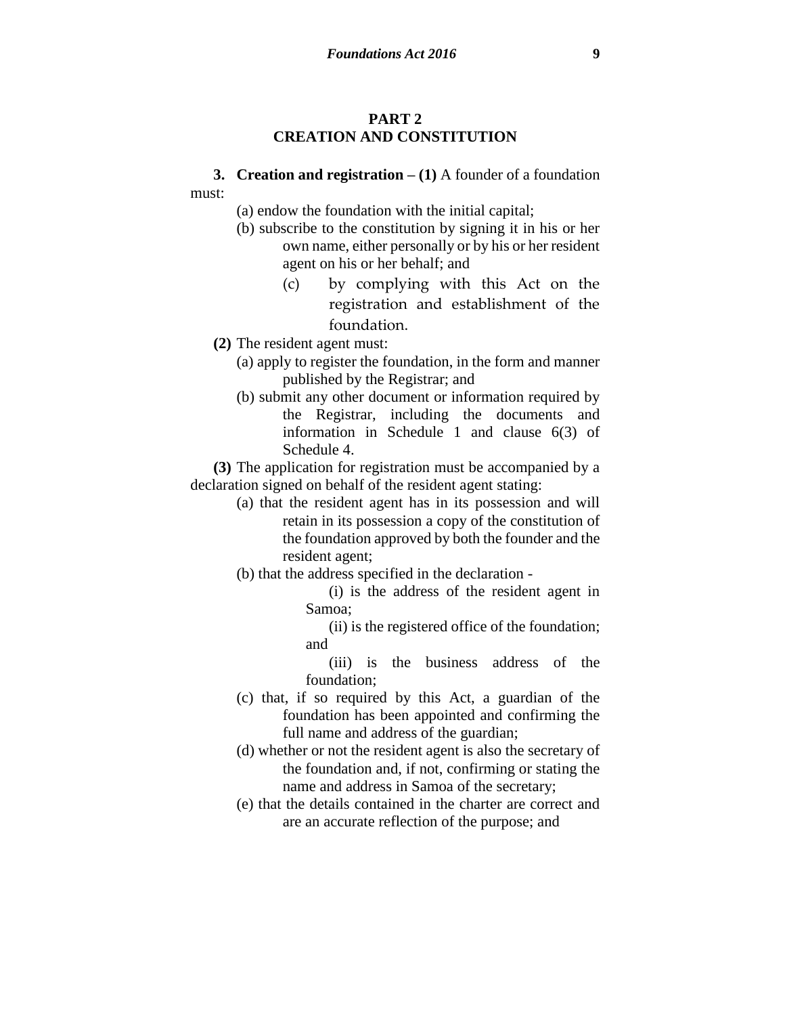# **PART 2 CREATION AND CONSTITUTION**

### **3. Creation and registration – (1)** A founder of a foundation must:

- (a) endow the foundation with the initial capital;
- (b) subscribe to the constitution by signing it in his or her own name, either personally or by his or her resident agent on his or her behalf; and
	- (c) by complying with this Act on the registration and establishment of the foundation.
- **(2)** The resident agent must:
	- (a) apply to register the foundation, in the form and manner published by the Registrar; and
	- (b) submit any other document or information required by the Registrar, including the documents and information in Schedule 1 and clause 6(3) of Schedule 4.

**(3)** The application for registration must be accompanied by a declaration signed on behalf of the resident agent stating:

- (a) that the resident agent has in its possession and will retain in its possession a copy of the constitution of the foundation approved by both the founder and the resident agent;
- (b) that the address specified in the declaration
	- (i) is the address of the resident agent in Samoa;
	- (ii) is the registered office of the foundation; and
	- (iii) is the business address of the foundation;
- (c) that, if so required by this Act, a guardian of the foundation has been appointed and confirming the full name and address of the guardian;
- (d) whether or not the resident agent is also the secretary of the foundation and, if not, confirming or stating the name and address in Samoa of the secretary;
- (e) that the details contained in the charter are correct and are an accurate reflection of the purpose; and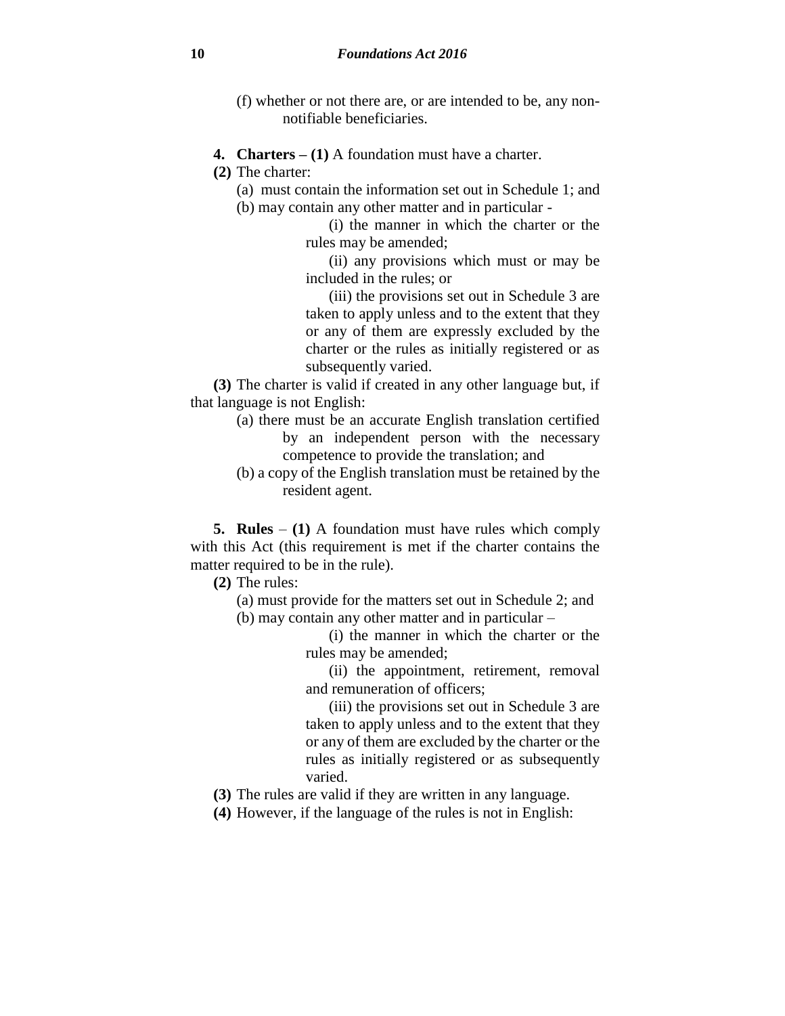- (f) whether or not there are, or are intended to be, any nonnotifiable beneficiaries.
- **4. Charters – (1)** A foundation must have a charter.
- **(2)** The charter:
	- (a) must contain the information set out in Schedule 1; and
	- (b) may contain any other matter and in particular
		- (i) the manner in which the charter or the rules may be amended;

(ii) any provisions which must or may be included in the rules; or

(iii) the provisions set out in Schedule 3 are taken to apply unless and to the extent that they or any of them are expressly excluded by the charter or the rules as initially registered or as subsequently varied.

**(3)** The charter is valid if created in any other language but, if that language is not English:

- (a) there must be an accurate English translation certified by an independent person with the necessary competence to provide the translation; and
- (b) a copy of the English translation must be retained by the resident agent.

**5. Rules** – **(1)** A foundation must have rules which comply with this Act (this requirement is met if the charter contains the matter required to be in the rule).

**(2)** The rules:

(a) must provide for the matters set out in Schedule 2; and (b) may contain any other matter and in particular –

> (i) the manner in which the charter or the rules may be amended;

> (ii) the appointment, retirement, removal and remuneration of officers;

(iii) the provisions set out in Schedule 3 are taken to apply unless and to the extent that they or any of them are excluded by the charter or the rules as initially registered or as subsequently varied.

- **(3)** The rules are valid if they are written in any language.
- **(4)** However, if the language of the rules is not in English: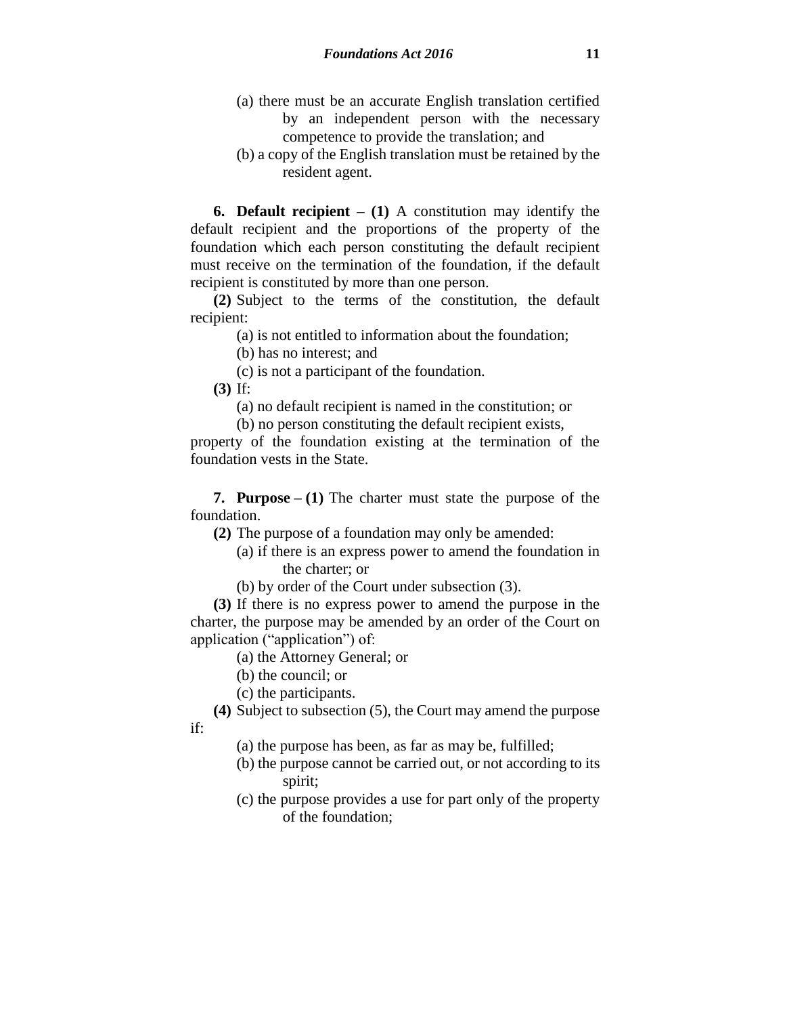- (a) there must be an accurate English translation certified by an independent person with the necessary competence to provide the translation; and
- (b) a copy of the English translation must be retained by the resident agent.

**6. Default recipient – (1)** A constitution may identify the default recipient and the proportions of the property of the foundation which each person constituting the default recipient must receive on the termination of the foundation, if the default recipient is constituted by more than one person.

**(2)** Subject to the terms of the constitution, the default recipient:

(a) is not entitled to information about the foundation;

(b) has no interest; and

(c) is not a participant of the foundation.

**(3)** If:

(a) no default recipient is named in the constitution; or

(b) no person constituting the default recipient exists,

property of the foundation existing at the termination of the foundation vests in the State.

**7. Purpose – (1)** The charter must state the purpose of the foundation.

**(2)** The purpose of a foundation may only be amended:

- (a) if there is an express power to amend the foundation in the charter; or
- (b) by order of the Court under subsection (3).

**(3)** If there is no express power to amend the purpose in the charter, the purpose may be amended by an order of the Court on application ("application") of:

(a) the Attorney General; or

(b) the council; or

(c) the participants.

**(4)** Subject to subsection (5), the Court may amend the purpose if:

(a) the purpose has been, as far as may be, fulfilled;

- (b) the purpose cannot be carried out, or not according to its spirit;
- (c) the purpose provides a use for part only of the property of the foundation;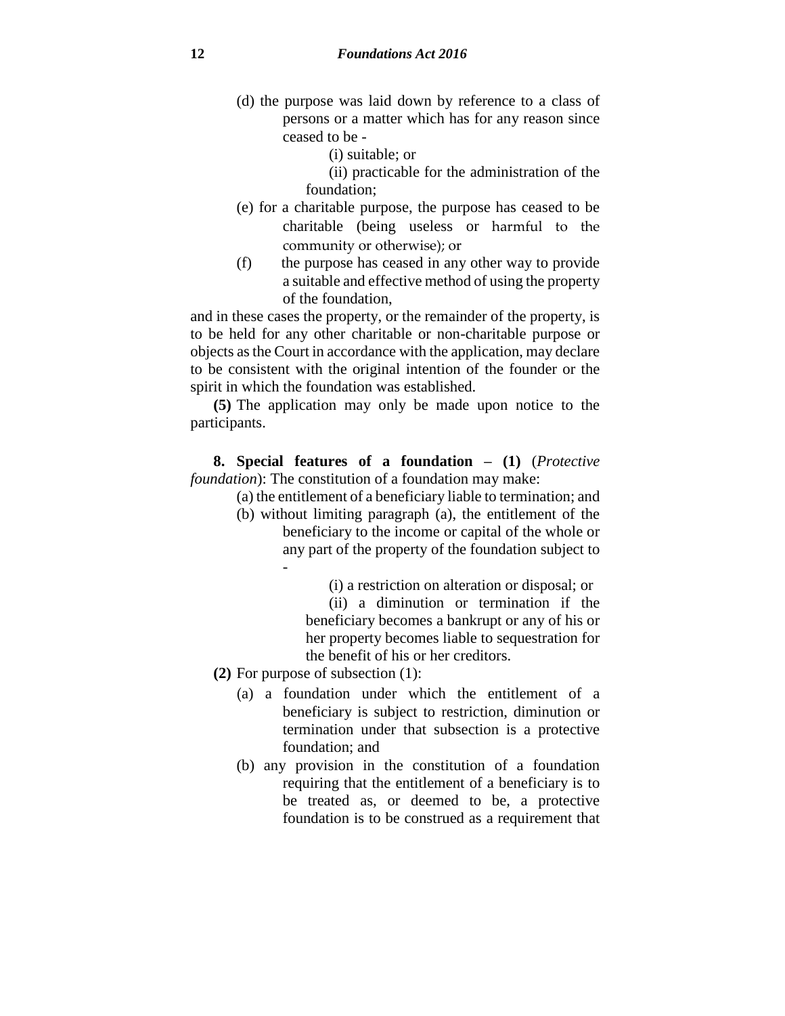(d) the purpose was laid down by reference to a class of persons or a matter which has for any reason since ceased to be -

(i) suitable; or

(ii) practicable for the administration of the foundation;

- (e) for a charitable purpose, the purpose has ceased to be charitable (being useless or harmful to the community or otherwise); or
- (f) the purpose has ceased in any other way to provide a suitable and effective method of using the property of the foundation,

and in these cases the property, or the remainder of the property, is to be held for any other charitable or non-charitable purpose or objects as the Court in accordance with the application, may declare to be consistent with the original intention of the founder or the spirit in which the foundation was established.

**(5)** The application may only be made upon notice to the participants.

**8. Special features of a foundation – (1)** (*Protective foundation*): The constitution of a foundation may make:

(a) the entitlement of a beneficiary liable to termination; and

- (b) without limiting paragraph (a), the entitlement of the beneficiary to the income or capital of the whole or any part of the property of the foundation subject to -
	- (i) a restriction on alteration or disposal; or

(ii) a diminution or termination if the beneficiary becomes a bankrupt or any of his or her property becomes liable to sequestration for the benefit of his or her creditors.

- **(2)** For purpose of subsection (1):
	- (a) a foundation under which the entitlement of a beneficiary is subject to restriction, diminution or termination under that subsection is a protective foundation; and
	- (b) any provision in the constitution of a foundation requiring that the entitlement of a beneficiary is to be treated as, or deemed to be, a protective foundation is to be construed as a requirement that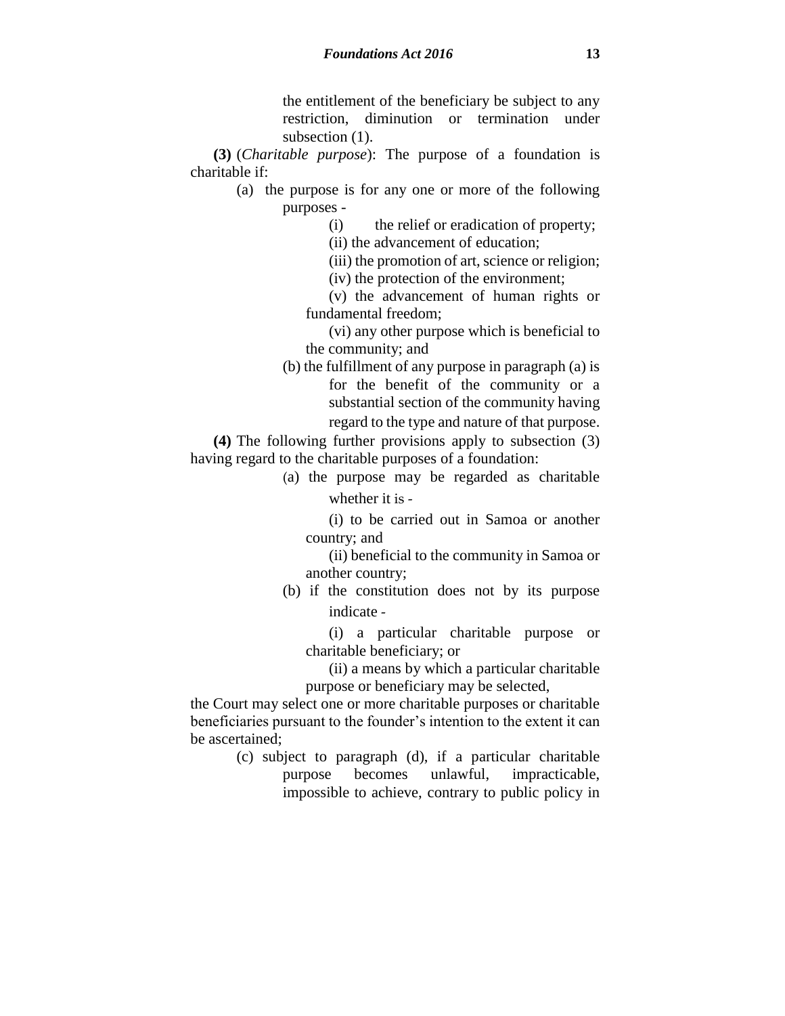the entitlement of the beneficiary be subject to any restriction, diminution or termination under subsection  $(1)$ .

**(3)** (*Charitable purpose*): The purpose of a foundation is charitable if:

- (a) the purpose is for any one or more of the following purposes -
	- (i) the relief or eradication of property;

(ii) the advancement of education;

(iii) the promotion of art, science or religion;

(iv) the protection of the environment;

(v) the advancement of human rights or fundamental freedom;

(vi) any other purpose which is beneficial to the community; and

(b) the fulfillment of any purpose in paragraph (a) is for the benefit of the community or a substantial section of the community having

regard to the type and nature of that purpose.

**(4)** The following further provisions apply to subsection (3) having regard to the charitable purposes of a foundation:

> (a) the purpose may be regarded as charitable whether it is -

(i) to be carried out in Samoa or another country; and

(ii) beneficial to the community in Samoa or another country;

(b) if the constitution does not by its purpose indicate -

(i) a particular charitable purpose or charitable beneficiary; or

(ii) a means by which a particular charitable purpose or beneficiary may be selected,

the Court may select one or more charitable purposes or charitable beneficiaries pursuant to the founder's intention to the extent it can be ascertained;

> (c) subject to paragraph (d), if a particular charitable purpose becomes unlawful, impracticable, impossible to achieve, contrary to public policy in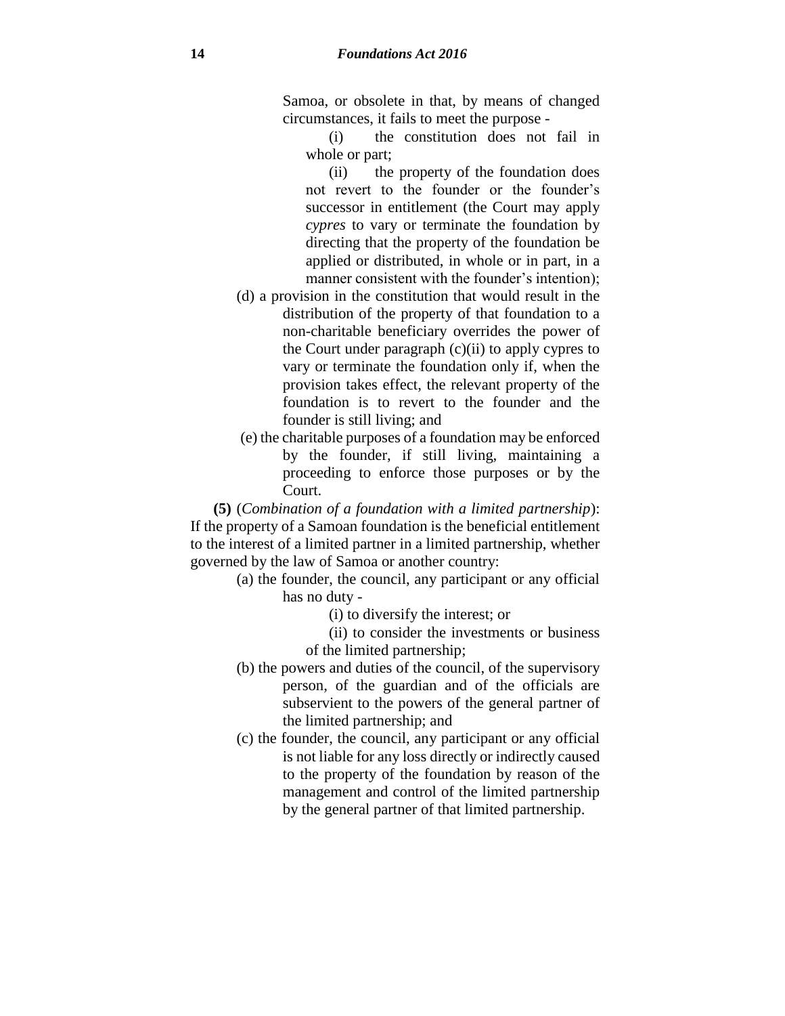Samoa, or obsolete in that, by means of changed circumstances, it fails to meet the purpose -

(i) the constitution does not fail in whole or part;

(ii) the property of the foundation does not revert to the founder or the founder's successor in entitlement (the Court may apply *cypres* to vary or terminate the foundation by directing that the property of the foundation be applied or distributed, in whole or in part, in a manner consistent with the founder's intention);

- (d) a provision in the constitution that would result in the distribution of the property of that foundation to a non-charitable beneficiary overrides the power of the Court under paragraph (c)(ii) to apply cypres to vary or terminate the foundation only if, when the provision takes effect, the relevant property of the foundation is to revert to the founder and the founder is still living; and
- (e) the charitable purposes of a foundation may be enforced by the founder, if still living, maintaining a proceeding to enforce those purposes or by the Court.

**(5)** (*Combination of a foundation with a limited partnership*): If the property of a Samoan foundation is the beneficial entitlement to the interest of a limited partner in a limited partnership, whether governed by the law of Samoa or another country:

- (a) the founder, the council, any participant or any official has no duty -
	- (i) to diversify the interest; or
	- (ii) to consider the investments or business of the limited partnership;
- (b) the powers and duties of the council, of the supervisory person, of the guardian and of the officials are subservient to the powers of the general partner of the limited partnership; and
- (c) the founder, the council, any participant or any official is not liable for any loss directly or indirectly caused to the property of the foundation by reason of the management and control of the limited partnership by the general partner of that limited partnership.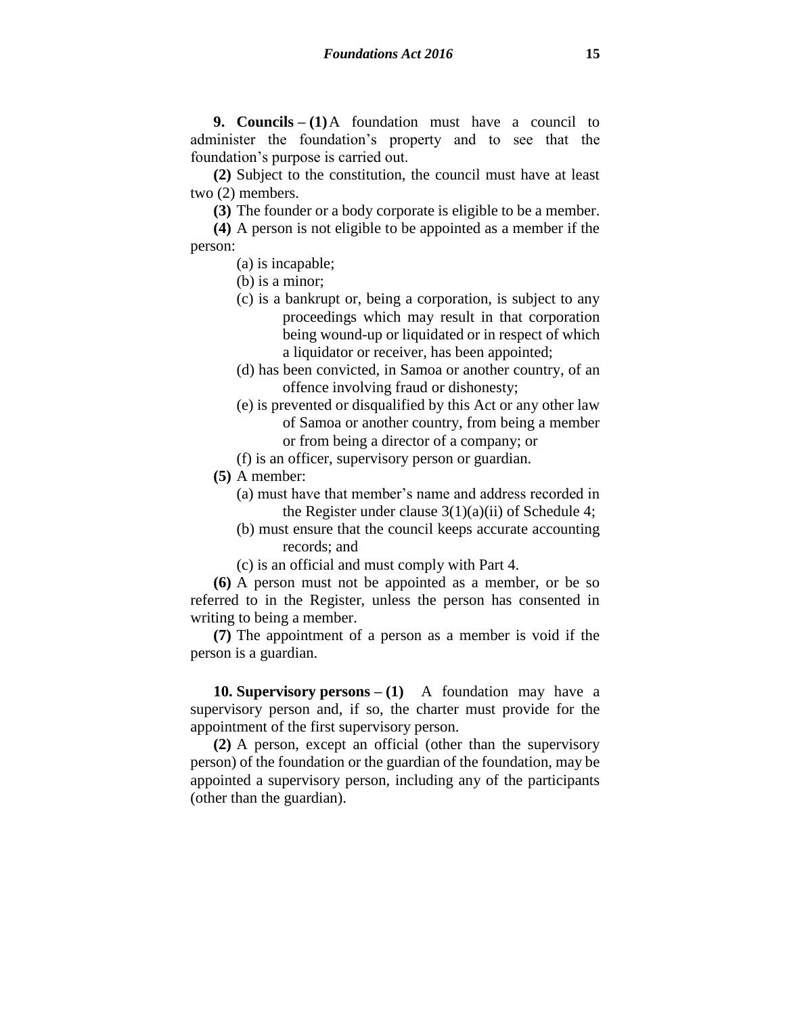**9. Councils – (1)**A foundation must have a council to administer the foundation's property and to see that the foundation's purpose is carried out.

**(2)** Subject to the constitution, the council must have at least two (2) members.

**(3)** The founder or a body corporate is eligible to be a member.

**(4)** A person is not eligible to be appointed as a member if the person:

- (a) is incapable;
- (b) is a minor;
- (c) is a bankrupt or, being a corporation, is subject to any proceedings which may result in that corporation being wound-up or liquidated or in respect of which a liquidator or receiver, has been appointed;
- (d) has been convicted, in Samoa or another country, of an offence involving fraud or dishonesty;
- (e) is prevented or disqualified by this Act or any other law of Samoa or another country, from being a member or from being a director of a company; or
- (f) is an officer, supervisory person or guardian.
- **(5)** A member:
	- (a) must have that member's name and address recorded in the Register under clause  $3(1)(a)(ii)$  of Schedule 4;
	- (b) must ensure that the council keeps accurate accounting records; and
	- (c) is an official and must comply with Part 4.

**(6)** A person must not be appointed as a member, or be so referred to in the Register, unless the person has consented in writing to being a member.

**(7)** The appointment of a person as a member is void if the person is a guardian.

**10. Supervisory persons – (1)** A foundation may have a supervisory person and, if so, the charter must provide for the appointment of the first supervisory person.

**(2)** A person, except an official (other than the supervisory person) of the foundation or the guardian of the foundation, may be appointed a supervisory person, including any of the participants (other than the guardian).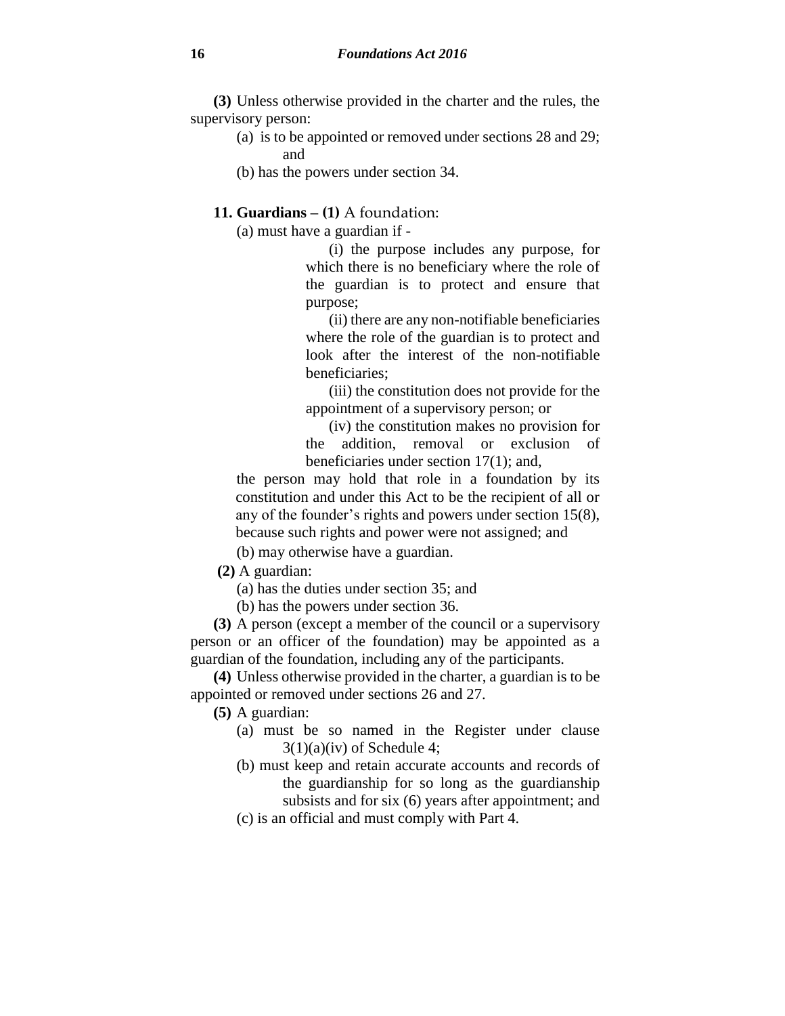**(3)** Unless otherwise provided in the charter and the rules, the supervisory person:

- (a) is to be appointed or removed under sections 28 and 29; and
- (b) has the powers under section 34.

# **11. Guardians – (1)** A foundation:

(a) must have a guardian if -

(i) the purpose includes any purpose, for which there is no beneficiary where the role of the guardian is to protect and ensure that purpose;

(ii) there are any non-notifiable beneficiaries where the role of the guardian is to protect and look after the interest of the non-notifiable beneficiaries;

(iii) the constitution does not provide for the appointment of a supervisory person; or

(iv) the constitution makes no provision for the addition, removal or exclusion of beneficiaries under section 17(1); and,

the person may hold that role in a foundation by its constitution and under this Act to be the recipient of all or any of the founder's rights and powers under section 15(8), because such rights and power were not assigned; and

(b) may otherwise have a guardian.

**(2)** A guardian:

(a) has the duties under section 35; and

(b) has the powers under section 36.

**(3)** A person (except a member of the council or a supervisory person or an officer of the foundation) may be appointed as a guardian of the foundation, including any of the participants.

**(4)** Unless otherwise provided in the charter, a guardian is to be appointed or removed under sections 26 and 27.

**(5)** A guardian:

- (a) must be so named in the Register under clause  $3(1)(a)(iv)$  of Schedule 4;
- (b) must keep and retain accurate accounts and records of the guardianship for so long as the guardianship subsists and for six (6) years after appointment; and
- (c) is an official and must comply with Part 4.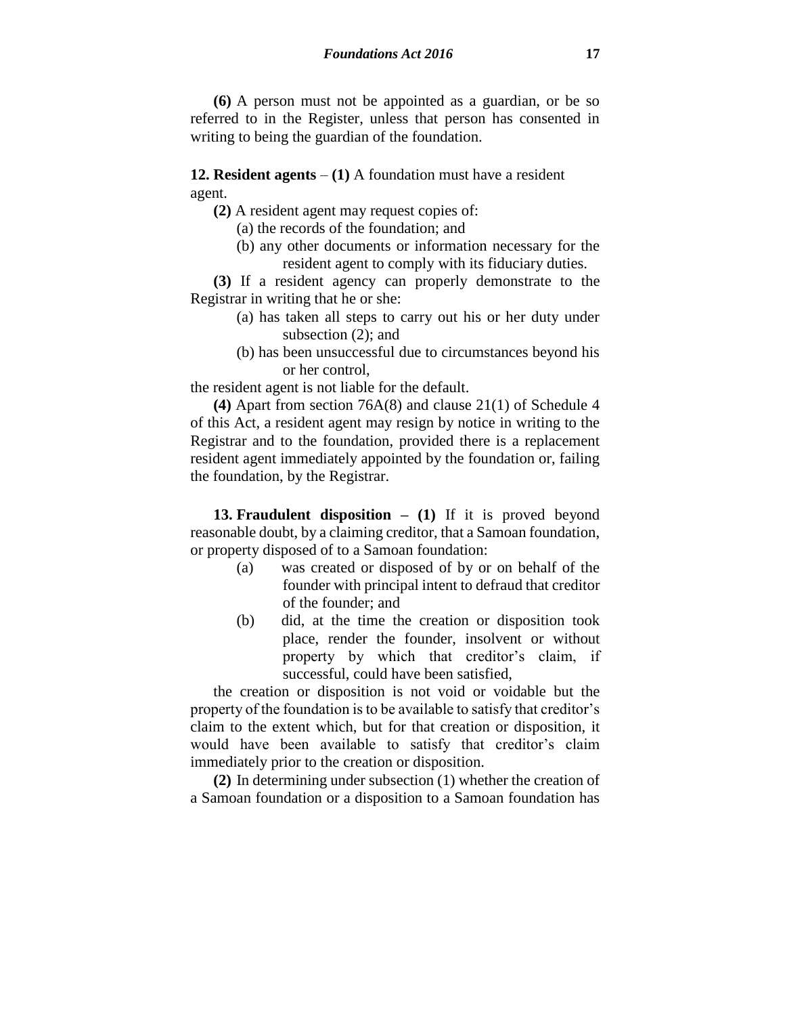**(6)** A person must not be appointed as a guardian, or be so referred to in the Register, unless that person has consented in writing to being the guardian of the foundation.

**12. Resident agents** – **(1)** A foundation must have a resident agent.

**(2)** A resident agent may request copies of:

(a) the records of the foundation; and

(b) any other documents or information necessary for the resident agent to comply with its fiduciary duties.

**(3)** If a resident agency can properly demonstrate to the Registrar in writing that he or she:

- (a) has taken all steps to carry out his or her duty under subsection (2); and
- (b) has been unsuccessful due to circumstances beyond his or her control,

the resident agent is not liable for the default.

**(4)** Apart from section 76A(8) and clause 21(1) of Schedule 4 of this Act, a resident agent may resign by notice in writing to the Registrar and to the foundation, provided there is a replacement resident agent immediately appointed by the foundation or, failing the foundation, by the Registrar.

**13. Fraudulent disposition – (1)** If it is proved beyond reasonable doubt, by a claiming creditor, that a Samoan foundation, or property disposed of to a Samoan foundation:

- (a) was created or disposed of by or on behalf of the founder with principal intent to defraud that creditor of the founder; and
- (b) did, at the time the creation or disposition took place, render the founder, insolvent or without property by which that creditor's claim, if successful, could have been satisfied,

the creation or disposition is not void or voidable but the property of the foundation is to be available to satisfy that creditor's claim to the extent which, but for that creation or disposition, it would have been available to satisfy that creditor's claim immediately prior to the creation or disposition.

**(2)** In determining under subsection (1) whether the creation of a Samoan foundation or a disposition to a Samoan foundation has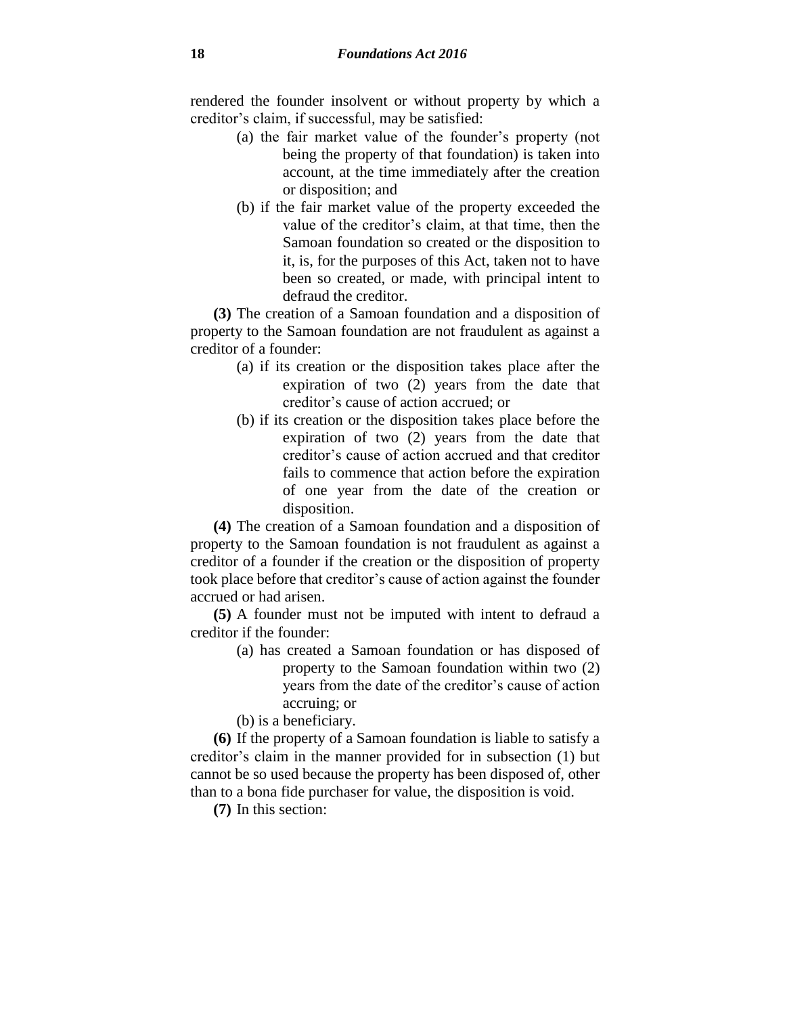rendered the founder insolvent or without property by which a creditor's claim, if successful, may be satisfied:

- (a) the fair market value of the founder's property (not being the property of that foundation) is taken into account, at the time immediately after the creation or disposition; and
- (b) if the fair market value of the property exceeded the value of the creditor's claim, at that time, then the Samoan foundation so created or the disposition to it, is, for the purposes of this Act, taken not to have been so created, or made, with principal intent to defraud the creditor.

**(3)** The creation of a Samoan foundation and a disposition of property to the Samoan foundation are not fraudulent as against a creditor of a founder:

- (a) if its creation or the disposition takes place after the expiration of two (2) years from the date that creditor's cause of action accrued; or
- (b) if its creation or the disposition takes place before the expiration of two (2) years from the date that creditor's cause of action accrued and that creditor fails to commence that action before the expiration of one year from the date of the creation or disposition.

**(4)** The creation of a Samoan foundation and a disposition of property to the Samoan foundation is not fraudulent as against a creditor of a founder if the creation or the disposition of property took place before that creditor's cause of action against the founder accrued or had arisen.

**(5)** A founder must not be imputed with intent to defraud a creditor if the founder:

> (a) has created a Samoan foundation or has disposed of property to the Samoan foundation within two (2) years from the date of the creditor's cause of action accruing; or

(b) is a beneficiary.

**(6)** If the property of a Samoan foundation is liable to satisfy a creditor's claim in the manner provided for in subsection (1) but cannot be so used because the property has been disposed of, other than to a bona fide purchaser for value, the disposition is void.

**(7)** In this section: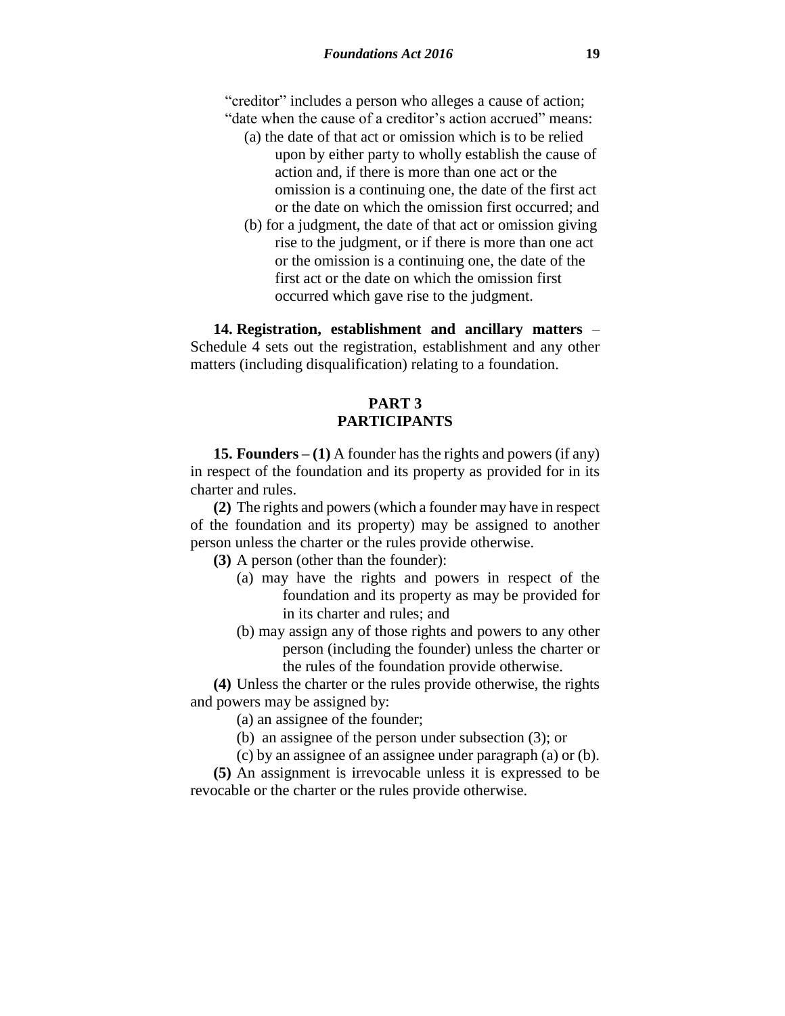"creditor" includes a person who alleges a cause of action; "date when the cause of a creditor's action accrued" means:

- (a) the date of that act or omission which is to be relied upon by either party to wholly establish the cause of action and, if there is more than one act or the omission is a continuing one, the date of the first act or the date on which the omission first occurred; and
- (b) for a judgment, the date of that act or omission giving rise to the judgment, or if there is more than one act or the omission is a continuing one, the date of the first act or the date on which the omission first occurred which gave rise to the judgment.

**14. Registration, establishment and ancillary matters** – Schedule 4 sets out the registration, establishment and any other matters (including disqualification) relating to a foundation.

# **PART 3 PARTICIPANTS**

**15. Founders – (1)** A founder has the rights and powers (if any) in respect of the foundation and its property as provided for in its charter and rules.

**(2)** The rights and powers (which a founder may have in respect of the foundation and its property) may be assigned to another person unless the charter or the rules provide otherwise.

**(3)** A person (other than the founder):

- (a) may have the rights and powers in respect of the foundation and its property as may be provided for in its charter and rules; and
- (b) may assign any of those rights and powers to any other person (including the founder) unless the charter or the rules of the foundation provide otherwise.

**(4)** Unless the charter or the rules provide otherwise, the rights and powers may be assigned by:

(a) an assignee of the founder;

(b) an assignee of the person under subsection (3); or

(c) by an assignee of an assignee under paragraph (a) or (b).

**(5)** An assignment is irrevocable unless it is expressed to be revocable or the charter or the rules provide otherwise.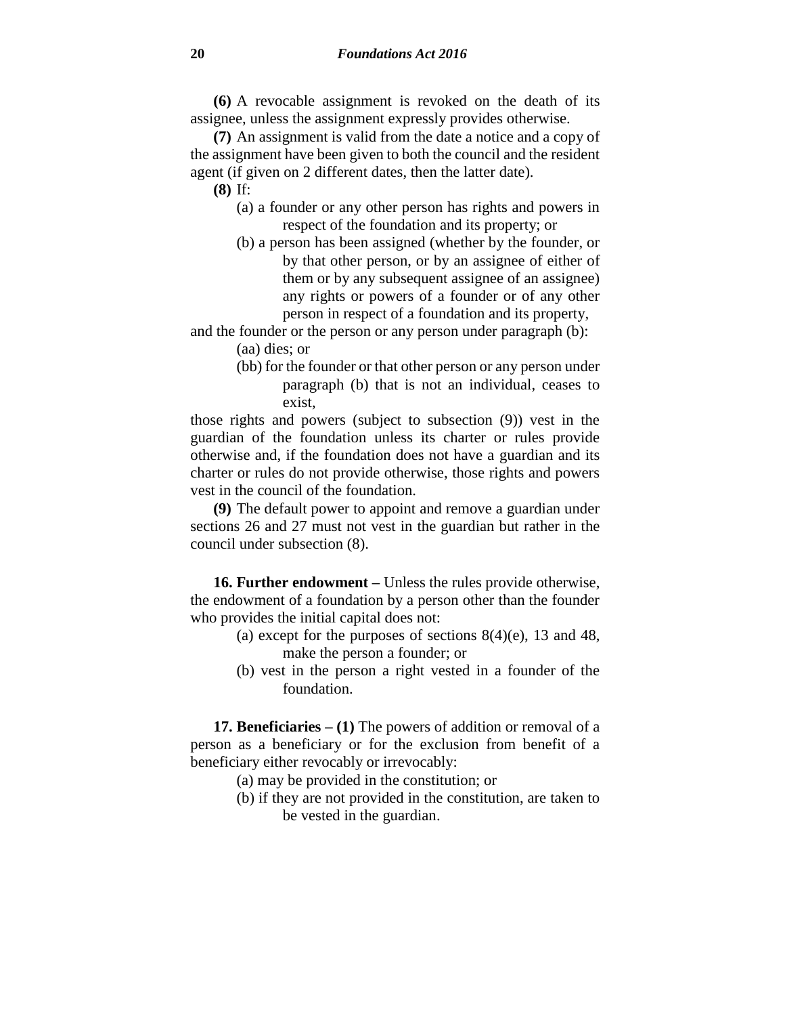**(6)** A revocable assignment is revoked on the death of its assignee, unless the assignment expressly provides otherwise.

**(7)** An assignment is valid from the date a notice and a copy of the assignment have been given to both the council and the resident agent (if given on 2 different dates, then the latter date).

- **(8)** If:
	- (a) a founder or any other person has rights and powers in respect of the foundation and its property; or
	- (b) a person has been assigned (whether by the founder, or by that other person, or by an assignee of either of them or by any subsequent assignee of an assignee) any rights or powers of a founder or of any other person in respect of a foundation and its property,

and the founder or the person or any person under paragraph (b): (aa) dies; or

> (bb) for the founder or that other person or any person under paragraph (b) that is not an individual, ceases to exist,

those rights and powers (subject to subsection (9)) vest in the guardian of the foundation unless its charter or rules provide otherwise and, if the foundation does not have a guardian and its charter or rules do not provide otherwise, those rights and powers vest in the council of the foundation.

**(9)** The default power to appoint and remove a guardian under sections 26 and 27 must not vest in the guardian but rather in the council under subsection (8).

**16. Further endowment –** Unless the rules provide otherwise, the endowment of a foundation by a person other than the founder who provides the initial capital does not:

- (a) except for the purposes of sections  $8(4)$ (e), 13 and 48, make the person a founder; or
- (b) vest in the person a right vested in a founder of the foundation.

**17. Beneficiaries – (1)** The powers of addition or removal of a person as a beneficiary or for the exclusion from benefit of a beneficiary either revocably or irrevocably:

- (a) may be provided in the constitution; or
- (b) if they are not provided in the constitution, are taken to be vested in the guardian.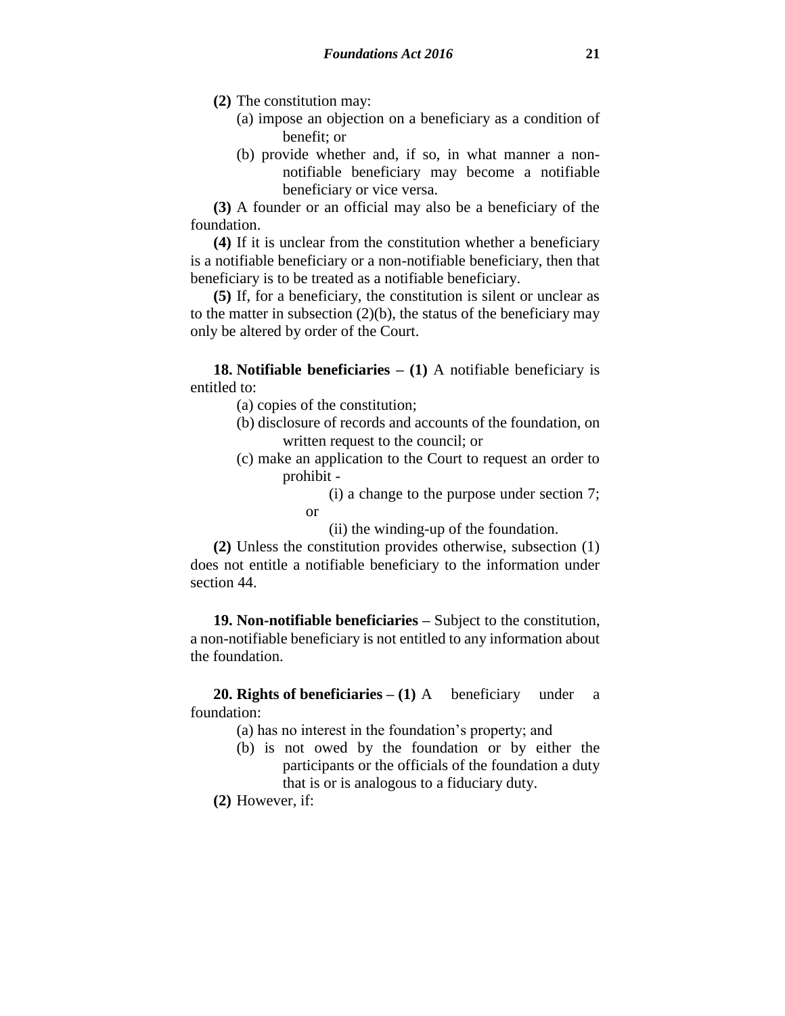**(2)** The constitution may:

- (a) impose an objection on a beneficiary as a condition of benefit; or
- (b) provide whether and, if so, in what manner a nonnotifiable beneficiary may become a notifiable beneficiary or vice versa.

**(3)** A founder or an official may also be a beneficiary of the foundation.

**(4)** If it is unclear from the constitution whether a beneficiary is a notifiable beneficiary or a non-notifiable beneficiary, then that beneficiary is to be treated as a notifiable beneficiary.

**(5)** If, for a beneficiary, the constitution is silent or unclear as to the matter in subsection  $(2)(b)$ , the status of the beneficiary may only be altered by order of the Court.

**18. Notifiable beneficiaries – (1)** A notifiable beneficiary is entitled to:

- (a) copies of the constitution;
- (b) disclosure of records and accounts of the foundation, on written request to the council; or
- (c) make an application to the Court to request an order to prohibit -

(i) a change to the purpose under section 7; or

(ii) the winding-up of the foundation.

**(2)** Unless the constitution provides otherwise, subsection (1) does not entitle a notifiable beneficiary to the information under section 44.

**19. Non-notifiable beneficiaries –** Subject to the constitution, a non-notifiable beneficiary is not entitled to any information about the foundation.

**20. Rights of beneficiaries – (1)** A beneficiary under a foundation:

- (a) has no interest in the foundation's property; and
- (b) is not owed by the foundation or by either the participants or the officials of the foundation a duty that is or is analogous to a fiduciary duty.

**(2)** However, if: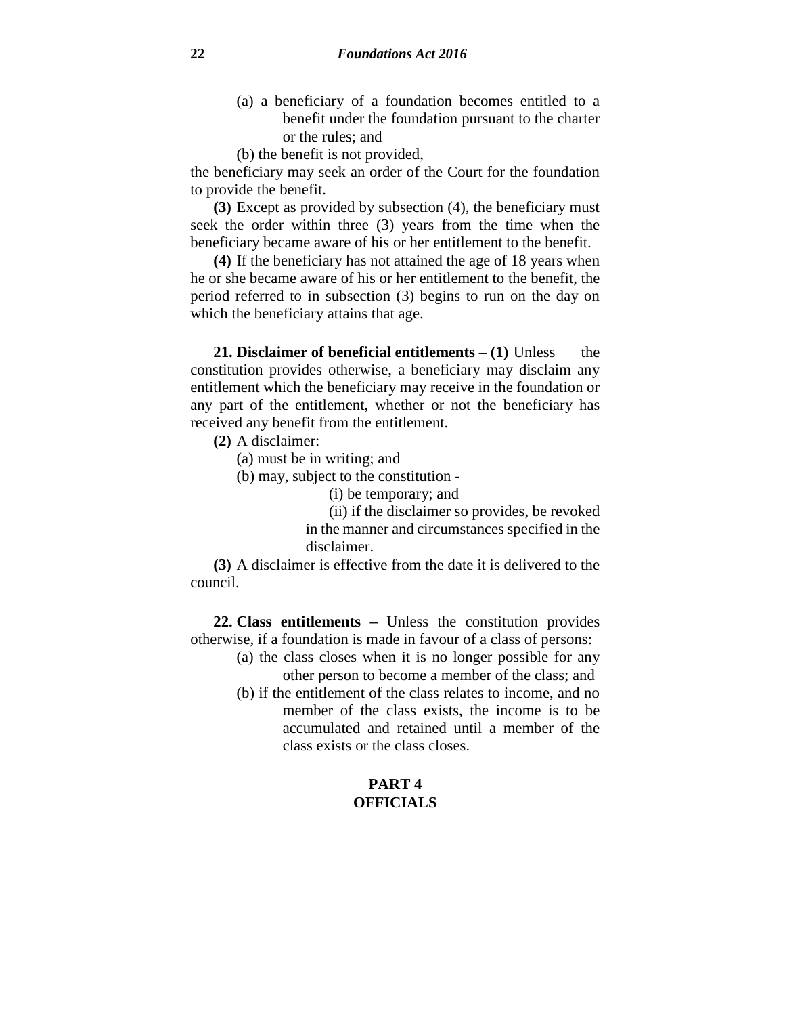- (a) a beneficiary of a foundation becomes entitled to a benefit under the foundation pursuant to the charter or the rules; and
- (b) the benefit is not provided,

the beneficiary may seek an order of the Court for the foundation to provide the benefit.

**(3)** Except as provided by subsection (4), the beneficiary must seek the order within three (3) years from the time when the beneficiary became aware of his or her entitlement to the benefit.

**(4)** If the beneficiary has not attained the age of 18 years when he or she became aware of his or her entitlement to the benefit, the period referred to in subsection (3) begins to run on the day on which the beneficiary attains that age.

**21. Disclaimer of beneficial entitlements – (1)** Unless the constitution provides otherwise, a beneficiary may disclaim any entitlement which the beneficiary may receive in the foundation or any part of the entitlement, whether or not the beneficiary has received any benefit from the entitlement.

**(2)** A disclaimer:

(a) must be in writing; and

(b) may, subject to the constitution -

(i) be temporary; and

(ii) if the disclaimer so provides, be revoked in the manner and circumstances specified in the disclaimer.

**(3)** A disclaimer is effective from the date it is delivered to the council.

**22. Class entitlements –** Unless the constitution provides otherwise, if a foundation is made in favour of a class of persons:

- (a) the class closes when it is no longer possible for any other person to become a member of the class; and
- (b) if the entitlement of the class relates to income, and no member of the class exists, the income is to be
	- accumulated and retained until a member of the class exists or the class closes.

## **PART 4 OFFICIALS**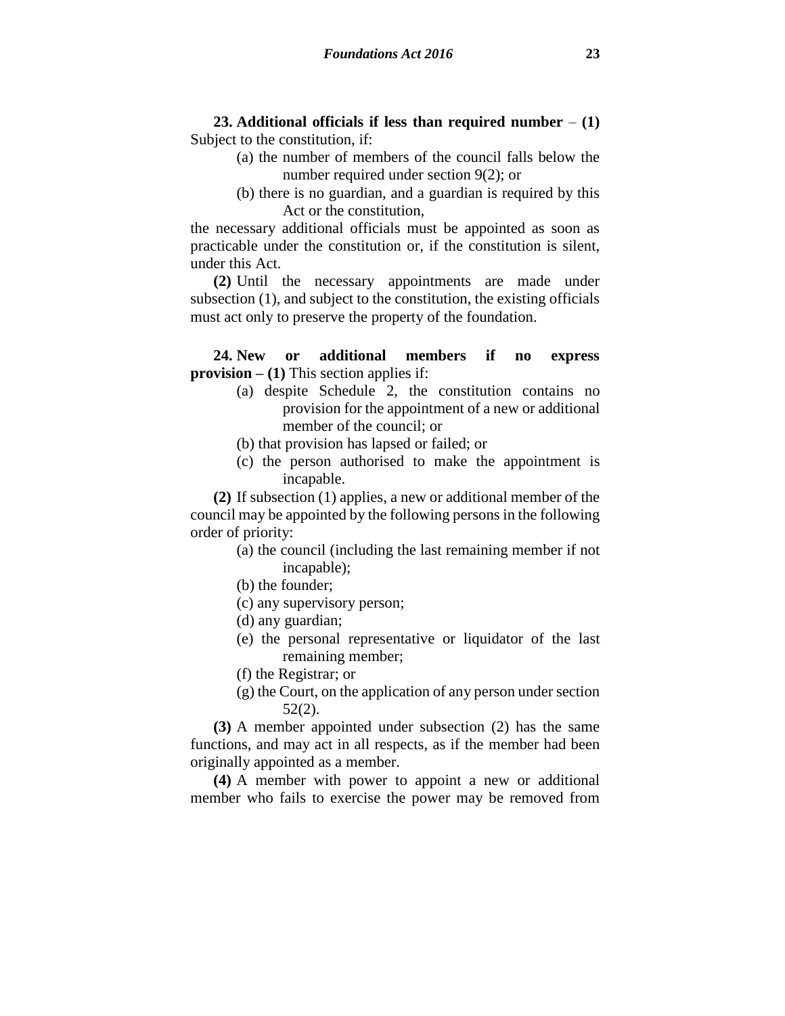**23. Additional officials if less than required number** – **(1)** Subject to the constitution, if:

- (a) the number of members of the council falls below the number required under section 9(2); or
- (b) there is no guardian, and a guardian is required by this Act or the constitution,

the necessary additional officials must be appointed as soon as practicable under the constitution or, if the constitution is silent, under this Act.

**(2)** Until the necessary appointments are made under subsection (1), and subject to the constitution, the existing officials must act only to preserve the property of the foundation.

**24. New or additional members if no express provision – (1)** This section applies if:

- (a) despite Schedule 2, the constitution contains no provision for the appointment of a new or additional member of the council; or
- (b) that provision has lapsed or failed; or
- (c) the person authorised to make the appointment is incapable.

**(2)** If subsection (1) applies, a new or additional member of the council may be appointed by the following persons in the following order of priority:

- (a) the council (including the last remaining member if not incapable);
- (b) the founder;
- (c) any supervisory person;
- (d) any guardian;
- (e) the personal representative or liquidator of the last remaining member;
- (f) the Registrar; or
- (g) the Court, on the application of any person under section 52(2).

**(3)** A member appointed under subsection (2) has the same functions, and may act in all respects, as if the member had been originally appointed as a member.

**(4)** A member with power to appoint a new or additional member who fails to exercise the power may be removed from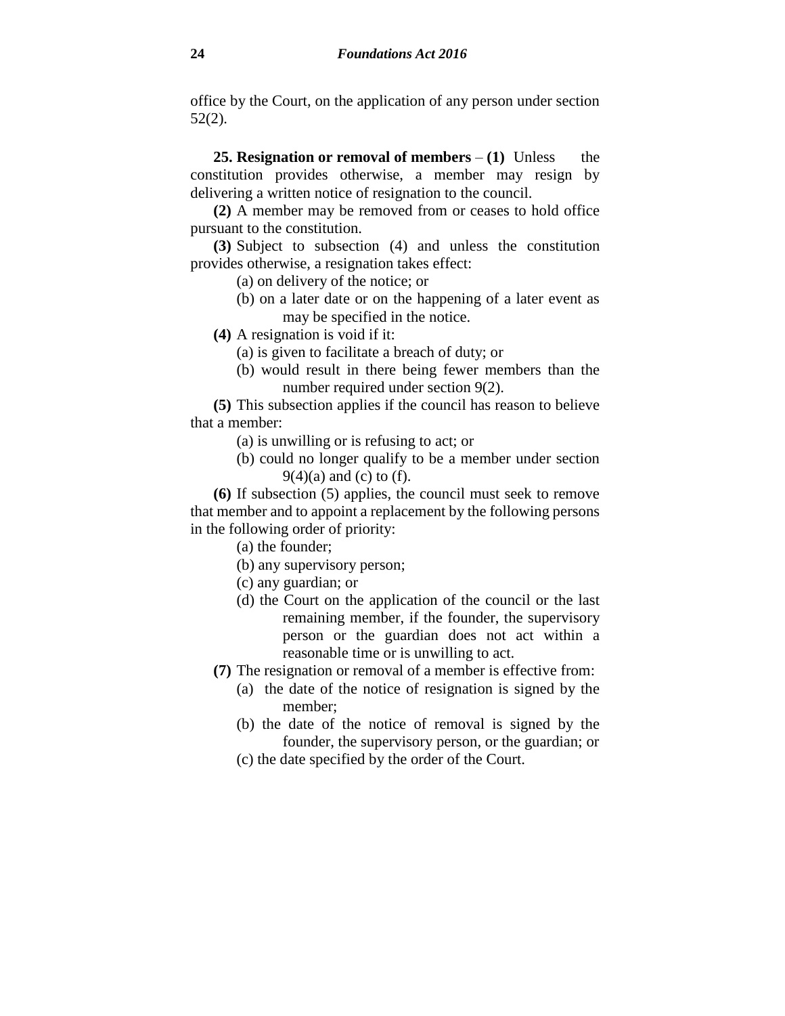office by the Court, on the application of any person under section 52(2).

**25. Resignation or removal of members**  $- (1)$  **Unless the** constitution provides otherwise, a member may resign by delivering a written notice of resignation to the council.

**(2)** A member may be removed from or ceases to hold office pursuant to the constitution.

**(3)** Subject to subsection (4) and unless the constitution provides otherwise, a resignation takes effect:

- (a) on delivery of the notice; or
- (b) on a later date or on the happening of a later event as may be specified in the notice.

**(4)** A resignation is void if it:

- (a) is given to facilitate a breach of duty; or
- (b) would result in there being fewer members than the number required under section 9(2).

**(5)** This subsection applies if the council has reason to believe that a member:

- (a) is unwilling or is refusing to act; or
- (b) could no longer qualify to be a member under section  $9(4)(a)$  and (c) to (f).

**(6)** If subsection (5) applies, the council must seek to remove that member and to appoint a replacement by the following persons in the following order of priority:

(a) the founder;

- (b) any supervisory person;
- (c) any guardian; or
- (d) the Court on the application of the council or the last remaining member, if the founder, the supervisory person or the guardian does not act within a reasonable time or is unwilling to act.
- **(7)** The resignation or removal of a member is effective from:
	- (a) the date of the notice of resignation is signed by the member;
	- (b) the date of the notice of removal is signed by the founder, the supervisory person, or the guardian; or
	- (c) the date specified by the order of the Court.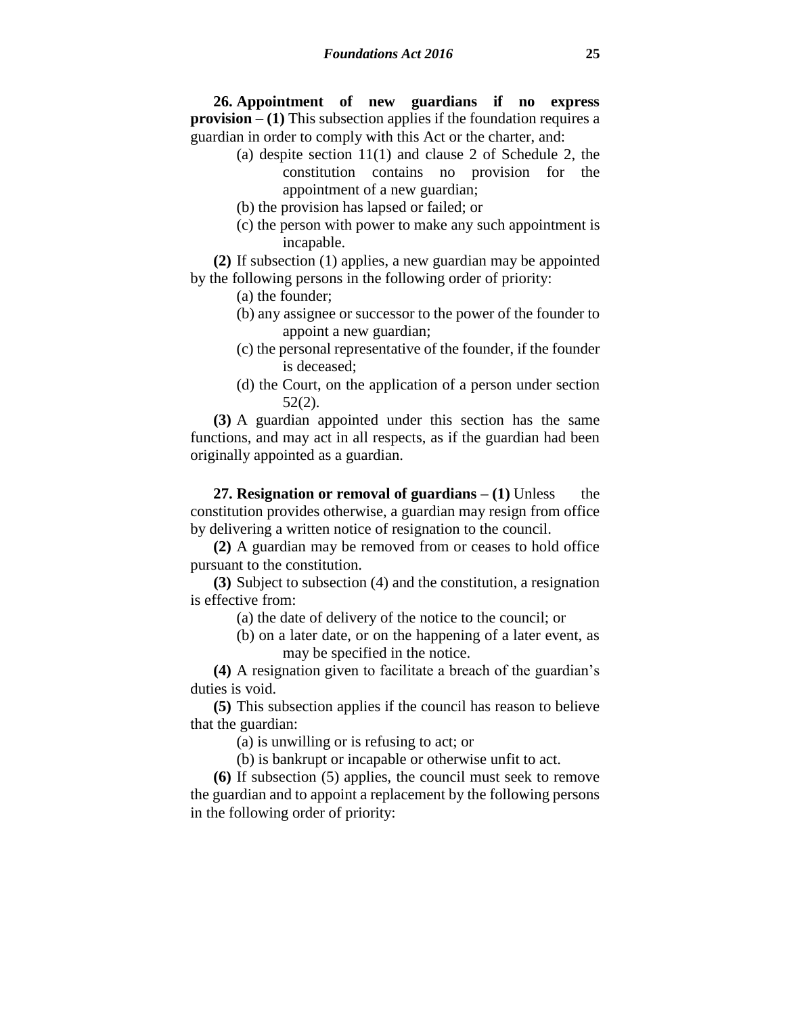**26. Appointment of new guardians if no express provision** – **(1)** This subsection applies if the foundation requires a guardian in order to comply with this Act or the charter, and:

- (a) despite section 11(1) and clause 2 of Schedule 2, the constitution contains no provision for the appointment of a new guardian;
- (b) the provision has lapsed or failed; or
- (c) the person with power to make any such appointment is incapable.

**(2)** If subsection (1) applies, a new guardian may be appointed by the following persons in the following order of priority:

(a) the founder;

- (b) any assignee or successor to the power of the founder to appoint a new guardian;
- (c) the personal representative of the founder, if the founder is deceased;
- (d) the Court, on the application of a person under section 52(2).

**(3)** A guardian appointed under this section has the same functions, and may act in all respects, as if the guardian had been originally appointed as a guardian.

**27. Resignation or removal of guardians – (1)** Unless the constitution provides otherwise, a guardian may resign from office by delivering a written notice of resignation to the council.

**(2)** A guardian may be removed from or ceases to hold office pursuant to the constitution.

**(3)** Subject to subsection (4) and the constitution, a resignation is effective from:

(a) the date of delivery of the notice to the council; or

(b) on a later date, or on the happening of a later event, as may be specified in the notice.

**(4)** A resignation given to facilitate a breach of the guardian's duties is void.

**(5)** This subsection applies if the council has reason to believe that the guardian:

(a) is unwilling or is refusing to act; or

(b) is bankrupt or incapable or otherwise unfit to act.

**(6)** If subsection (5) applies, the council must seek to remove the guardian and to appoint a replacement by the following persons in the following order of priority: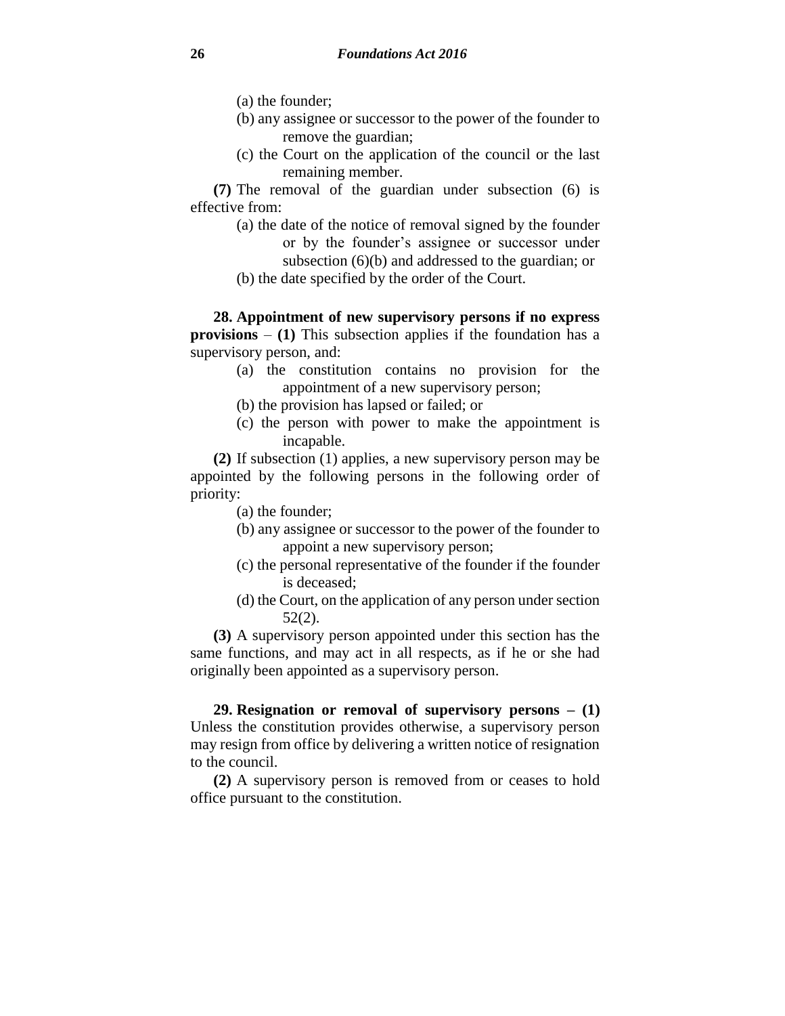(a) the founder;

- (b) any assignee or successor to the power of the founder to remove the guardian;
- (c) the Court on the application of the council or the last remaining member.

**(7)** The removal of the guardian under subsection (6) is effective from:

- (a) the date of the notice of removal signed by the founder or by the founder's assignee or successor under subsection (6)(b) and addressed to the guardian; or
- (b) the date specified by the order of the Court.

**28. Appointment of new supervisory persons if no express provisions** – **(1)** This subsection applies if the foundation has a supervisory person, and:

- (a) the constitution contains no provision for the appointment of a new supervisory person;
- (b) the provision has lapsed or failed; or
- (c) the person with power to make the appointment is incapable.

**(2)** If subsection (1) applies, a new supervisory person may be appointed by the following persons in the following order of priority:

(a) the founder;

- (b) any assignee or successor to the power of the founder to appoint a new supervisory person;
- (c) the personal representative of the founder if the founder is deceased;
- (d) the Court, on the application of any person under section 52(2).

**(3)** A supervisory person appointed under this section has the same functions, and may act in all respects, as if he or she had originally been appointed as a supervisory person.

**29. Resignation or removal of supervisory persons – (1)** Unless the constitution provides otherwise, a supervisory person may resign from office by delivering a written notice of resignation to the council.

**(2)** A supervisory person is removed from or ceases to hold office pursuant to the constitution.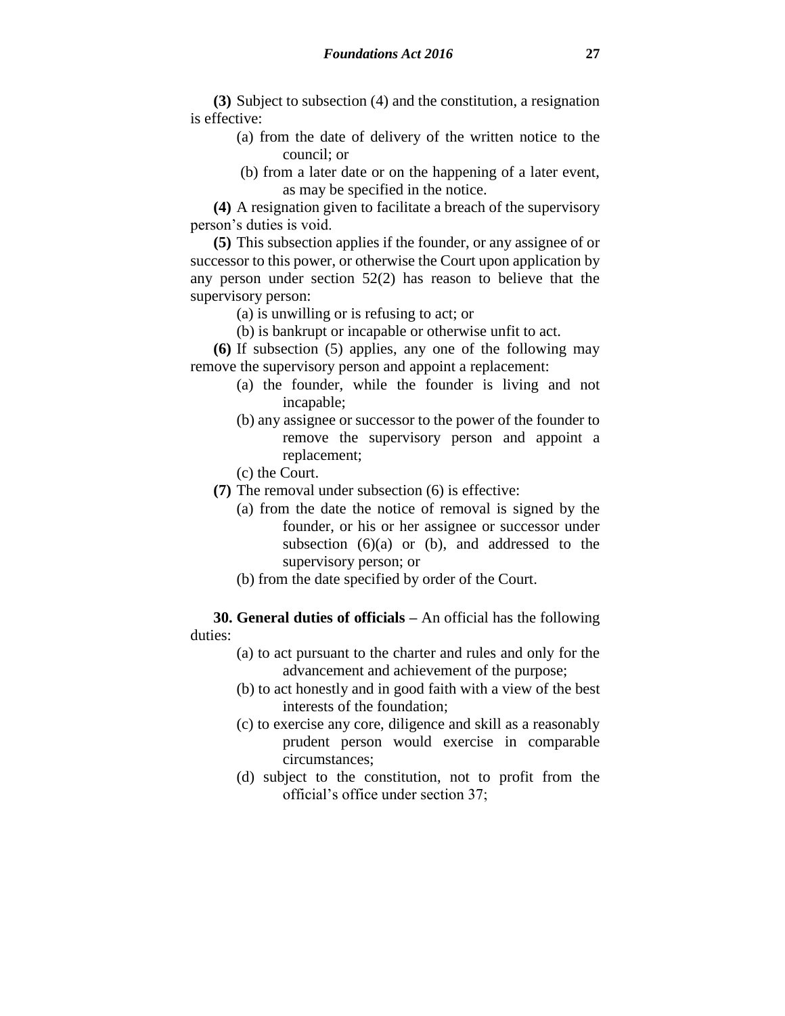**(3)** Subject to subsection (4) and the constitution, a resignation is effective:

- (a) from the date of delivery of the written notice to the council; or
- (b) from a later date or on the happening of a later event, as may be specified in the notice.

**(4)** A resignation given to facilitate a breach of the supervisory person's duties is void.

**(5)** This subsection applies if the founder, or any assignee of or successor to this power, or otherwise the Court upon application by any person under section 52(2) has reason to believe that the supervisory person:

- (a) is unwilling or is refusing to act; or
- (b) is bankrupt or incapable or otherwise unfit to act.

**(6)** If subsection (5) applies, any one of the following may remove the supervisory person and appoint a replacement:

- (a) the founder, while the founder is living and not incapable;
- (b) any assignee or successor to the power of the founder to remove the supervisory person and appoint a replacement;
- (c) the Court.
- **(7)** The removal under subsection (6) is effective:
	- (a) from the date the notice of removal is signed by the founder, or his or her assignee or successor under subsection  $(6)(a)$  or  $(b)$ , and addressed to the supervisory person; or
	- (b) from the date specified by order of the Court.

**30. General duties of officials –** An official has the following duties:

- (a) to act pursuant to the charter and rules and only for the advancement and achievement of the purpose;
- (b) to act honestly and in good faith with a view of the best interests of the foundation;
- (c) to exercise any core, diligence and skill as a reasonably prudent person would exercise in comparable circumstances;
- (d) subject to the constitution, not to profit from the official's office under section 37;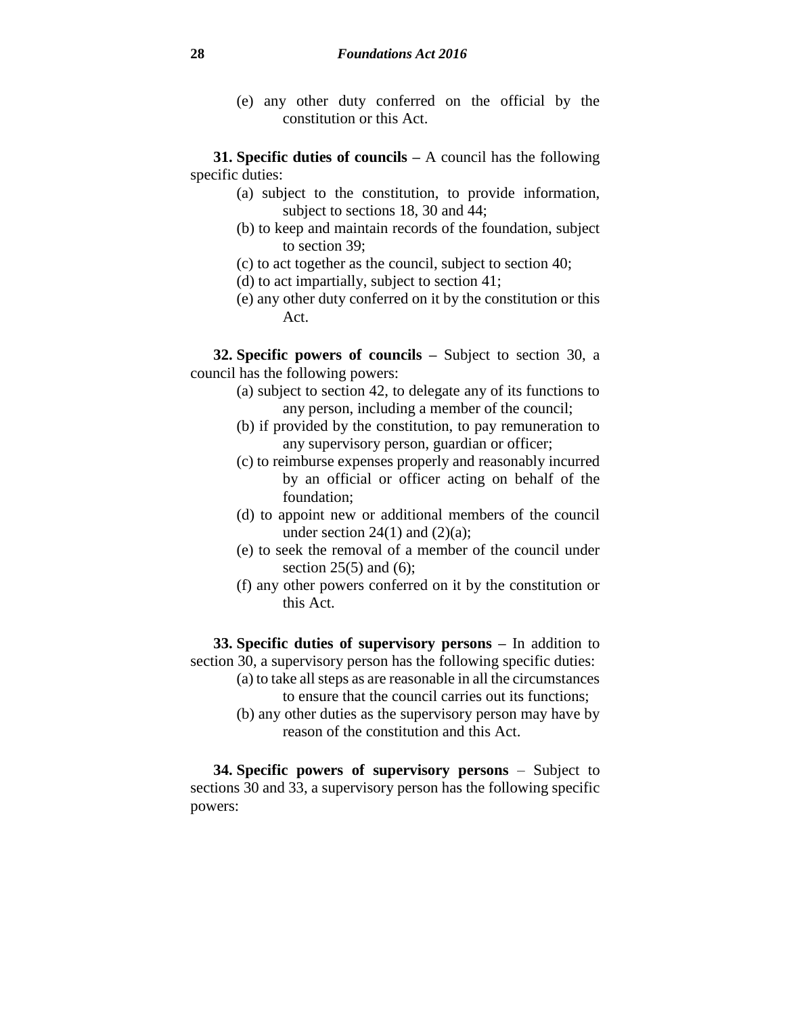(e) any other duty conferred on the official by the constitution or this Act.

**31. Specific duties of councils –** A council has the following specific duties:

- (a) subject to the constitution, to provide information, subject to sections 18, 30 and 44;
- (b) to keep and maintain records of the foundation, subject to section 39;
- (c) to act together as the council, subject to section 40;
- (d) to act impartially, subject to section 41;
- (e) any other duty conferred on it by the constitution or this Act.

**32. Specific powers of councils –** Subject to section 30, a council has the following powers:

- (a) subject to section 42, to delegate any of its functions to any person, including a member of the council;
- (b) if provided by the constitution, to pay remuneration to any supervisory person, guardian or officer;
- (c) to reimburse expenses properly and reasonably incurred by an official or officer acting on behalf of the foundation;
- (d) to appoint new or additional members of the council under section  $24(1)$  and  $(2)(a)$ :
- (e) to seek the removal of a member of the council under section  $25(5)$  and  $(6)$ ;
- (f) any other powers conferred on it by the constitution or this Act.

**33. Specific duties of supervisory persons –** In addition to section 30, a supervisory person has the following specific duties:

- (a) to take all steps as are reasonable in all the circumstances to ensure that the council carries out its functions;
- (b) any other duties as the supervisory person may have by reason of the constitution and this Act.

**34. Specific powers of supervisory persons** – Subject to sections 30 and 33, a supervisory person has the following specific powers: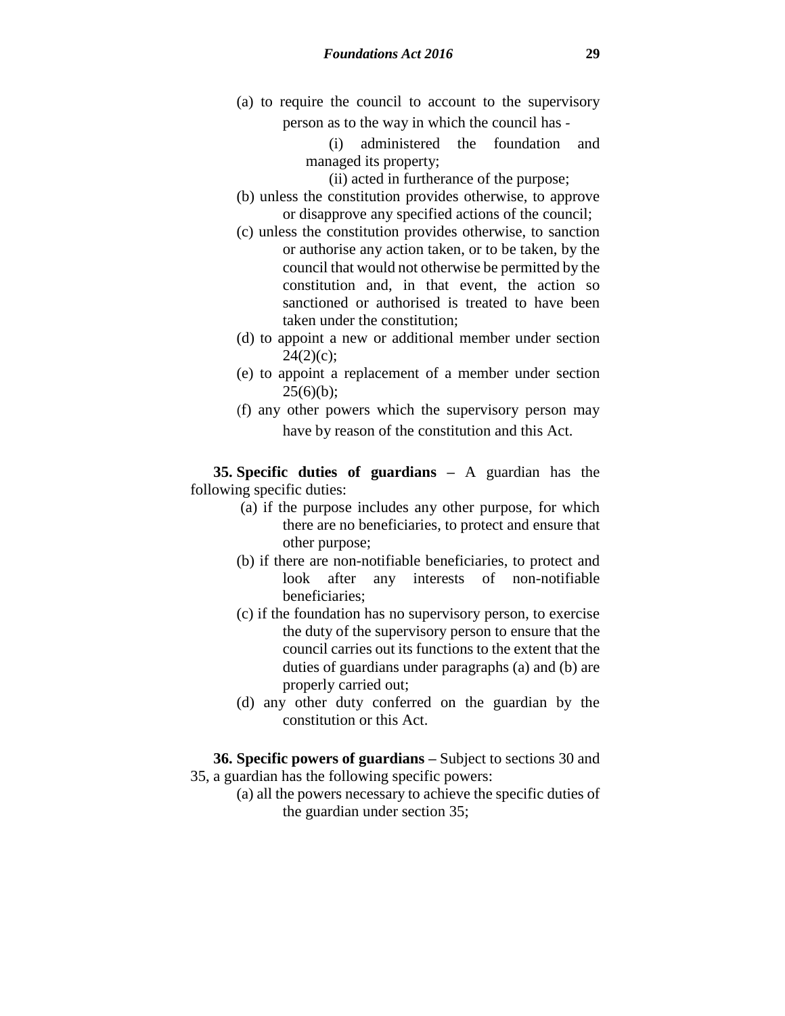(a) to require the council to account to the supervisory person as to the way in which the council has -

> (i) administered the foundation and managed its property;

(ii) acted in furtherance of the purpose;

- (b) unless the constitution provides otherwise, to approve or disapprove any specified actions of the council;
- (c) unless the constitution provides otherwise, to sanction or authorise any action taken, or to be taken, by the council that would not otherwise be permitted by the constitution and, in that event, the action so sanctioned or authorised is treated to have been taken under the constitution;
- (d) to appoint a new or additional member under section  $24(2)(c)$ ;
- (e) to appoint a replacement of a member under section  $25(6)(b)$ ;
- (f) any other powers which the supervisory person may have by reason of the constitution and this Act.

**35. Specific duties of guardians –** A guardian has the following specific duties:

- (a) if the purpose includes any other purpose, for which there are no beneficiaries, to protect and ensure that other purpose;
- (b) if there are non-notifiable beneficiaries, to protect and look after any interests of non-notifiable beneficiaries;
- (c) if the foundation has no supervisory person, to exercise the duty of the supervisory person to ensure that the council carries out its functions to the extent that the duties of guardians under paragraphs (a) and (b) are properly carried out;
- (d) any other duty conferred on the guardian by the constitution or this Act.

**36. Specific powers of guardians –** Subject to sections 30 and

- 35, a guardian has the following specific powers:
	- (a) all the powers necessary to achieve the specific duties of the guardian under section 35;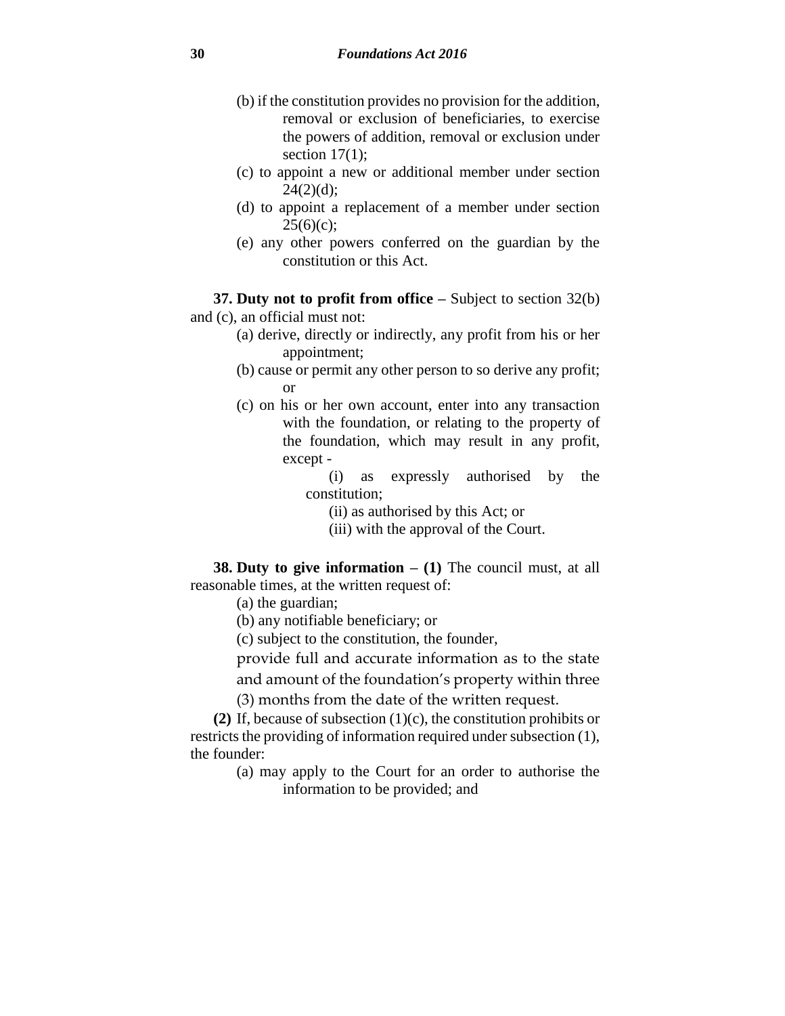- (b) if the constitution provides no provision for the addition, removal or exclusion of beneficiaries, to exercise the powers of addition, removal or exclusion under section  $17(1)$ ;
- (c) to appoint a new or additional member under section  $24(2)(d);$
- (d) to appoint a replacement of a member under section  $25(6)(c)$ ;
- (e) any other powers conferred on the guardian by the constitution or this Act.

**37. Duty not to profit from office –** Subject to section 32(b) and (c), an official must not:

- (a) derive, directly or indirectly, any profit from his or her appointment;
- (b) cause or permit any other person to so derive any profit; or
- (c) on his or her own account, enter into any transaction with the foundation, or relating to the property of the foundation, which may result in any profit, except -
	- (i) as expressly authorised by the constitution;
		- (ii) as authorised by this Act; or
		- (iii) with the approval of the Court.

**38. Duty to give information – (1)** The council must, at all reasonable times, at the written request of:

- (a) the guardian;
- (b) any notifiable beneficiary; or
- (c) subject to the constitution, the founder,

provide full and accurate information as to the state and amount of the foundation's property within three

(3) months from the date of the written request.

**(2)** If, because of subsection (1)(c), the constitution prohibits or restricts the providing of information required under subsection (1), the founder:

> (a) may apply to the Court for an order to authorise the information to be provided; and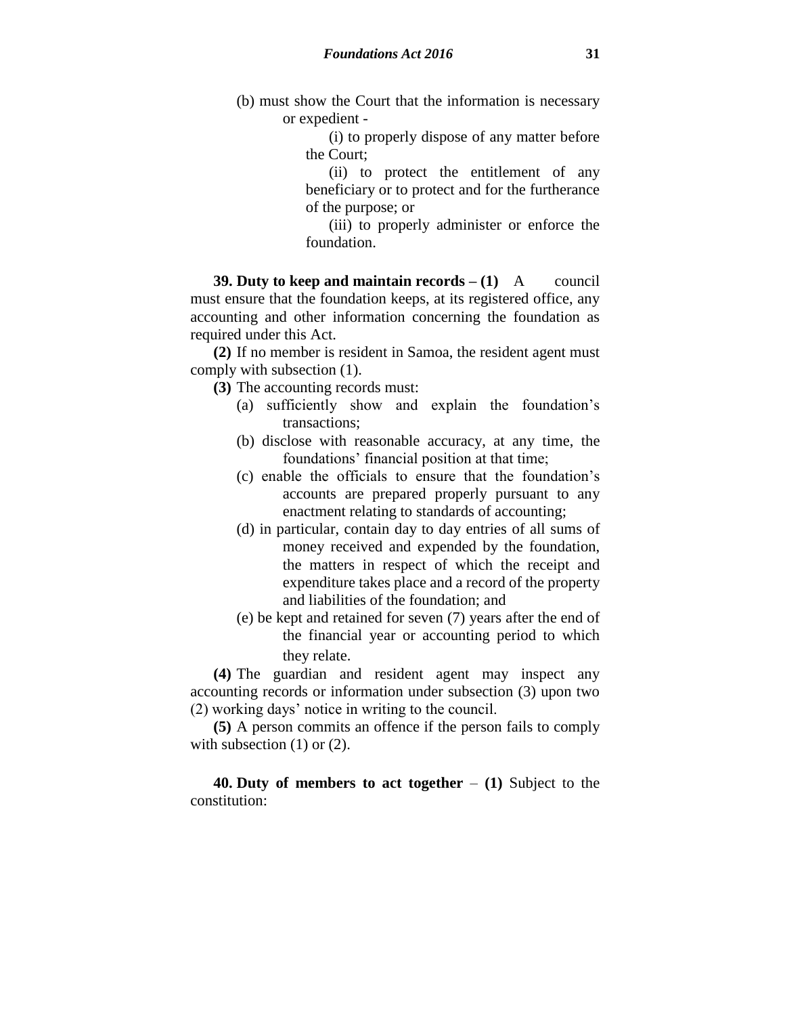(b) must show the Court that the information is necessary or expedient -

> (i) to properly dispose of any matter before the Court;

> (ii) to protect the entitlement of any beneficiary or to protect and for the furtherance of the purpose; or

> (iii) to properly administer or enforce the foundation.

**39. Duty to keep and maintain records – (1)** A council must ensure that the foundation keeps, at its registered office, any accounting and other information concerning the foundation as required under this Act.

**(2)** If no member is resident in Samoa, the resident agent must comply with subsection (1).

**(3)** The accounting records must:

- (a) sufficiently show and explain the foundation's transactions;
- (b) disclose with reasonable accuracy, at any time, the foundations' financial position at that time;
- (c) enable the officials to ensure that the foundation's accounts are prepared properly pursuant to any enactment relating to standards of accounting;
- (d) in particular, contain day to day entries of all sums of money received and expended by the foundation, the matters in respect of which the receipt and expenditure takes place and a record of the property and liabilities of the foundation; and
- (e) be kept and retained for seven (7) years after the end of the financial year or accounting period to which they relate.

**(4)** The guardian and resident agent may inspect any accounting records or information under subsection (3) upon two (2) working days' notice in writing to the council.

**(5)** A person commits an offence if the person fails to comply with subsection (1) or (2).

**40. Duty of members to act together** – **(1)** Subject to the constitution: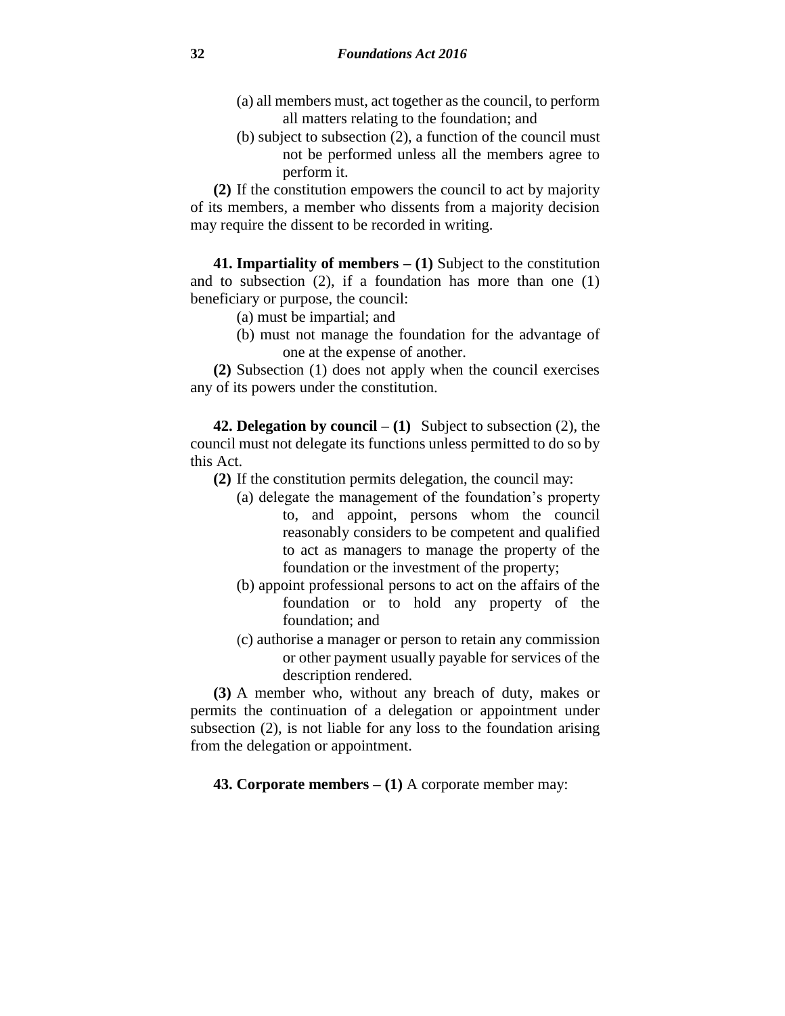- (a) all members must, act together as the council, to perform all matters relating to the foundation; and
- (b) subject to subsection (2), a function of the council must not be performed unless all the members agree to perform it.

**(2)** If the constitution empowers the council to act by majority of its members, a member who dissents from a majority decision may require the dissent to be recorded in writing.

**41. Impartiality of members – (1)** Subject to the constitution and to subsection (2), if a foundation has more than one (1) beneficiary or purpose, the council:

(a) must be impartial; and

(b) must not manage the foundation for the advantage of one at the expense of another.

**(2)** Subsection (1) does not apply when the council exercises any of its powers under the constitution.

**42. Delegation by council – (1)** Subject to subsection (2), the council must not delegate its functions unless permitted to do so by this Act.

- **(2)** If the constitution permits delegation, the council may:
	- (a) delegate the management of the foundation's property to, and appoint, persons whom the council reasonably considers to be competent and qualified to act as managers to manage the property of the foundation or the investment of the property;
	- (b) appoint professional persons to act on the affairs of the foundation or to hold any property of the foundation; and
	- (c) authorise a manager or person to retain any commission or other payment usually payable for services of the description rendered.

**(3)** A member who, without any breach of duty, makes or permits the continuation of a delegation or appointment under subsection (2), is not liable for any loss to the foundation arising from the delegation or appointment.

**43. Corporate members – (1)** A corporate member may: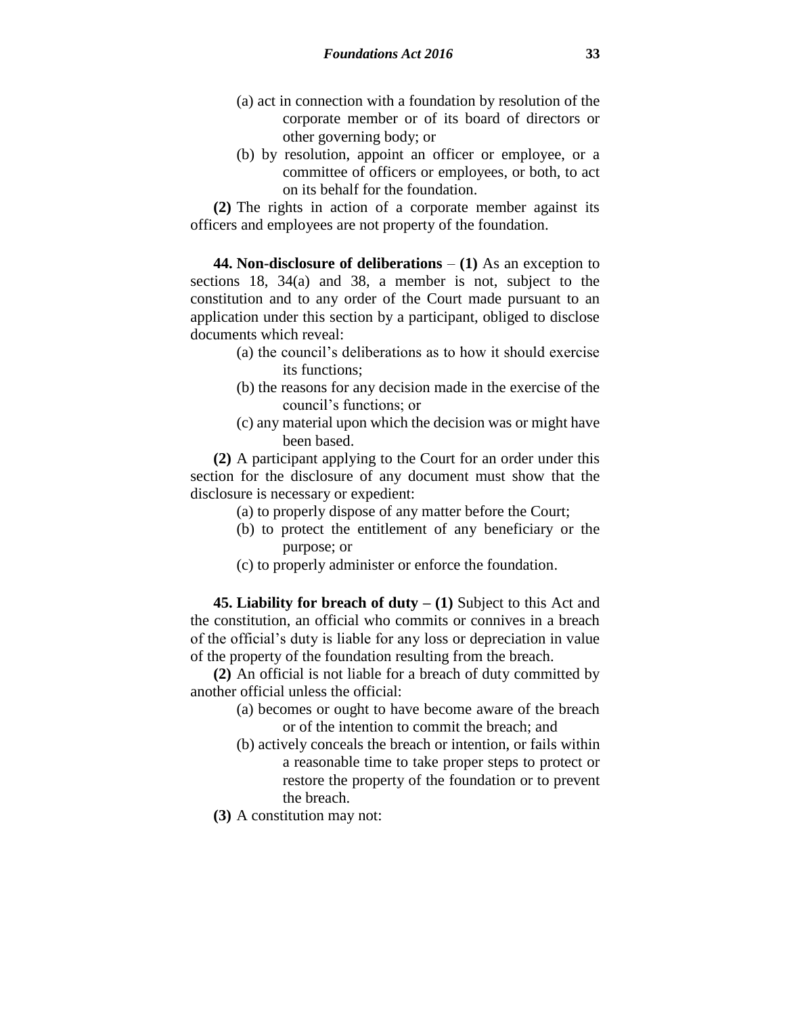- (a) act in connection with a foundation by resolution of the corporate member or of its board of directors or other governing body; or
- (b) by resolution, appoint an officer or employee, or a committee of officers or employees, or both, to act on its behalf for the foundation.

**(2)** The rights in action of a corporate member against its officers and employees are not property of the foundation.

**44. Non-disclosure of deliberations** – **(1)** As an exception to sections 18, 34(a) and 38, a member is not, subject to the constitution and to any order of the Court made pursuant to an application under this section by a participant, obliged to disclose documents which reveal:

- (a) the council's deliberations as to how it should exercise its functions;
- (b) the reasons for any decision made in the exercise of the council's functions; or
- (c) any material upon which the decision was or might have been based.

**(2)** A participant applying to the Court for an order under this section for the disclosure of any document must show that the disclosure is necessary or expedient:

- (a) to properly dispose of any matter before the Court;
- (b) to protect the entitlement of any beneficiary or the purpose; or
- (c) to properly administer or enforce the foundation.

**45. Liability for breach of duty – (1)** Subject to this Act and the constitution, an official who commits or connives in a breach of the official's duty is liable for any loss or depreciation in value of the property of the foundation resulting from the breach.

**(2)** An official is not liable for a breach of duty committed by another official unless the official:

- (a) becomes or ought to have become aware of the breach or of the intention to commit the breach; and
- (b) actively conceals the breach or intention, or fails within a reasonable time to take proper steps to protect or restore the property of the foundation or to prevent the breach.
- **(3)** A constitution may not: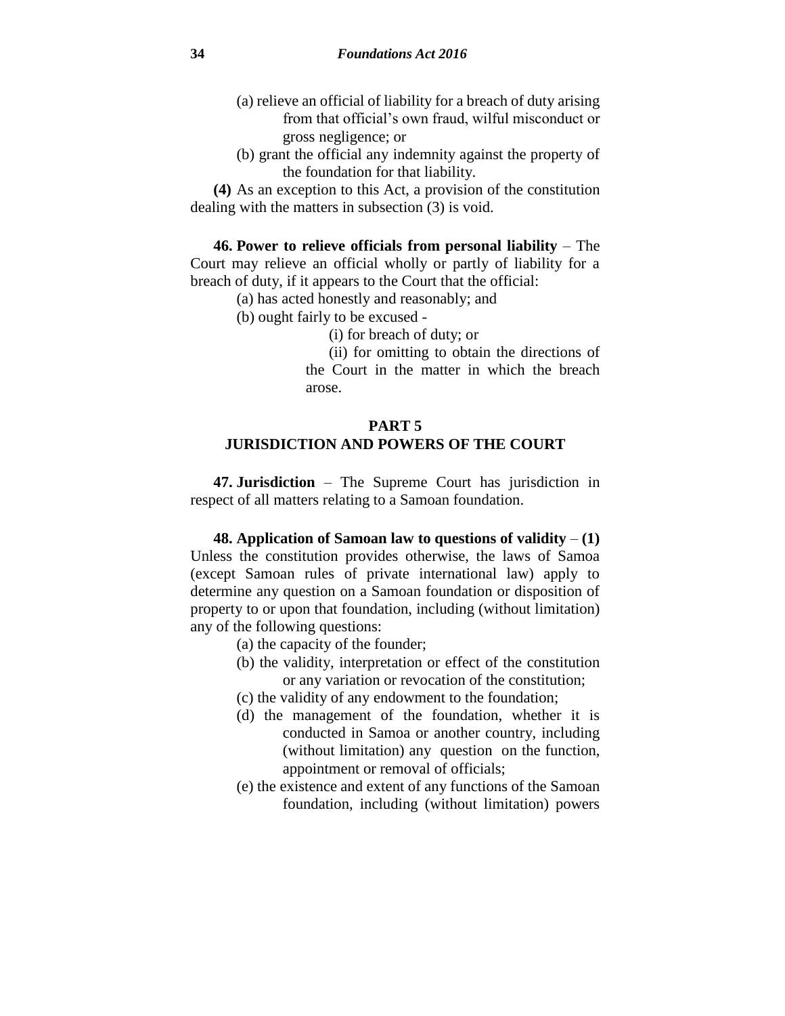- (a) relieve an official of liability for a breach of duty arising from that official's own fraud, wilful misconduct or gross negligence; or
- (b) grant the official any indemnity against the property of the foundation for that liability.

**(4)** As an exception to this Act, a provision of the constitution dealing with the matters in subsection (3) is void.

**46. Power to relieve officials from personal liability** – The Court may relieve an official wholly or partly of liability for a breach of duty, if it appears to the Court that the official:

- (a) has acted honestly and reasonably; and
- (b) ought fairly to be excused
	- (i) for breach of duty; or

(ii) for omitting to obtain the directions of the Court in the matter in which the breach arose.

# **PART 5 JURISDICTION AND POWERS OF THE COURT**

**47. Jurisdiction** – The Supreme Court has jurisdiction in respect of all matters relating to a Samoan foundation.

**48. Application of Samoan law to questions of validity** – **(1)** Unless the constitution provides otherwise, the laws of Samoa (except Samoan rules of private international law) apply to determine any question on a Samoan foundation or disposition of property to or upon that foundation, including (without limitation) any of the following questions:

- (a) the capacity of the founder;
- (b) the validity, interpretation or effect of the constitution or any variation or revocation of the constitution;
- (c) the validity of any endowment to the foundation;
- (d) the management of the foundation, whether it is conducted in Samoa or another country, including (without limitation) any question on the function, appointment or removal of officials;
- (e) the existence and extent of any functions of the Samoan foundation, including (without limitation) powers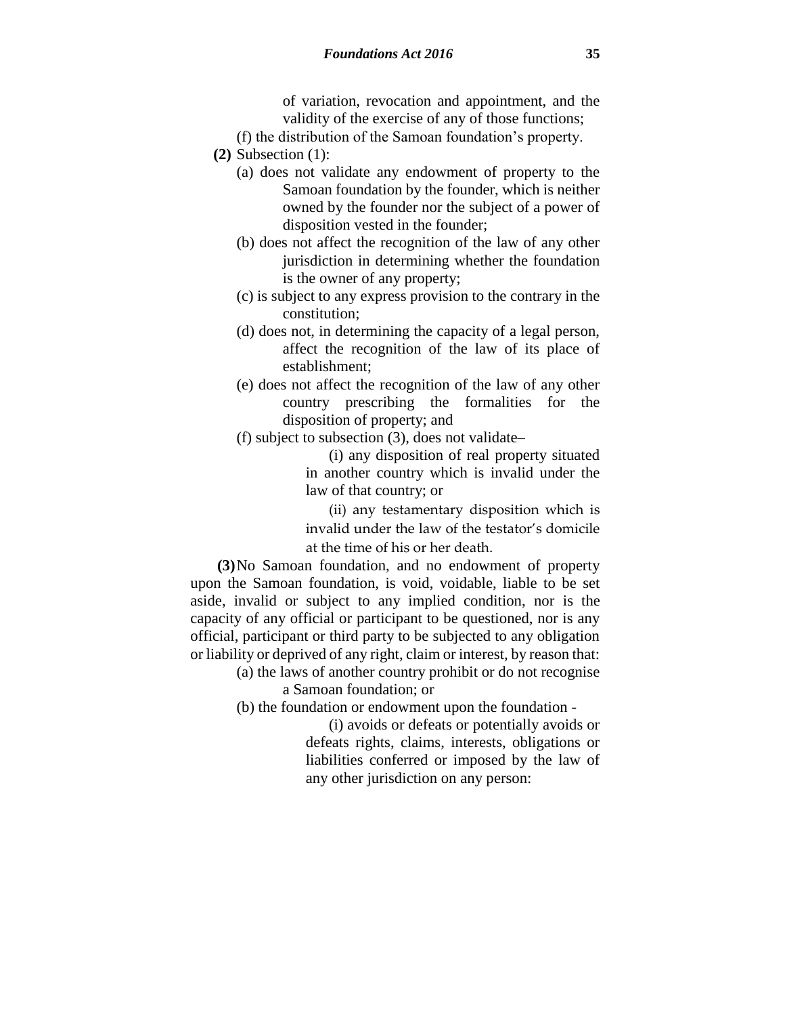of variation, revocation and appointment, and the validity of the exercise of any of those functions;

- (f) the distribution of the Samoan foundation's property.
- **(2)** Subsection (1):
	- (a) does not validate any endowment of property to the Samoan foundation by the founder, which is neither owned by the founder nor the subject of a power of disposition vested in the founder;
	- (b) does not affect the recognition of the law of any other jurisdiction in determining whether the foundation is the owner of any property;
	- (c) is subject to any express provision to the contrary in the constitution;
	- (d) does not, in determining the capacity of a legal person, affect the recognition of the law of its place of establishment;
	- (e) does not affect the recognition of the law of any other country prescribing the formalities for the disposition of property; and
	- (f) subject to subsection (3), does not validate–

(i) any disposition of real property situated in another country which is invalid under the law of that country; or

(ii) any testamentary disposition which is invalid under the law of the testator's domicile at the time of his or her death.

**(3)**No Samoan foundation, and no endowment of property upon the Samoan foundation, is void, voidable, liable to be set aside, invalid or subject to any implied condition, nor is the capacity of any official or participant to be questioned, nor is any official, participant or third party to be subjected to any obligation or liability or deprived of any right, claim or interest, by reason that:

(a) the laws of another country prohibit or do not recognise

a Samoan foundation; or

(b) the foundation or endowment upon the foundation -

(i) avoids or defeats or potentially avoids or defeats rights, claims, interests, obligations or liabilities conferred or imposed by the law of any other jurisdiction on any person: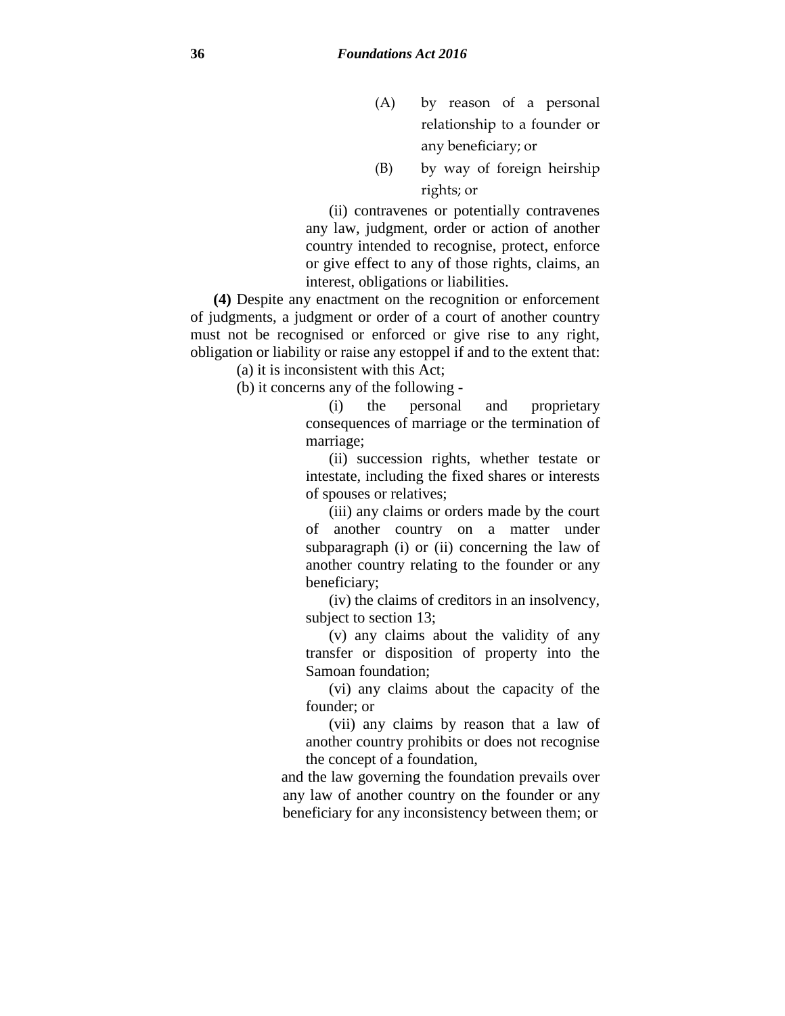- (A) by reason of a personal relationship to a founder or any beneficiary; or
- (B) by way of foreign heirship rights; or

(ii) contravenes or potentially contravenes any law, judgment, order or action of another country intended to recognise, protect, enforce or give effect to any of those rights, claims, an interest, obligations or liabilities.

**(4)** Despite any enactment on the recognition or enforcement of judgments, a judgment or order of a court of another country must not be recognised or enforced or give rise to any right, obligation or liability or raise any estoppel if and to the extent that:

(a) it is inconsistent with this Act;

(b) it concerns any of the following -

(i) the personal and proprietary consequences of marriage or the termination of marriage;

(ii) succession rights, whether testate or intestate, including the fixed shares or interests of spouses or relatives;

(iii) any claims or orders made by the court of another country on a matter under subparagraph (i) or (ii) concerning the law of another country relating to the founder or any beneficiary;

(iv) the claims of creditors in an insolvency, subject to section 13;

(v) any claims about the validity of any transfer or disposition of property into the Samoan foundation;

(vi) any claims about the capacity of the founder; or

(vii) any claims by reason that a law of another country prohibits or does not recognise the concept of a foundation,

and the law governing the foundation prevails over any law of another country on the founder or any beneficiary for any inconsistency between them; or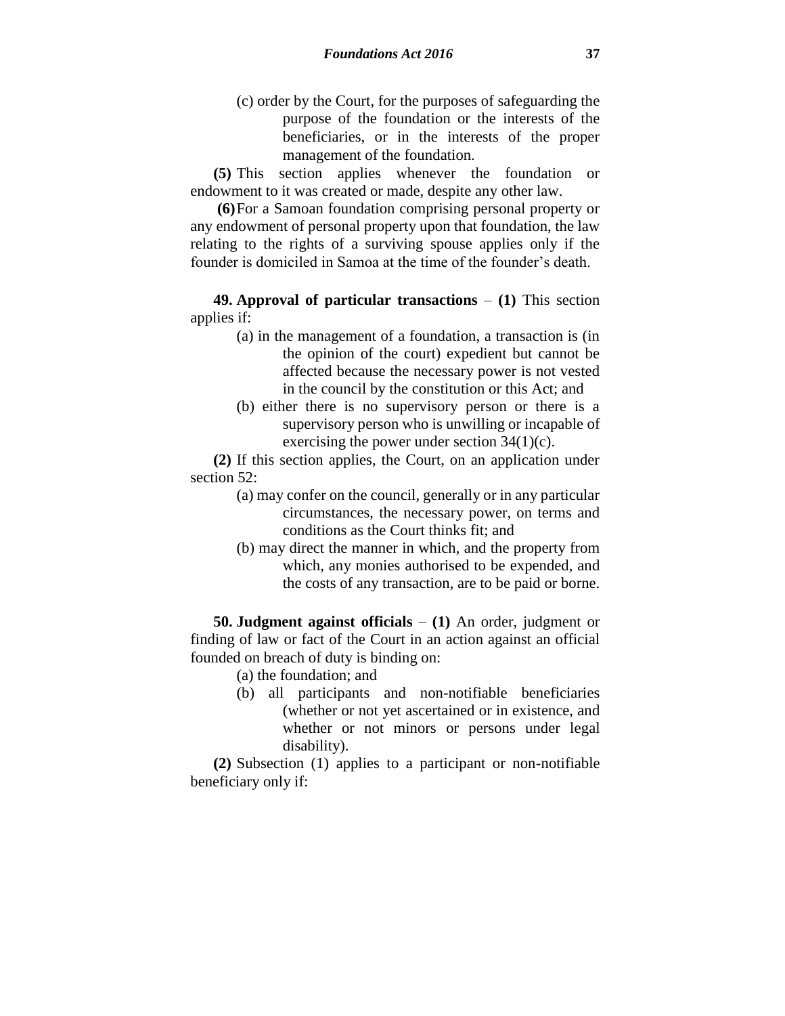(c) order by the Court, for the purposes of safeguarding the purpose of the foundation or the interests of the beneficiaries, or in the interests of the proper management of the foundation.

**(5)** This section applies whenever the foundation or endowment to it was created or made, despite any other law.

**(6)**For a Samoan foundation comprising personal property or any endowment of personal property upon that foundation, the law relating to the rights of a surviving spouse applies only if the founder is domiciled in Samoa at the time of the founder's death.

**49. Approval of particular transactions** – **(1)** This section applies if:

- (a) in the management of a foundation, a transaction is (in the opinion of the court) expedient but cannot be affected because the necessary power is not vested in the council by the constitution or this Act; and
- (b) either there is no supervisory person or there is a supervisory person who is unwilling or incapable of exercising the power under section 34(1)(c).

**(2)** If this section applies, the Court, on an application under section 52:

- (a) may confer on the council, generally or in any particular circumstances, the necessary power, on terms and conditions as the Court thinks fit; and
- (b) may direct the manner in which, and the property from which, any monies authorised to be expended, and the costs of any transaction, are to be paid or borne.

**50. Judgment against officials** – **(1)** An order, judgment or finding of law or fact of the Court in an action against an official founded on breach of duty is binding on:

(a) the foundation; and

(b) all participants and non-notifiable beneficiaries (whether or not yet ascertained or in existence, and whether or not minors or persons under legal disability).

**(2)** Subsection (1) applies to a participant or non-notifiable beneficiary only if: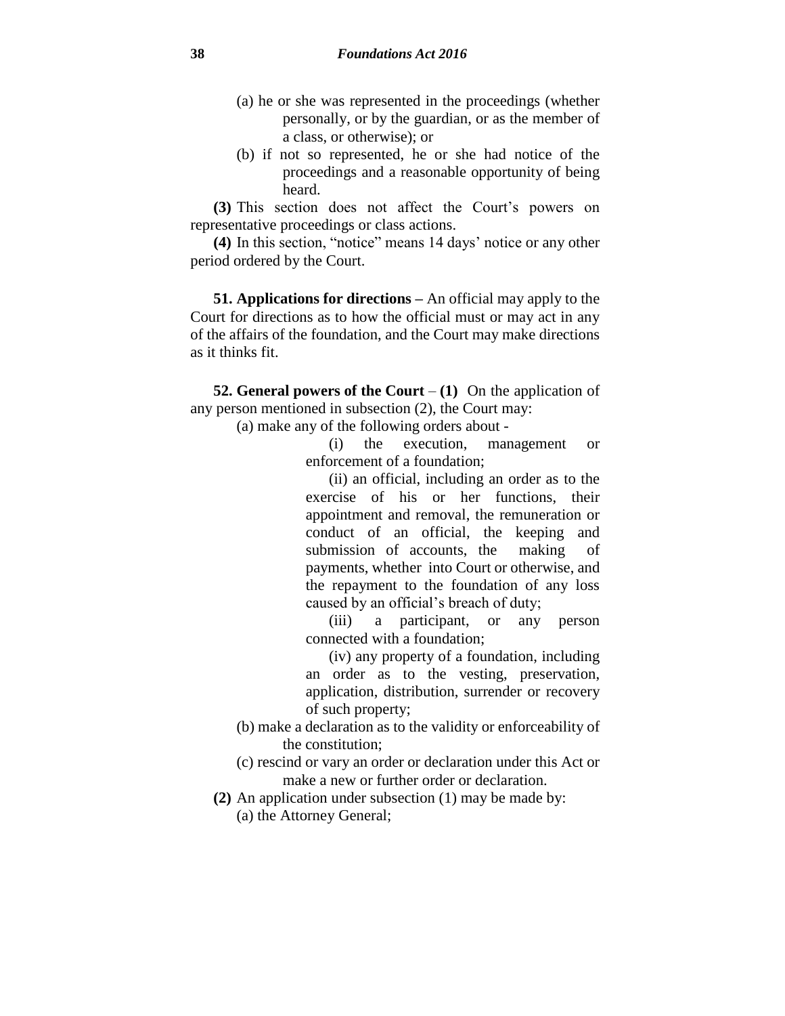- (a) he or she was represented in the proceedings (whether personally, or by the guardian, or as the member of a class, or otherwise); or
- (b) if not so represented, he or she had notice of the proceedings and a reasonable opportunity of being heard.

**(3)** This section does not affect the Court's powers on representative proceedings or class actions.

**(4)** In this section, "notice" means 14 days' notice or any other period ordered by the Court.

**51. Applications for directions –** An official may apply to the Court for directions as to how the official must or may act in any of the affairs of the foundation, and the Court may make directions as it thinks fit.

**52. General powers of the Court** – **(1)** On the application of any person mentioned in subsection (2), the Court may:

(a) make any of the following orders about -

(i) the execution, management or enforcement of a foundation;

(ii) an official, including an order as to the exercise of his or her functions, their appointment and removal, the remuneration or conduct of an official, the keeping and submission of accounts, the making of payments, whether into Court or otherwise, and the repayment to the foundation of any loss caused by an official's breach of duty;

(iii) a participant, or any person connected with a foundation;

(iv) any property of a foundation, including an order as to the vesting, preservation, application, distribution, surrender or recovery of such property;

- (b) make a declaration as to the validity or enforceability of the constitution;
- (c) rescind or vary an order or declaration under this Act or make a new or further order or declaration.
- **(2)** An application under subsection (1) may be made by:
	- (a) the Attorney General;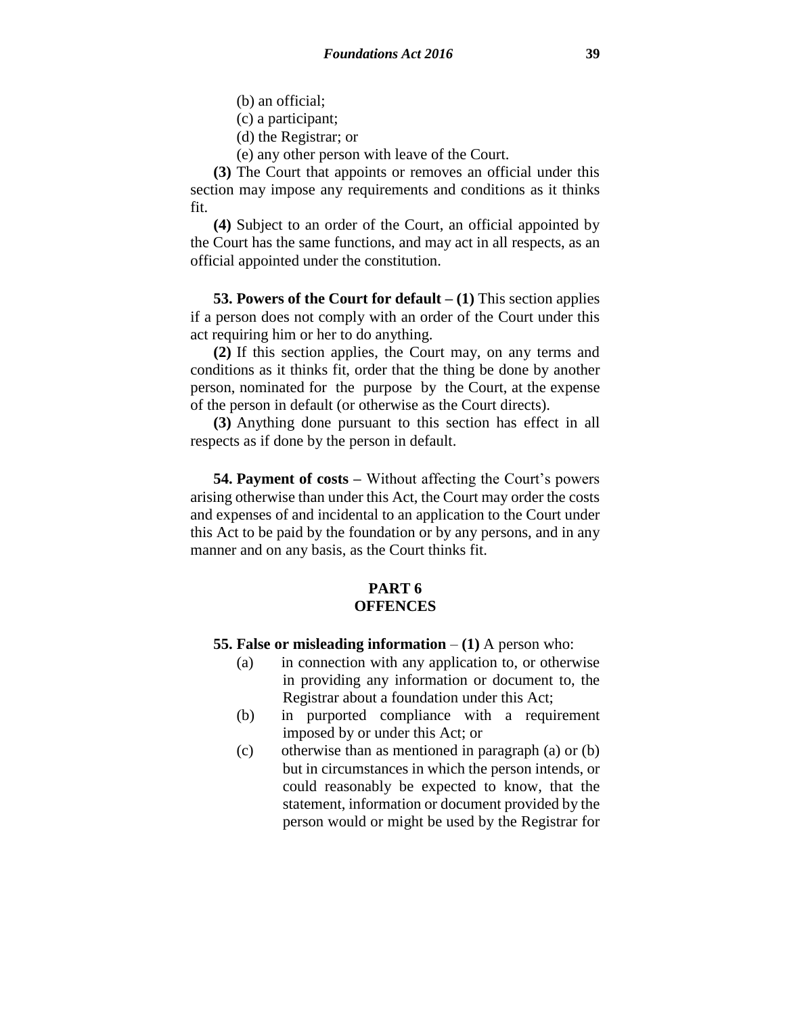(b) an official;

- (c) a participant;
- (d) the Registrar; or
- (e) any other person with leave of the Court.

**(3)** The Court that appoints or removes an official under this section may impose any requirements and conditions as it thinks fit.

**(4)** Subject to an order of the Court, an official appointed by the Court has the same functions, and may act in all respects, as an official appointed under the constitution.

**53. Powers of the Court for default – (1)** This section applies if a person does not comply with an order of the Court under this act requiring him or her to do anything.

**(2)** If this section applies, the Court may, on any terms and conditions as it thinks fit, order that the thing be done by another person, nominated for the purpose by the Court, at the expense of the person in default (or otherwise as the Court directs).

**(3)** Anything done pursuant to this section has effect in all respects as if done by the person in default.

**54. Payment of costs –** Without affecting the Court's powers arising otherwise than under this Act, the Court may order the costs and expenses of and incidental to an application to the Court under this Act to be paid by the foundation or by any persons, and in any manner and on any basis, as the Court thinks fit.

#### **PART 6 OFFENCES**

- **55. False or misleading information (1)** A person who:
	- (a) in connection with any application to, or otherwise in providing any information or document to, the Registrar about a foundation under this Act;
	- (b) in purported compliance with a requirement imposed by or under this Act; or
	- (c) otherwise than as mentioned in paragraph (a) or (b) but in circumstances in which the person intends, or could reasonably be expected to know, that the statement, information or document provided by the person would or might be used by the Registrar for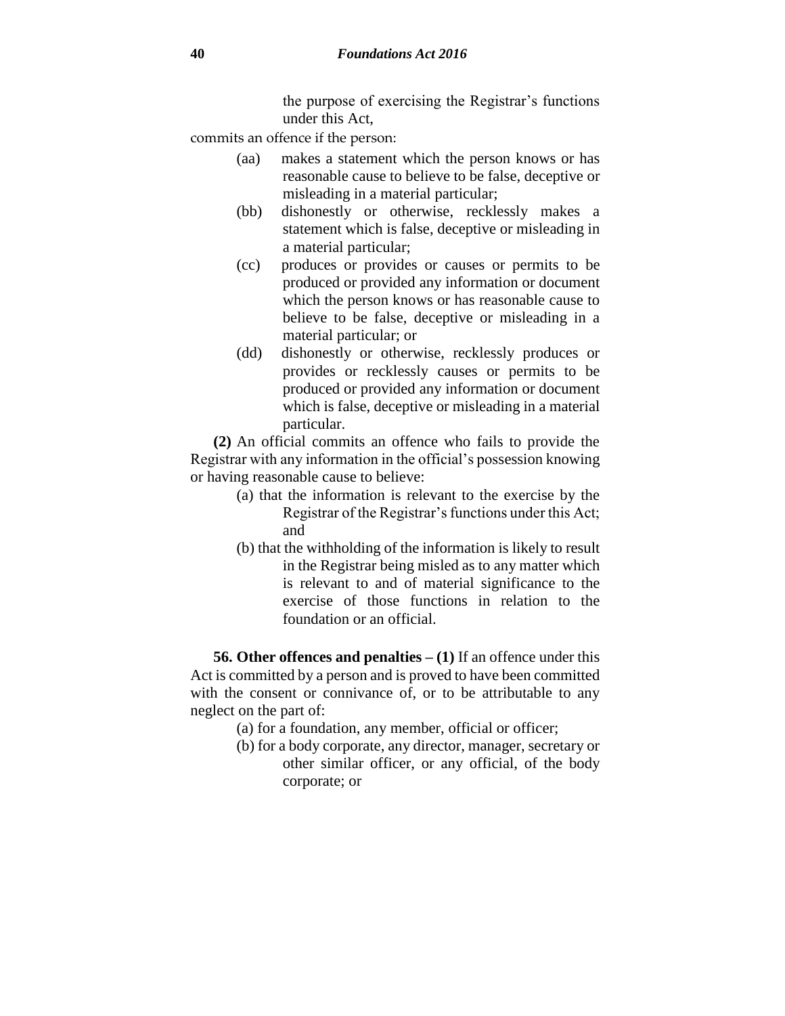the purpose of exercising the Registrar's functions under this Act,

commits an offence if the person:

- (aa) makes a statement which the person knows or has reasonable cause to believe to be false, deceptive or misleading in a material particular;
- (bb) dishonestly or otherwise, recklessly makes a statement which is false, deceptive or misleading in a material particular;
- (cc) produces or provides or causes or permits to be produced or provided any information or document which the person knows or has reasonable cause to believe to be false, deceptive or misleading in a material particular; or
- (dd) dishonestly or otherwise, recklessly produces or provides or recklessly causes or permits to be produced or provided any information or document which is false, deceptive or misleading in a material particular.

**(2)** An official commits an offence who fails to provide the Registrar with any information in the official's possession knowing or having reasonable cause to believe:

- (a) that the information is relevant to the exercise by the Registrar of the Registrar's functions under this Act; and
- (b) that the withholding of the information is likely to result in the Registrar being misled as to any matter which is relevant to and of material significance to the exercise of those functions in relation to the foundation or an official.

**56. Other offences and penalties – (1)** If an offence under this Act is committed by a person and is proved to have been committed with the consent or connivance of, or to be attributable to any neglect on the part of:

- (a) for a foundation, any member, official or officer;
- (b) for a body corporate, any director, manager, secretary or other similar officer, or any official, of the body corporate; or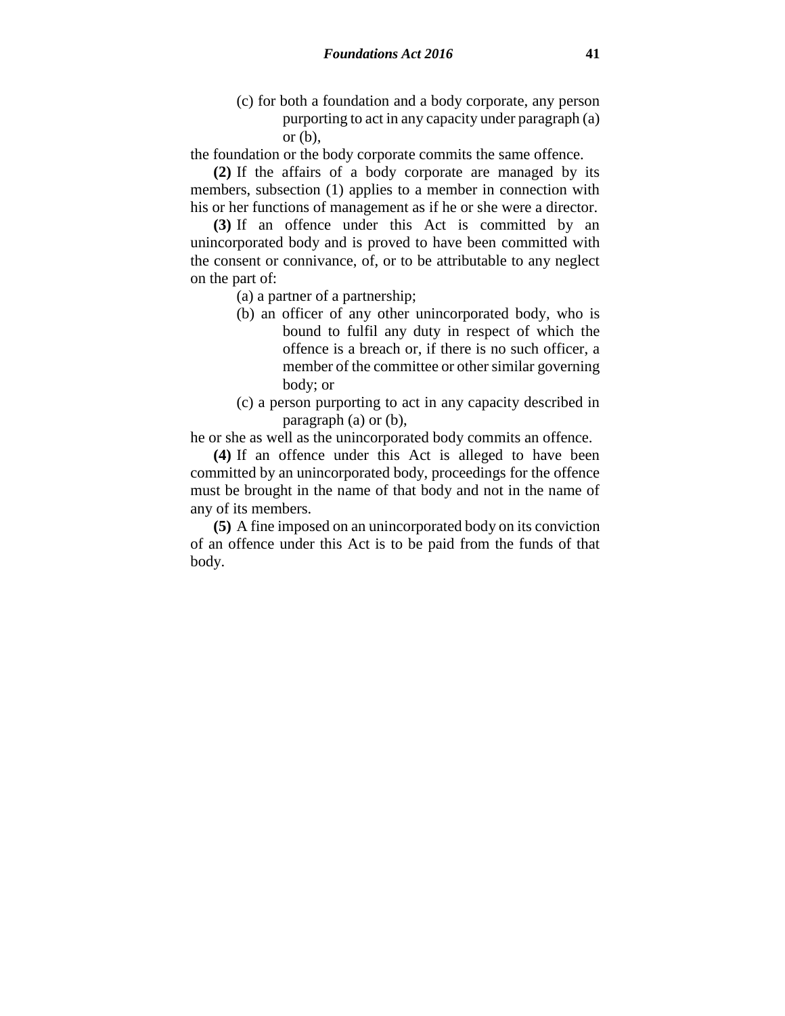- (c) for both a foundation and a body corporate, any person purporting to act in any capacity under paragraph (a) or  $(b)$ ,
- the foundation or the body corporate commits the same offence.

**(2)** If the affairs of a body corporate are managed by its members, subsection (1) applies to a member in connection with his or her functions of management as if he or she were a director.

**(3)** If an offence under this Act is committed by an unincorporated body and is proved to have been committed with the consent or connivance, of, or to be attributable to any neglect on the part of:

(a) a partner of a partnership;

- (b) an officer of any other unincorporated body, who is bound to fulfil any duty in respect of which the offence is a breach or, if there is no such officer, a member of the committee or other similar governing body; or
- (c) a person purporting to act in any capacity described in paragraph (a) or (b),

he or she as well as the unincorporated body commits an offence.

**(4)** If an offence under this Act is alleged to have been committed by an unincorporated body, proceedings for the offence must be brought in the name of that body and not in the name of any of its members.

**(5)** A fine imposed on an unincorporated body on its conviction of an offence under this Act is to be paid from the funds of that body.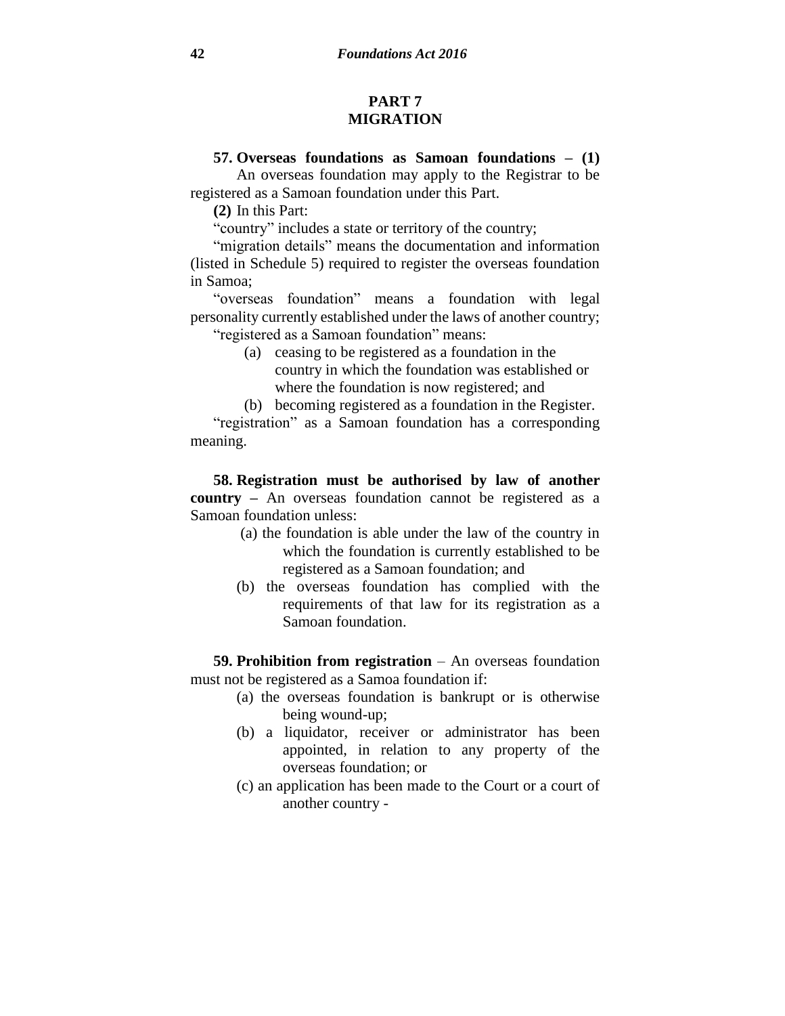#### **PART 7 MIGRATION**

### **57. Overseas foundations as Samoan foundations – (1)**

An overseas foundation may apply to the Registrar to be registered as a Samoan foundation under this Part.

**(2)** In this Part:

"country" includes a state or territory of the country;

"migration details" means the documentation and information (listed in Schedule 5) required to register the overseas foundation in Samoa;

"overseas foundation" means a foundation with legal personality currently established under the laws of another country; "registered as a Samoan foundation" means:

- (a) ceasing to be registered as a foundation in the country in which the foundation was established or where the foundation is now registered; and
- (b) becoming registered as a foundation in the Register.

"registration" as a Samoan foundation has a corresponding meaning.

**58. Registration must be authorised by law of another country –** An overseas foundation cannot be registered as a Samoan foundation unless:

- (a) the foundation is able under the law of the country in which the foundation is currently established to be registered as a Samoan foundation; and
- (b) the overseas foundation has complied with the requirements of that law for its registration as a Samoan foundation.

**59. Prohibition from registration** – An overseas foundation must not be registered as a Samoa foundation if:

- (a) the overseas foundation is bankrupt or is otherwise being wound-up;
- (b) a liquidator, receiver or administrator has been appointed, in relation to any property of the overseas foundation; or
- (c) an application has been made to the Court or a court of another country -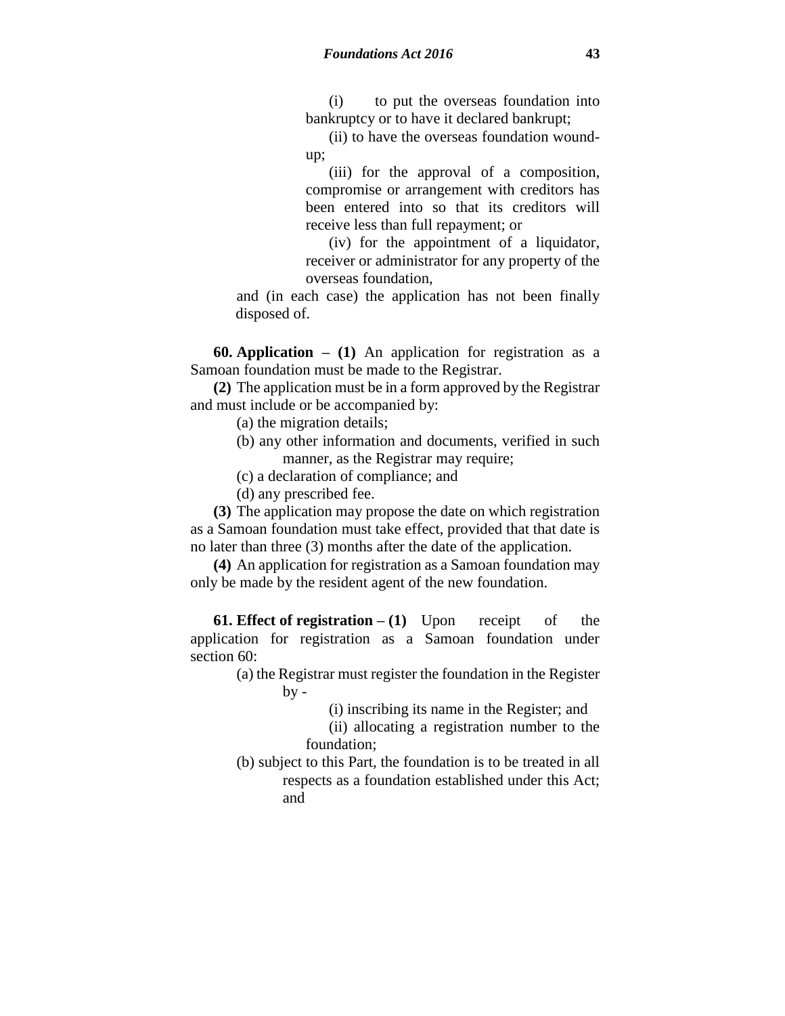(i) to put the overseas foundation into bankruptcy or to have it declared bankrupt;

(ii) to have the overseas foundation woundup;

(iii) for the approval of a composition, compromise or arrangement with creditors has been entered into so that its creditors will receive less than full repayment; or

(iv) for the appointment of a liquidator, receiver or administrator for any property of the overseas foundation,

and (in each case) the application has not been finally disposed of.

**60. Application – (1)** An application for registration as a Samoan foundation must be made to the Registrar.

**(2)** The application must be in a form approved by the Registrar and must include or be accompanied by:

(a) the migration details;

- (b) any other information and documents, verified in such manner, as the Registrar may require;
- (c) a declaration of compliance; and
- (d) any prescribed fee.

**(3)** The application may propose the date on which registration as a Samoan foundation must take effect, provided that that date is no later than three (3) months after the date of the application.

**(4)** An application for registration as a Samoan foundation may only be made by the resident agent of the new foundation.

**61. Effect of registration**  $- (1)$  **Upon receipt of the** application for registration as a Samoan foundation under section 60:

> (a) the Registrar must register the foundation in the Register  $by -$

> > (i) inscribing its name in the Register; and

(ii) allocating a registration number to the foundation;

(b) subject to this Part, the foundation is to be treated in all respects as a foundation established under this Act; and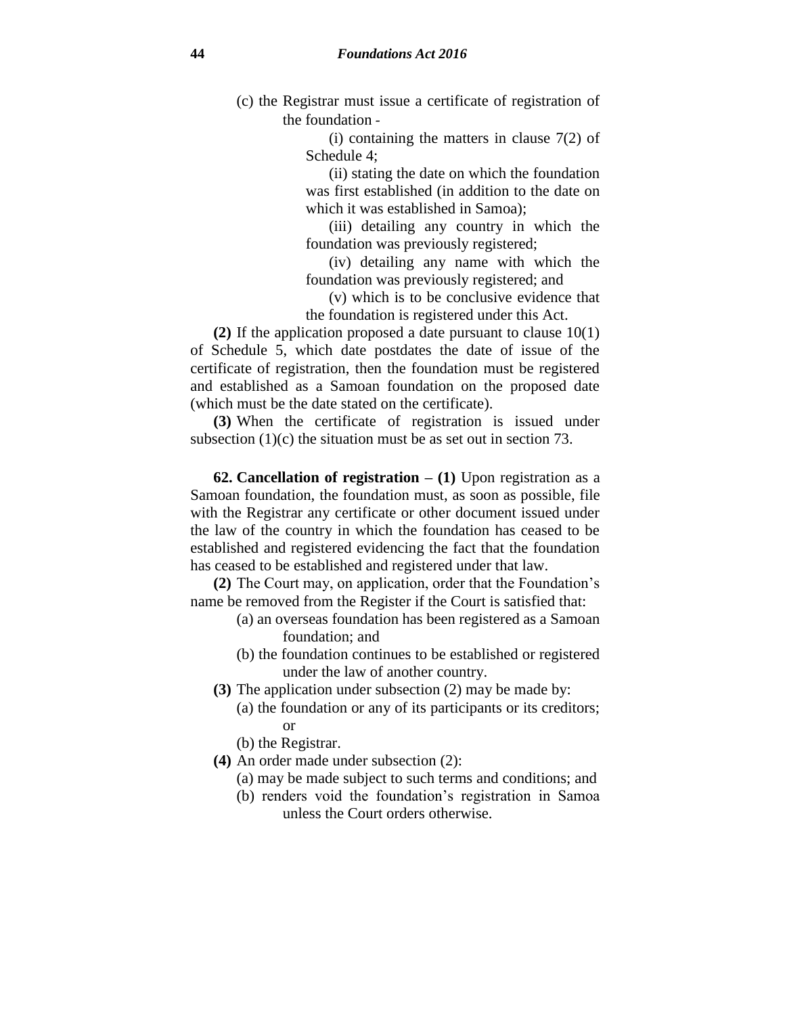(c) the Registrar must issue a certificate of registration of the foundation -

> (i) containing the matters in clause 7(2) of Schedule 4;

> (ii) stating the date on which the foundation was first established (in addition to the date on which it was established in Samoa);

> (iii) detailing any country in which the foundation was previously registered;

> (iv) detailing any name with which the foundation was previously registered; and

> (v) which is to be conclusive evidence that the foundation is registered under this Act.

**(2)** If the application proposed a date pursuant to clause 10(1) of Schedule 5, which date postdates the date of issue of the certificate of registration, then the foundation must be registered and established as a Samoan foundation on the proposed date (which must be the date stated on the certificate).

**(3)** When the certificate of registration is issued under subsection (1)(c) the situation must be as set out in section 73.

**62. Cancellation of registration – (1)** Upon registration as a Samoan foundation, the foundation must, as soon as possible, file with the Registrar any certificate or other document issued under the law of the country in which the foundation has ceased to be established and registered evidencing the fact that the foundation has ceased to be established and registered under that law.

**(2)** The Court may, on application, order that the Foundation's name be removed from the Register if the Court is satisfied that:

- (a) an overseas foundation has been registered as a Samoan foundation; and
- (b) the foundation continues to be established or registered under the law of another country.
- **(3)** The application under subsection (2) may be made by:
	- (a) the foundation or any of its participants or its creditors; or
	- (b) the Registrar.
- **(4)** An order made under subsection (2):
	- (a) may be made subject to such terms and conditions; and
	- (b) renders void the foundation's registration in Samoa unless the Court orders otherwise.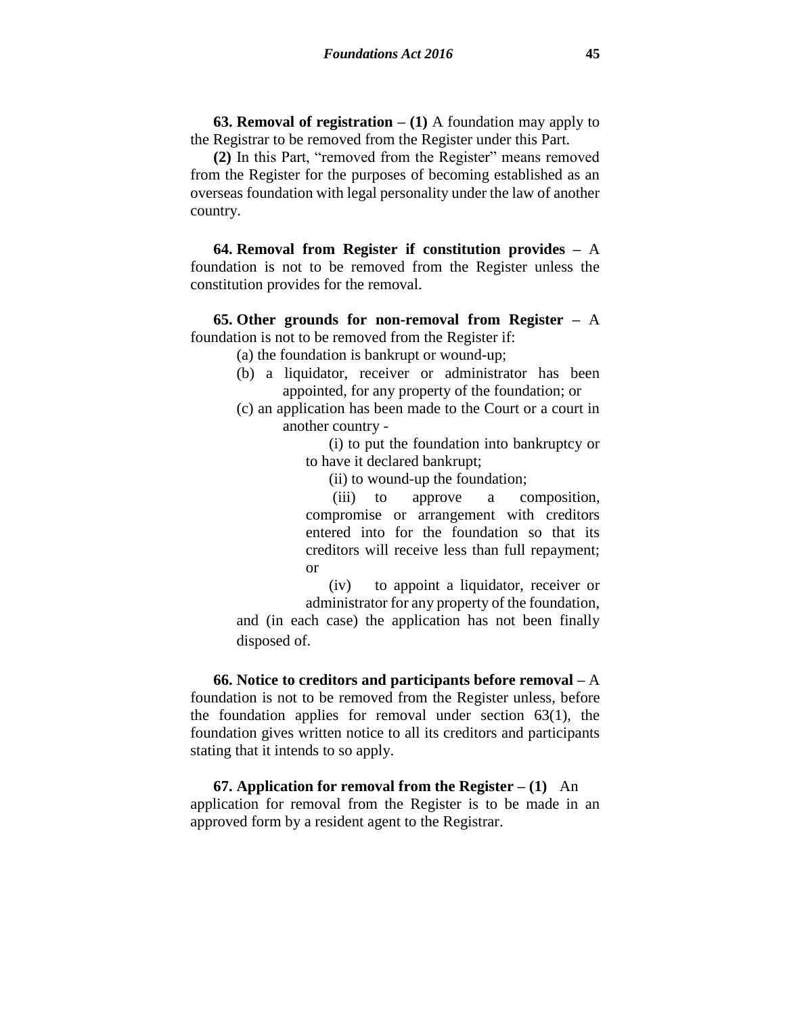**63. Removal of registration – (1)** A foundation may apply to the Registrar to be removed from the Register under this Part.

**(2)** In this Part, "removed from the Register" means removed from the Register for the purposes of becoming established as an overseas foundation with legal personality under the law of another country.

**64. Removal from Register if constitution provides –** A foundation is not to be removed from the Register unless the constitution provides for the removal.

**65. Other grounds for non-removal from Register –** A foundation is not to be removed from the Register if:

- (a) the foundation is bankrupt or wound-up;
- (b) a liquidator, receiver or administrator has been appointed, for any property of the foundation; or
- (c) an application has been made to the Court or a court in another country -

(i) to put the foundation into bankruptcy or to have it declared bankrupt;

(ii) to wound-up the foundation;

(iii) to approve a composition, compromise or arrangement with creditors entered into for the foundation so that its creditors will receive less than full repayment; or

(iv) to appoint a liquidator, receiver or administrator for any property of the foundation,

and (in each case) the application has not been finally disposed of.

**66. Notice to creditors and participants before removal –** A foundation is not to be removed from the Register unless, before the foundation applies for removal under section 63(1), the foundation gives written notice to all its creditors and participants stating that it intends to so apply.

**67. Application for removal from the Register – (1)** An application for removal from the Register is to be made in an approved form by a resident agent to the Registrar.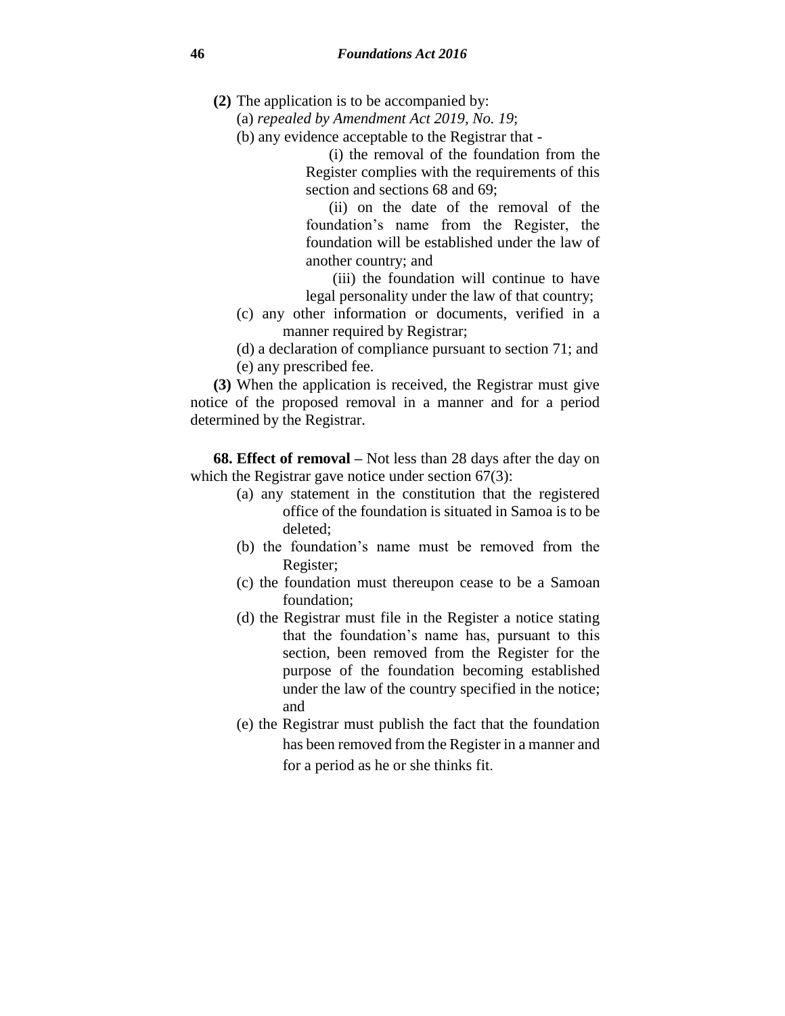- **(2)** The application is to be accompanied by:
	- (a) *repealed by Amendment Act 2019, No. 19*;
	- (b) any evidence acceptable to the Registrar that -

(i) the removal of the foundation from the Register complies with the requirements of this section and sections 68 and 69;

(ii) on the date of the removal of the foundation's name from the Register, the foundation will be established under the law of another country; and

(iii) the foundation will continue to have legal personality under the law of that country;

(c) any other information or documents, verified in a manner required by Registrar;

(d) a declaration of compliance pursuant to section 71; and (e) any prescribed fee.

**(3)** When the application is received, the Registrar must give notice of the proposed removal in a manner and for a period determined by the Registrar.

**68. Effect of removal –** Not less than 28 days after the day on which the Registrar gave notice under section 67(3):

- (a) any statement in the constitution that the registered office of the foundation is situated in Samoa is to be deleted;
- (b) the foundation's name must be removed from the Register;
- (c) the foundation must thereupon cease to be a Samoan foundation;
- (d) the Registrar must file in the Register a notice stating that the foundation's name has, pursuant to this section, been removed from the Register for the purpose of the foundation becoming established under the law of the country specified in the notice; and
- (e) the Registrar must publish the fact that the foundation has been removed from the Register in a manner and for a period as he or she thinks fit.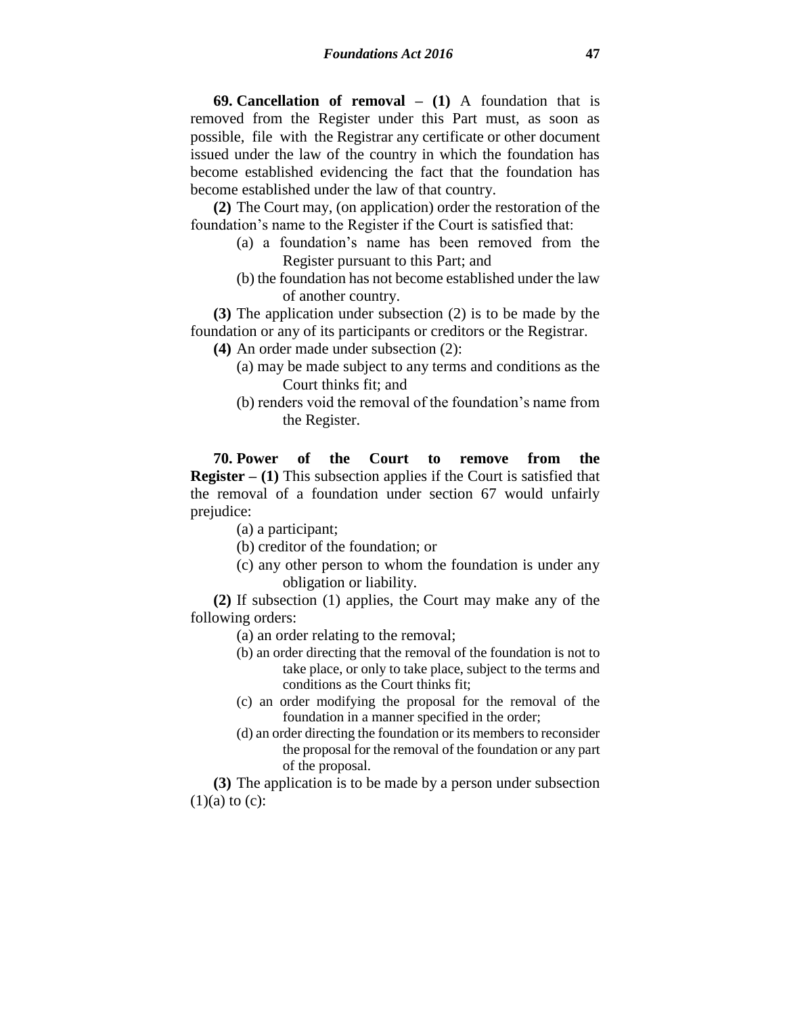**69. Cancellation of removal – (1)** A foundation that is removed from the Register under this Part must, as soon as possible, file with the Registrar any certificate or other document issued under the law of the country in which the foundation has become established evidencing the fact that the foundation has become established under the law of that country.

**(2)** The Court may, (on application) order the restoration of the foundation's name to the Register if the Court is satisfied that:

- (a) a foundation's name has been removed from the Register pursuant to this Part; and
- (b) the foundation has not become established under the law of another country.

**(3)** The application under subsection (2) is to be made by the foundation or any of its participants or creditors or the Registrar.

- **(4)** An order made under subsection (2):
	- (a) may be made subject to any terms and conditions as the Court thinks fit; and
	- (b) renders void the removal of the foundation's name from the Register.

**70. Power of the Court to remove from the Register – (1)** This subsection applies if the Court is satisfied that the removal of a foundation under section 67 would unfairly prejudice:

(a) a participant;

- (b) creditor of the foundation; or
- (c) any other person to whom the foundation is under any obligation or liability.

**(2)** If subsection (1) applies, the Court may make any of the following orders:

(a) an order relating to the removal;

- (b) an order directing that the removal of the foundation is not to take place, or only to take place, subject to the terms and conditions as the Court thinks fit;
- (c) an order modifying the proposal for the removal of the foundation in a manner specified in the order;
- (d) an order directing the foundation or its members to reconsider the proposal for the removal of the foundation or any part of the proposal.

**(3)** The application is to be made by a person under subsection  $(1)(a)$  to  $(c)$ :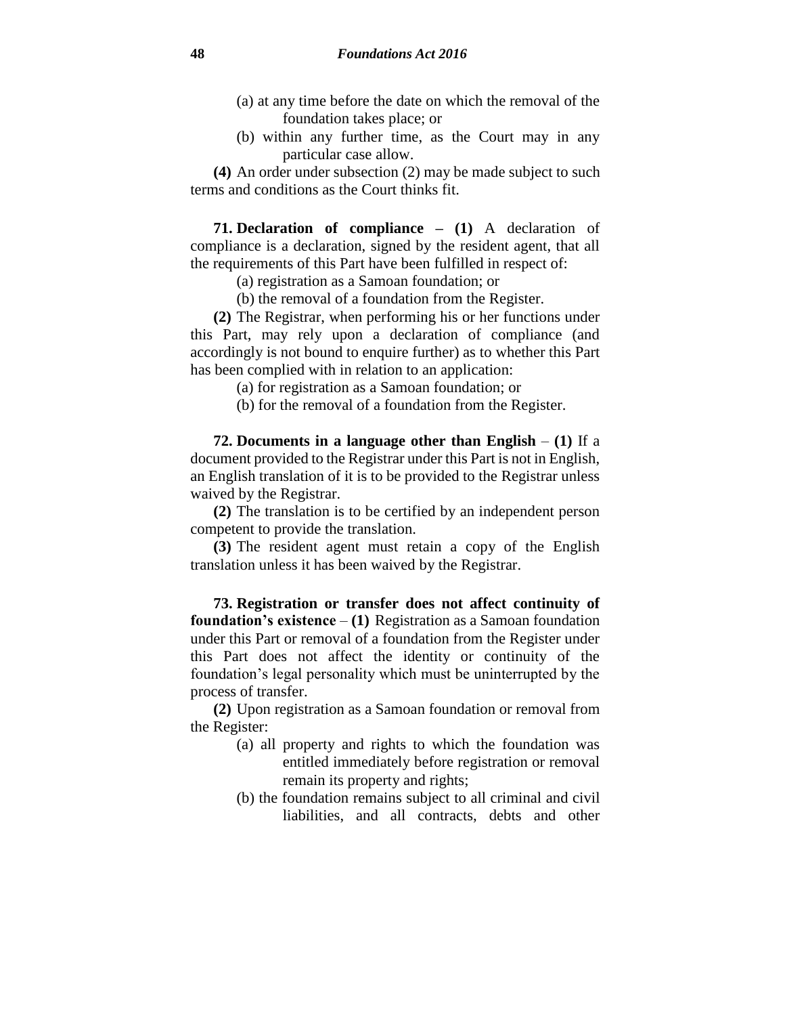- (a) at any time before the date on which the removal of the foundation takes place; or
- (b) within any further time, as the Court may in any particular case allow.

**(4)** An order under subsection (2) may be made subject to such terms and conditions as the Court thinks fit.

**71. Declaration of compliance – (1)** A declaration of compliance is a declaration, signed by the resident agent, that all the requirements of this Part have been fulfilled in respect of:

(a) registration as a Samoan foundation; or

(b) the removal of a foundation from the Register.

**(2)** The Registrar, when performing his or her functions under this Part, may rely upon a declaration of compliance (and accordingly is not bound to enquire further) as to whether this Part has been complied with in relation to an application:

(a) for registration as a Samoan foundation; or

(b) for the removal of a foundation from the Register.

**72. Documents in a language other than English** – **(1)** If a document provided to the Registrar under this Part is not in English, an English translation of it is to be provided to the Registrar unless waived by the Registrar.

**(2)** The translation is to be certified by an independent person competent to provide the translation.

**(3)** The resident agent must retain a copy of the English translation unless it has been waived by the Registrar.

**73. Registration or transfer does not affect continuity of foundation's existence** – **(1)** Registration as a Samoan foundation under this Part or removal of a foundation from the Register under this Part does not affect the identity or continuity of the foundation's legal personality which must be uninterrupted by the process of transfer.

**(2)** Upon registration as a Samoan foundation or removal from the Register:

- (a) all property and rights to which the foundation was entitled immediately before registration or removal remain its property and rights;
- (b) the foundation remains subject to all criminal and civil liabilities, and all contracts, debts and other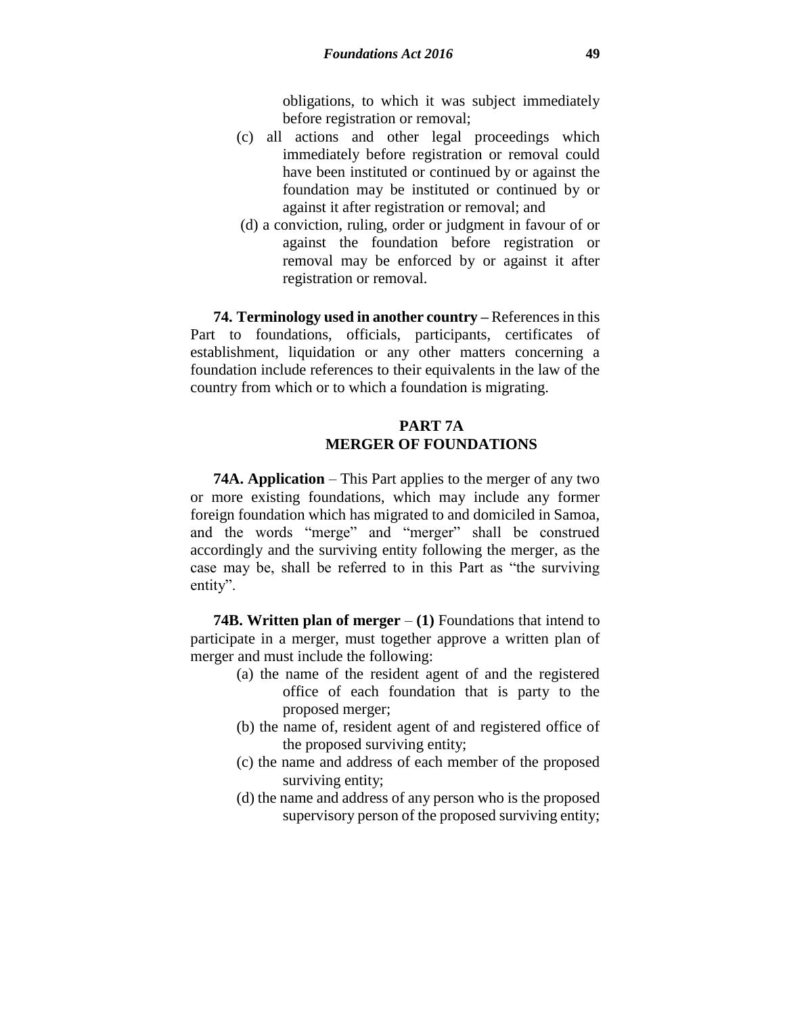obligations, to which it was subject immediately before registration or removal;

- (c) all actions and other legal proceedings which immediately before registration or removal could have been instituted or continued by or against the foundation may be instituted or continued by or against it after registration or removal; and
- (d) a conviction, ruling, order or judgment in favour of or against the foundation before registration or removal may be enforced by or against it after registration or removal.

**74. Terminology used in another country –** References in this Part to foundations, officials, participants, certificates of establishment, liquidation or any other matters concerning a foundation include references to their equivalents in the law of the country from which or to which a foundation is migrating.

# **PART 7A MERGER OF FOUNDATIONS**

**74A. Application** – This Part applies to the merger of any two or more existing foundations, which may include any former foreign foundation which has migrated to and domiciled in Samoa, and the words "merge" and "merger" shall be construed accordingly and the surviving entity following the merger, as the case may be, shall be referred to in this Part as "the surviving entity".

**74B. Written plan of merger** – **(1)** Foundations that intend to participate in a merger, must together approve a written plan of merger and must include the following:

- (a) the name of the resident agent of and the registered office of each foundation that is party to the proposed merger;
- (b) the name of, resident agent of and registered office of the proposed surviving entity;
- (c) the name and address of each member of the proposed surviving entity;
- (d) the name and address of any person who is the proposed supervisory person of the proposed surviving entity;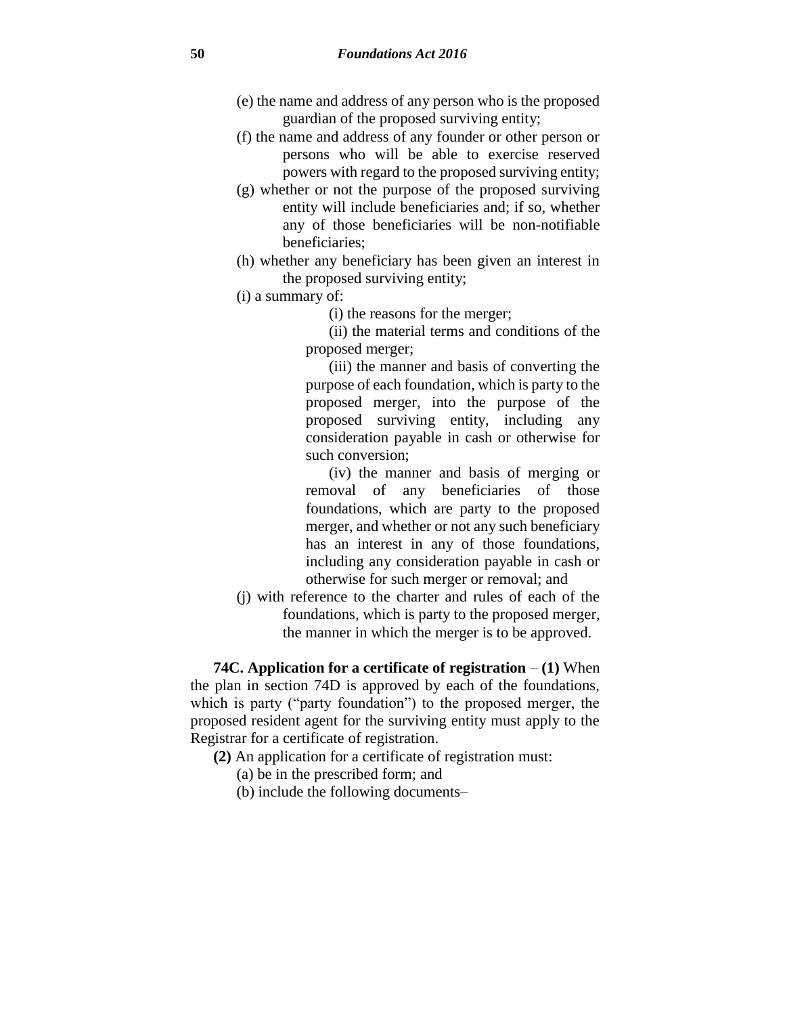- (e) the name and address of any person who is the proposed guardian of the proposed surviving entity;
- (f) the name and address of any founder or other person or persons who will be able to exercise reserved powers with regard to the proposed surviving entity;
- (g) whether or not the purpose of the proposed surviving entity will include beneficiaries and; if so, whether any of those beneficiaries will be non-notifiable beneficiaries;
- (h) whether any beneficiary has been given an interest in the proposed surviving entity;
- (i) a summary of:
	- (i) the reasons for the merger;

(ii) the material terms and conditions of the proposed merger;

(iii) the manner and basis of converting the purpose of each foundation, which is party to the proposed merger, into the purpose of the proposed surviving entity, including any consideration payable in cash or otherwise for such conversion;

(iv) the manner and basis of merging or removal of any beneficiaries of those foundations, which are party to the proposed merger, and whether or not any such beneficiary has an interest in any of those foundations, including any consideration payable in cash or otherwise for such merger or removal; and

(j) with reference to the charter and rules of each of the foundations, which is party to the proposed merger, the manner in which the merger is to be approved.

**74C. Application for a certificate of registration** – **(1)** When the plan in section 74D is approved by each of the foundations, which is party ("party foundation") to the proposed merger, the proposed resident agent for the surviving entity must apply to the Registrar for a certificate of registration.

- **(2)** An application for a certificate of registration must:
	- (a) be in the prescribed form; and
	- (b) include the following documents–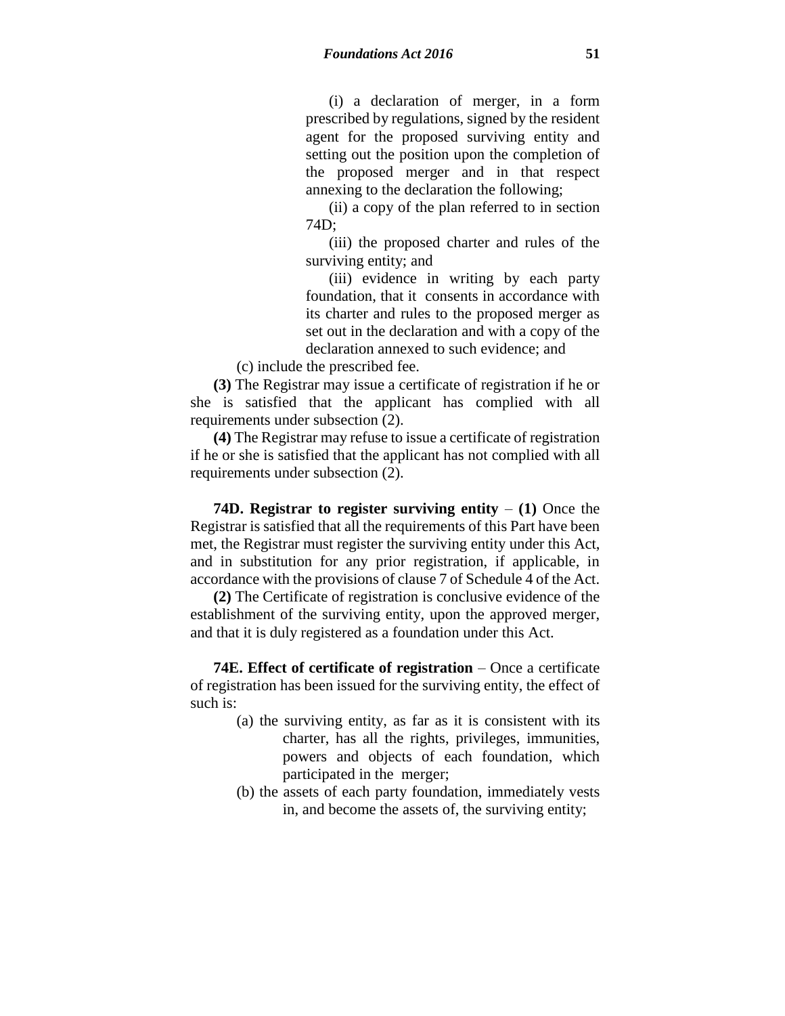(i) a declaration of merger, in a form prescribed by regulations, signed by the resident agent for the proposed surviving entity and setting out the position upon the completion of the proposed merger and in that respect annexing to the declaration the following;

(ii) a copy of the plan referred to in section 74D;

(iii) the proposed charter and rules of the surviving entity; and

(iii) evidence in writing by each party foundation, that it consents in accordance with its charter and rules to the proposed merger as set out in the declaration and with a copy of the declaration annexed to such evidence; and

(c) include the prescribed fee.

**(3)** The Registrar may issue a certificate of registration if he or she is satisfied that the applicant has complied with all requirements under subsection (2).

**(4)** The Registrar may refuse to issue a certificate of registration if he or she is satisfied that the applicant has not complied with all requirements under subsection (2).

**74D. Registrar to register surviving entity** – **(1)** Once the Registrar is satisfied that all the requirements of this Part have been met, the Registrar must register the surviving entity under this Act, and in substitution for any prior registration, if applicable, in accordance with the provisions of clause 7 of Schedule 4 of the Act.

**(2)** The Certificate of registration is conclusive evidence of the establishment of the surviving entity, upon the approved merger, and that it is duly registered as a foundation under this Act.

**74E. Effect of certificate of registration** – Once a certificate of registration has been issued for the surviving entity, the effect of such is:

- (a) the surviving entity, as far as it is consistent with its charter, has all the rights, privileges, immunities, powers and objects of each foundation, which participated in the merger;
- (b) the assets of each party foundation, immediately vests in, and become the assets of, the surviving entity;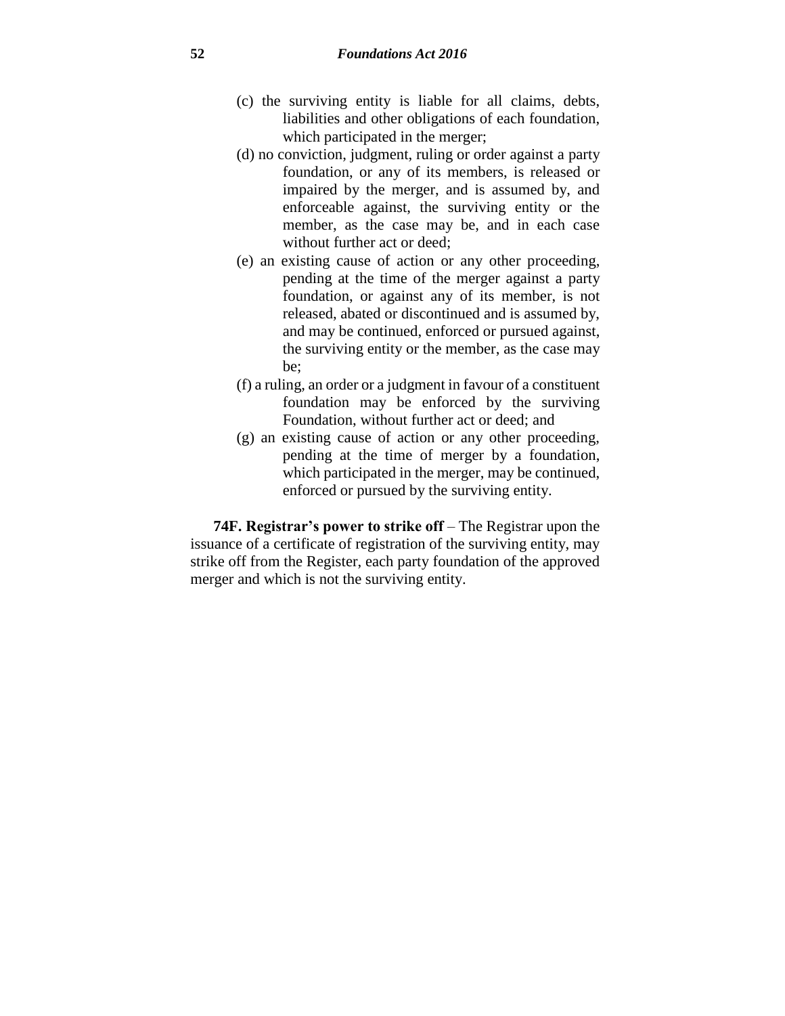- (c) the surviving entity is liable for all claims, debts, liabilities and other obligations of each foundation, which participated in the merger;
- (d) no conviction, judgment, ruling or order against a party foundation, or any of its members, is released or impaired by the merger, and is assumed by, and enforceable against, the surviving entity or the member, as the case may be, and in each case without further act or deed;
- (e) an existing cause of action or any other proceeding, pending at the time of the merger against a party foundation, or against any of its member, is not released, abated or discontinued and is assumed by, and may be continued, enforced or pursued against, the surviving entity or the member, as the case may be;
- (f) a ruling, an order or a judgment in favour of a constituent foundation may be enforced by the surviving Foundation, without further act or deed; and
- (g) an existing cause of action or any other proceeding, pending at the time of merger by a foundation, which participated in the merger, may be continued, enforced or pursued by the surviving entity.

**74F. Registrar's power to strike off** – The Registrar upon the issuance of a certificate of registration of the surviving entity, may strike off from the Register, each party foundation of the approved merger and which is not the surviving entity.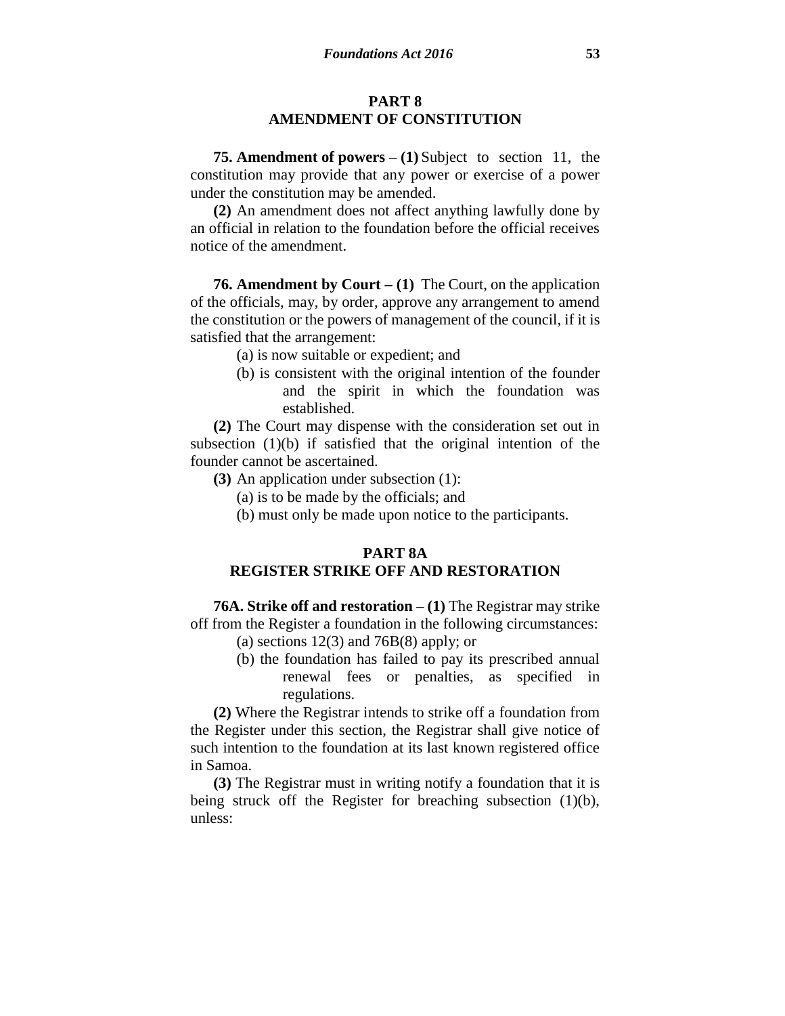#### **PART 8 AMENDMENT OF CONSTITUTION**

**75. Amendment of powers – (1)** Subject to section 11, the constitution may provide that any power or exercise of a power under the constitution may be amended.

**(2)** An amendment does not affect anything lawfully done by an official in relation to the foundation before the official receives notice of the amendment.

**76. Amendment by Court – (1)** The Court, on the application of the officials, may, by order, approve any arrangement to amend the constitution or the powers of management of the council, if it is satisfied that the arrangement:

- (a) is now suitable or expedient; and
- (b) is consistent with the original intention of the founder and the spirit in which the foundation was established.

**(2)** The Court may dispense with the consideration set out in subsection (1)(b) if satisfied that the original intention of the founder cannot be ascertained.

- **(3)** An application under subsection (1):
	- (a) is to be made by the officials; and
	- (b) must only be made upon notice to the participants.

#### **PART 8A**

# **REGISTER STRIKE OFF AND RESTORATION**

**76A. Strike off and restoration – (1)** The Registrar may strike off from the Register a foundation in the following circumstances:

- (a) sections  $12(3)$  and  $76B(8)$  apply; or
- (b) the foundation has failed to pay its prescribed annual renewal fees or penalties, as specified in regulations.

**(2)** Where the Registrar intends to strike off a foundation from the Register under this section, the Registrar shall give notice of such intention to the foundation at its last known registered office in Samoa.

**(3)** The Registrar must in writing notify a foundation that it is being struck off the Register for breaching subsection (1)(b), unless: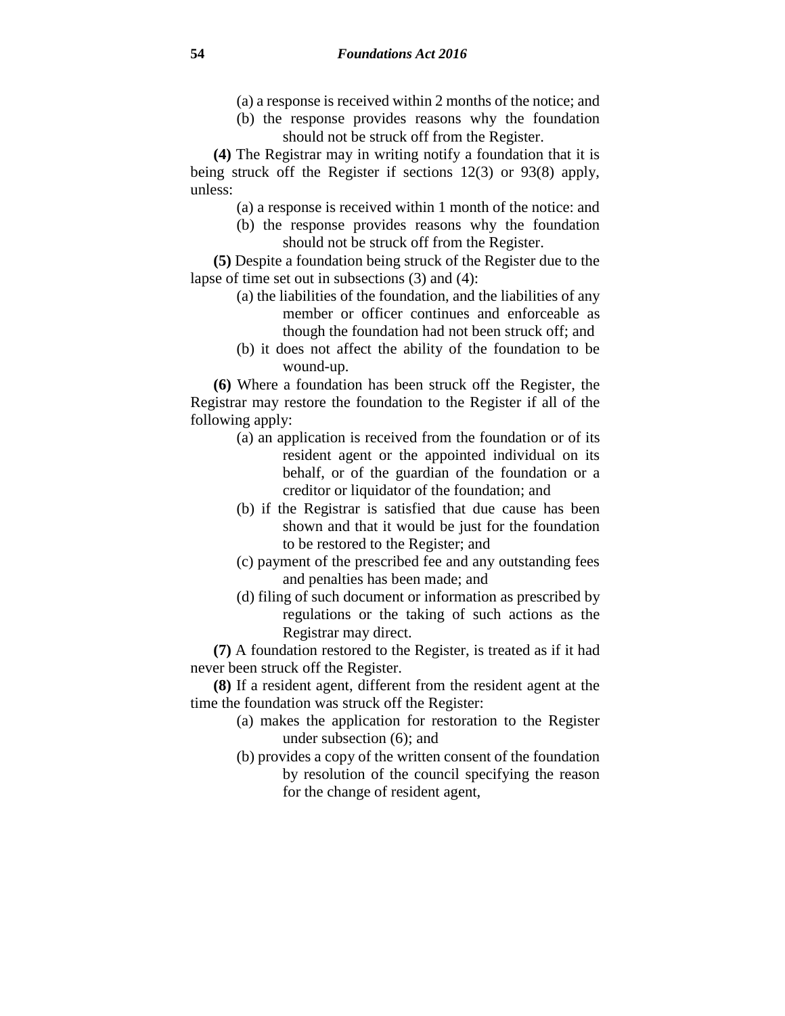- (a) a response is received within 2 months of the notice; and
- (b) the response provides reasons why the foundation should not be struck off from the Register.

**(4)** The Registrar may in writing notify a foundation that it is being struck off the Register if sections 12(3) or 93(8) apply, unless:

- (a) a response is received within 1 month of the notice: and
- (b) the response provides reasons why the foundation should not be struck off from the Register.

**(5)** Despite a foundation being struck of the Register due to the lapse of time set out in subsections (3) and (4):

- (a) the liabilities of the foundation, and the liabilities of any member or officer continues and enforceable as though the foundation had not been struck off; and
- (b) it does not affect the ability of the foundation to be wound-up.

**(6)** Where a foundation has been struck off the Register, the Registrar may restore the foundation to the Register if all of the following apply:

- (a) an application is received from the foundation or of its resident agent or the appointed individual on its behalf, or of the guardian of the foundation or a creditor or liquidator of the foundation; and
- (b) if the Registrar is satisfied that due cause has been shown and that it would be just for the foundation to be restored to the Register; and
- (c) payment of the prescribed fee and any outstanding fees and penalties has been made; and
- (d) filing of such document or information as prescribed by regulations or the taking of such actions as the Registrar may direct.

**(7)** A foundation restored to the Register, is treated as if it had never been struck off the Register.

**(8)** If a resident agent, different from the resident agent at the time the foundation was struck off the Register:

- (a) makes the application for restoration to the Register under subsection (6); and
- (b) provides a copy of the written consent of the foundation by resolution of the council specifying the reason for the change of resident agent,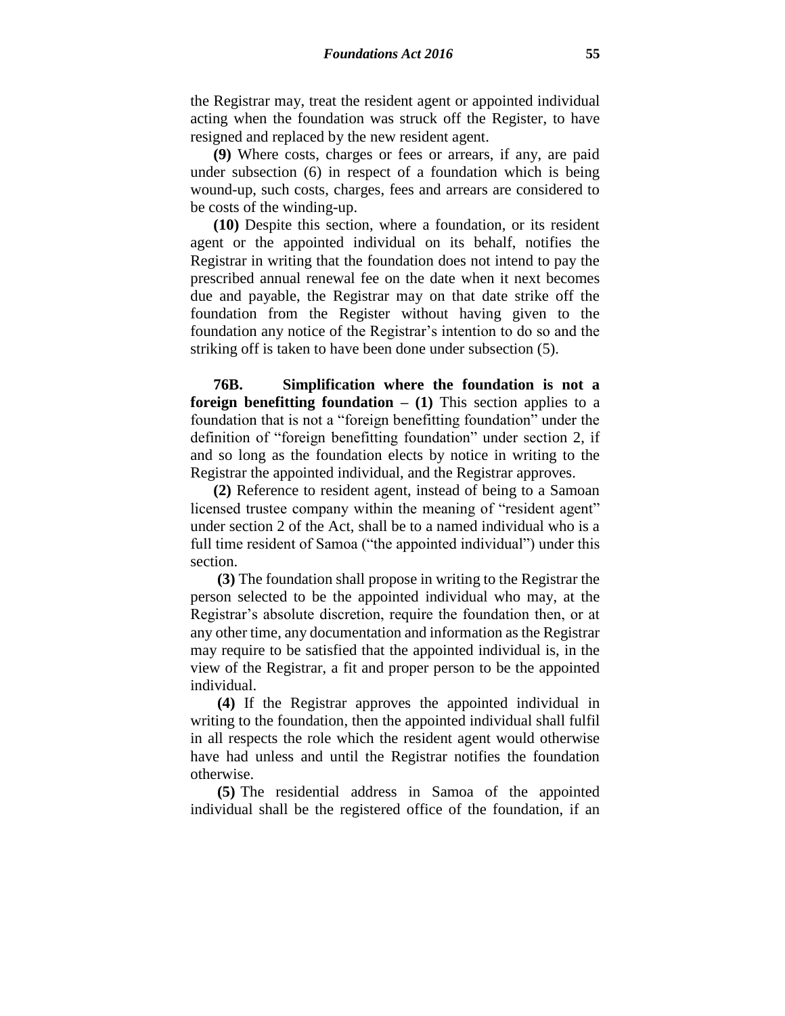the Registrar may, treat the resident agent or appointed individual acting when the foundation was struck off the Register, to have resigned and replaced by the new resident agent.

**(9)** Where costs, charges or fees or arrears, if any, are paid under subsection (6) in respect of a foundation which is being wound-up, such costs, charges, fees and arrears are considered to be costs of the winding-up.

**(10)** Despite this section, where a foundation, or its resident agent or the appointed individual on its behalf, notifies the Registrar in writing that the foundation does not intend to pay the prescribed annual renewal fee on the date when it next becomes due and payable, the Registrar may on that date strike off the foundation from the Register without having given to the foundation any notice of the Registrar's intention to do so and the striking off is taken to have been done under subsection (5).

**76B. Simplification where the foundation is not a foreign benefitting foundation**  $- (1)$  **This section applies to a** foundation that is not a "foreign benefitting foundation" under the definition of "foreign benefitting foundation" under section 2, if and so long as the foundation elects by notice in writing to the Registrar the appointed individual, and the Registrar approves.

**(2)** Reference to resident agent, instead of being to a Samoan licensed trustee company within the meaning of "resident agent" under section 2 of the Act, shall be to a named individual who is a full time resident of Samoa ("the appointed individual") under this section.

**(3)** The foundation shall propose in writing to the Registrar the person selected to be the appointed individual who may, at the Registrar's absolute discretion, require the foundation then, or at any other time, any documentation and information as the Registrar may require to be satisfied that the appointed individual is, in the view of the Registrar, a fit and proper person to be the appointed individual.

**(4)** If the Registrar approves the appointed individual in writing to the foundation, then the appointed individual shall fulfil in all respects the role which the resident agent would otherwise have had unless and until the Registrar notifies the foundation otherwise.

**(5)** The residential address in Samoa of the appointed individual shall be the registered office of the foundation, if an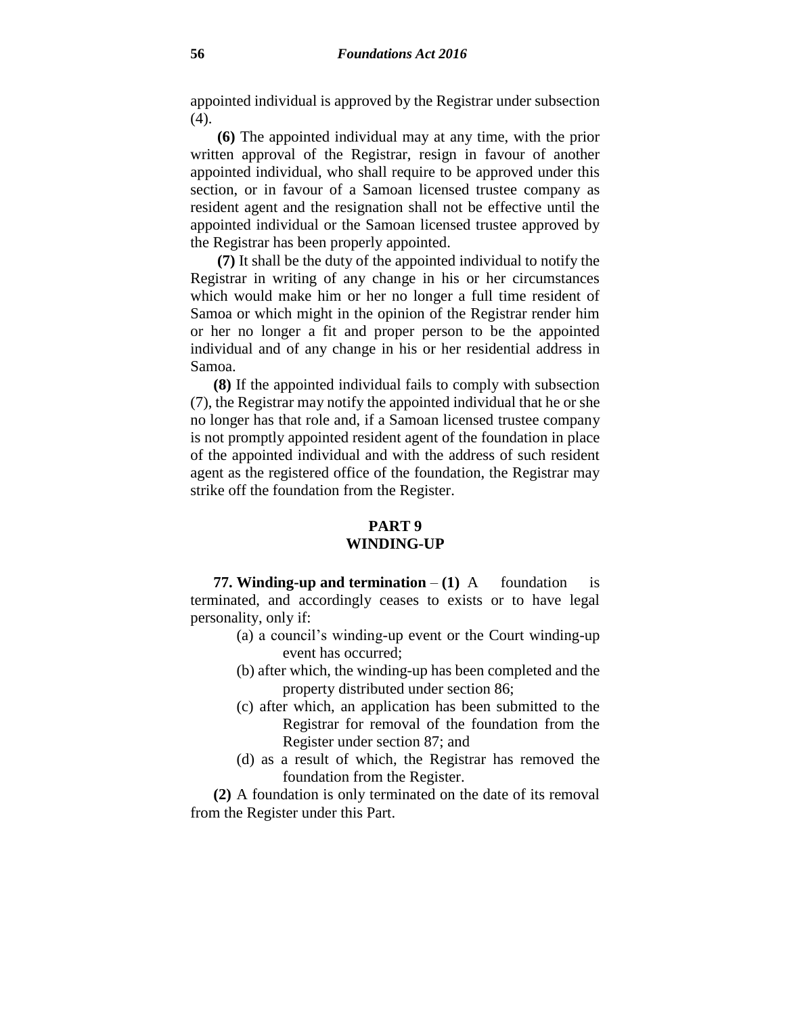appointed individual is approved by the Registrar under subsection (4).

**(6)** The appointed individual may at any time, with the prior written approval of the Registrar, resign in favour of another appointed individual, who shall require to be approved under this section, or in favour of a Samoan licensed trustee company as resident agent and the resignation shall not be effective until the appointed individual or the Samoan licensed trustee approved by the Registrar has been properly appointed.

**(7)** It shall be the duty of the appointed individual to notify the Registrar in writing of any change in his or her circumstances which would make him or her no longer a full time resident of Samoa or which might in the opinion of the Registrar render him or her no longer a fit and proper person to be the appointed individual and of any change in his or her residential address in Samoa.

**(8)** If the appointed individual fails to comply with subsection (7), the Registrar may notify the appointed individual that he or she no longer has that role and, if a Samoan licensed trustee company is not promptly appointed resident agent of the foundation in place of the appointed individual and with the address of such resident agent as the registered office of the foundation, the Registrar may strike off the foundation from the Register.

## **PART 9 WINDING-UP**

**77. Winding-up and termination**  $-(1)$  A foundation is terminated, and accordingly ceases to exists or to have legal personality, only if:

- (a) a council's winding-up event or the Court winding-up event has occurred;
- (b) after which, the winding-up has been completed and the property distributed under section 86;
- (c) after which, an application has been submitted to the Registrar for removal of the foundation from the Register under section 87; and
- (d) as a result of which, the Registrar has removed the foundation from the Register.

**(2)** A foundation is only terminated on the date of its removal from the Register under this Part.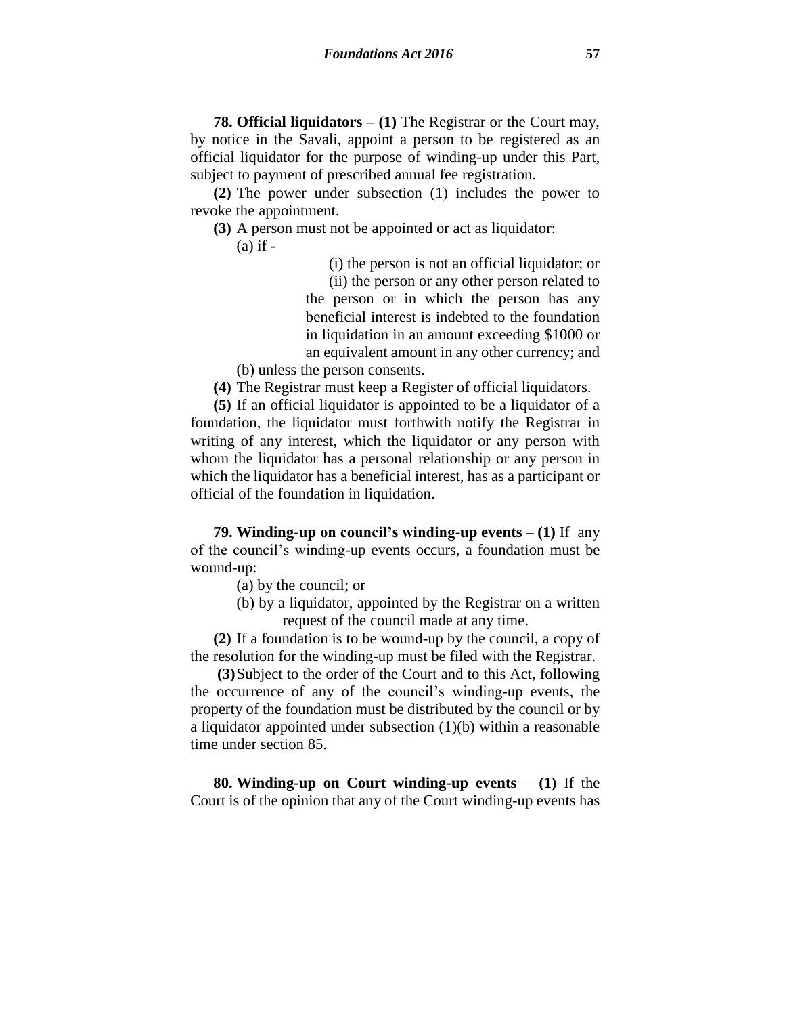**78. Official liquidators – (1)** The Registrar or the Court may, by notice in the Savali, appoint a person to be registered as an official liquidator for the purpose of winding-up under this Part, subject to payment of prescribed annual fee registration.

**(2)** The power under subsection (1) includes the power to revoke the appointment.

**(3)** A person must not be appointed or act as liquidator:

 $(a)$  if  $-$ 

(i) the person is not an official liquidator; or

(ii) the person or any other person related to the person or in which the person has any beneficial interest is indebted to the foundation in liquidation in an amount exceeding \$1000 or an equivalent amount in any other currency; and

(b) unless the person consents.

**(4)** The Registrar must keep a Register of official liquidators.

**(5)** If an official liquidator is appointed to be a liquidator of a foundation, the liquidator must forthwith notify the Registrar in writing of any interest, which the liquidator or any person with whom the liquidator has a personal relationship or any person in which the liquidator has a beneficial interest, has as a participant or official of the foundation in liquidation.

**79.** Winding-up on council's winding-up events  $- (1)$  If any of the council's winding-up events occurs, a foundation must be wound-up:

- (a) by the council; or
- (b) by a liquidator, appointed by the Registrar on a written request of the council made at any time.

**(2)** If a foundation is to be wound-up by the council, a copy of the resolution for the winding-up must be filed with the Registrar.

**(3)**Subject to the order of the Court and to this Act, following the occurrence of any of the council's winding-up events, the property of the foundation must be distributed by the council or by a liquidator appointed under subsection (1)(b) within a reasonable time under section 85.

**80. Winding-up on Court winding-up events** – **(1)** If the Court is of the opinion that any of the Court winding-up events has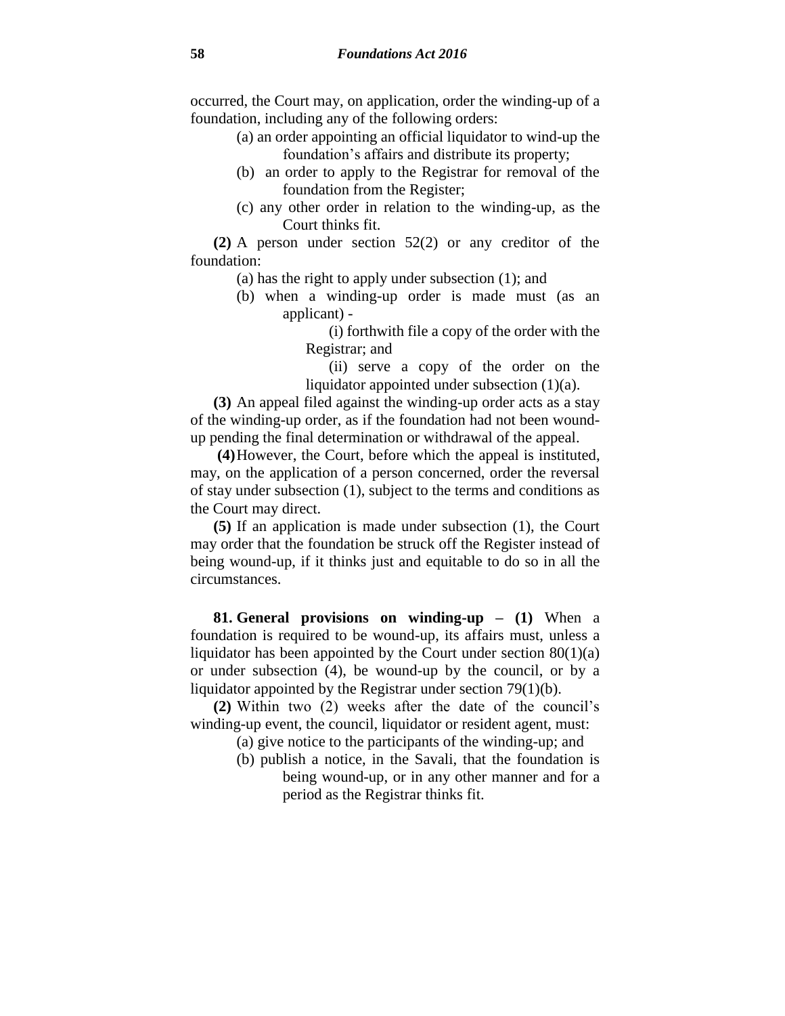occurred, the Court may, on application, order the winding-up of a foundation, including any of the following orders:

- (a) an order appointing an official liquidator to wind-up the foundation's affairs and distribute its property;
- (b) an order to apply to the Registrar for removal of the foundation from the Register;
- (c) any other order in relation to the winding-up, as the Court thinks fit.

**(2)** A person under section 52(2) or any creditor of the foundation:

(a) has the right to apply under subsection (1); and

(b) when a winding-up order is made must (as an applicant) -

> (i) forthwith file a copy of the order with the Registrar; and

> (ii) serve a copy of the order on the liquidator appointed under subsection (1)(a).

**(3)** An appeal filed against the winding-up order acts as a stay of the winding-up order, as if the foundation had not been woundup pending the final determination or withdrawal of the appeal.

**(4)**However, the Court, before which the appeal is instituted, may, on the application of a person concerned, order the reversal of stay under subsection (1), subject to the terms and conditions as the Court may direct.

**(5)** If an application is made under subsection (1), the Court may order that the foundation be struck off the Register instead of being wound-up, if it thinks just and equitable to do so in all the circumstances.

**81. General provisions on winding-up – (1)** When a foundation is required to be wound-up, its affairs must, unless a liquidator has been appointed by the Court under section  $80(1)(a)$ or under subsection (4), be wound-up by the council, or by a liquidator appointed by the Registrar under section 79(1)(b).

**(2)** Within two (2) weeks after the date of the council's winding-up event, the council, liquidator or resident agent, must:

(a) give notice to the participants of the winding-up; and

(b) publish a notice, in the Savali, that the foundation is being wound-up, or in any other manner and for a period as the Registrar thinks fit.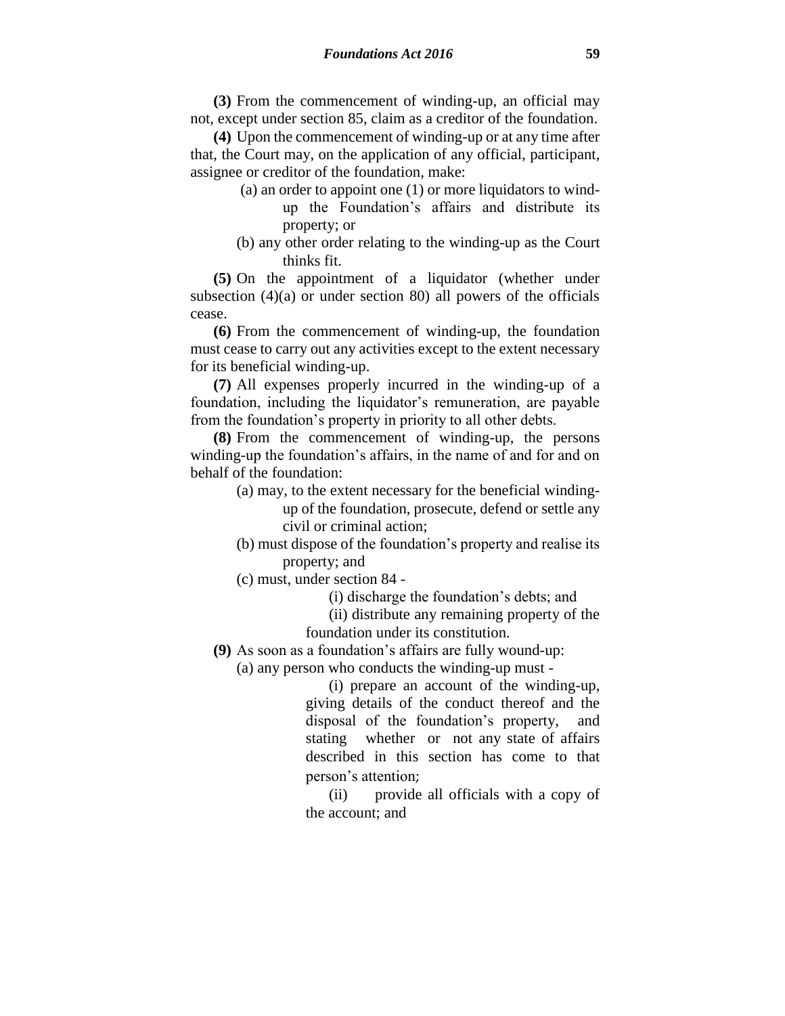**(3)** From the commencement of winding-up, an official may not, except under section 85, claim as a creditor of the foundation.

**(4)** Upon the commencement of winding-up or at any time after that, the Court may, on the application of any official, participant, assignee or creditor of the foundation, make:

- (a) an order to appoint one (1) or more liquidators to windup the Foundation's affairs and distribute its property; or
- (b) any other order relating to the winding-up as the Court thinks fit.

**(5)** On the appointment of a liquidator (whether under subsection  $(4)(a)$  or under section 80) all powers of the officials cease.

**(6)** From the commencement of winding-up, the foundation must cease to carry out any activities except to the extent necessary for its beneficial winding-up.

**(7)** All expenses properly incurred in the winding-up of a foundation, including the liquidator's remuneration, are payable from the foundation's property in priority to all other debts.

**(8)** From the commencement of winding-up, the persons winding-up the foundation's affairs, in the name of and for and on behalf of the foundation:

- (a) may, to the extent necessary for the beneficial windingup of the foundation, prosecute, defend or settle any civil or criminal action;
- (b) must dispose of the foundation's property and realise its property; and
- (c) must, under section 84 -

(i) discharge the foundation's debts; and

(ii) distribute any remaining property of the foundation under its constitution.

**(9)** As soon as a foundation's affairs are fully wound-up:

(a) any person who conducts the winding-up must -

(i) prepare an account of the winding-up, giving details of the conduct thereof and the disposal of the foundation's property, and stating whether or not any state of affairs described in this section has come to that person's attention;

(ii) provide all officials with a copy of the account; and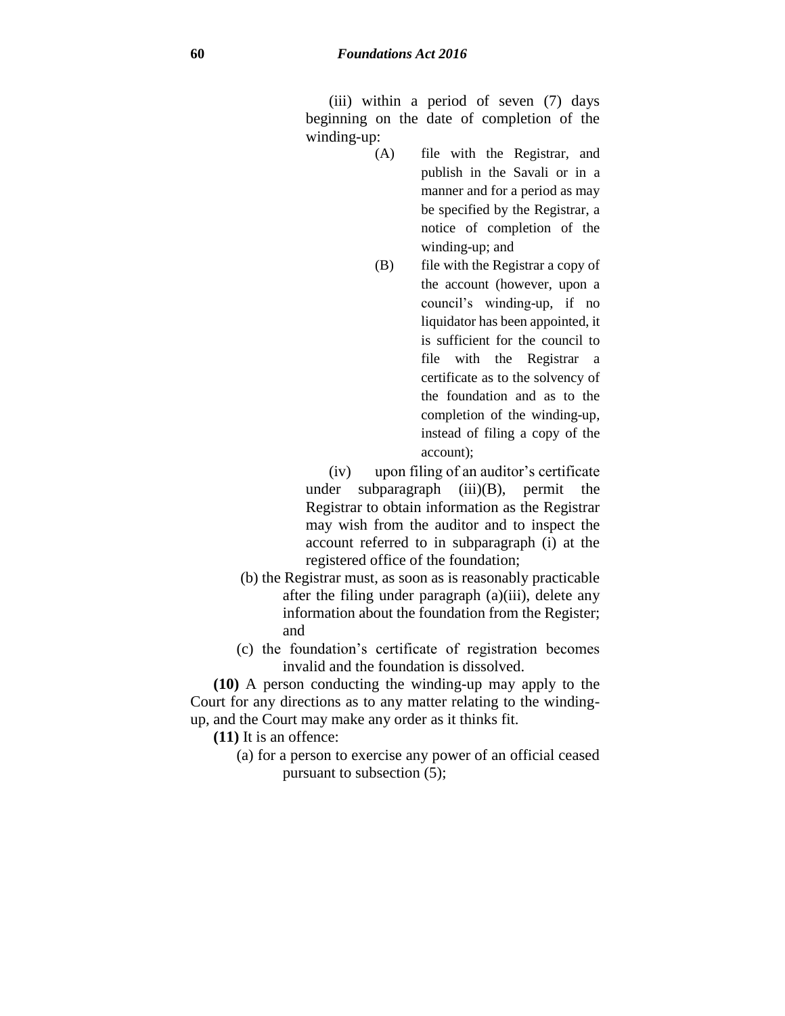(iii) within a period of seven (7) days beginning on the date of completion of the winding-up:

- (A) file with the Registrar, and publish in the Savali or in a manner and for a period as may be specified by the Registrar, a notice of completion of the winding-up; and
- (B) file with the Registrar a copy of the account (however, upon a council's winding-up, if no liquidator has been appointed, it is sufficient for the council to file with the Registrar a certificate as to the solvency of the foundation and as to the completion of the winding-up, instead of filing a copy of the account);
- (iv) upon filing of an auditor's certificate under subparagraph (iii)(B), permit the Registrar to obtain information as the Registrar may wish from the auditor and to inspect the account referred to in subparagraph (i) at the registered office of the foundation;
- (b) the Registrar must, as soon as is reasonably practicable after the filing under paragraph (a)(iii), delete any information about the foundation from the Register; and
- (c) the foundation's certificate of registration becomes invalid and the foundation is dissolved.

**(10)** A person conducting the winding-up may apply to the Court for any directions as to any matter relating to the windingup, and the Court may make any order as it thinks fit.

**(11)** It is an offence:

(a) for a person to exercise any power of an official ceased pursuant to subsection (5);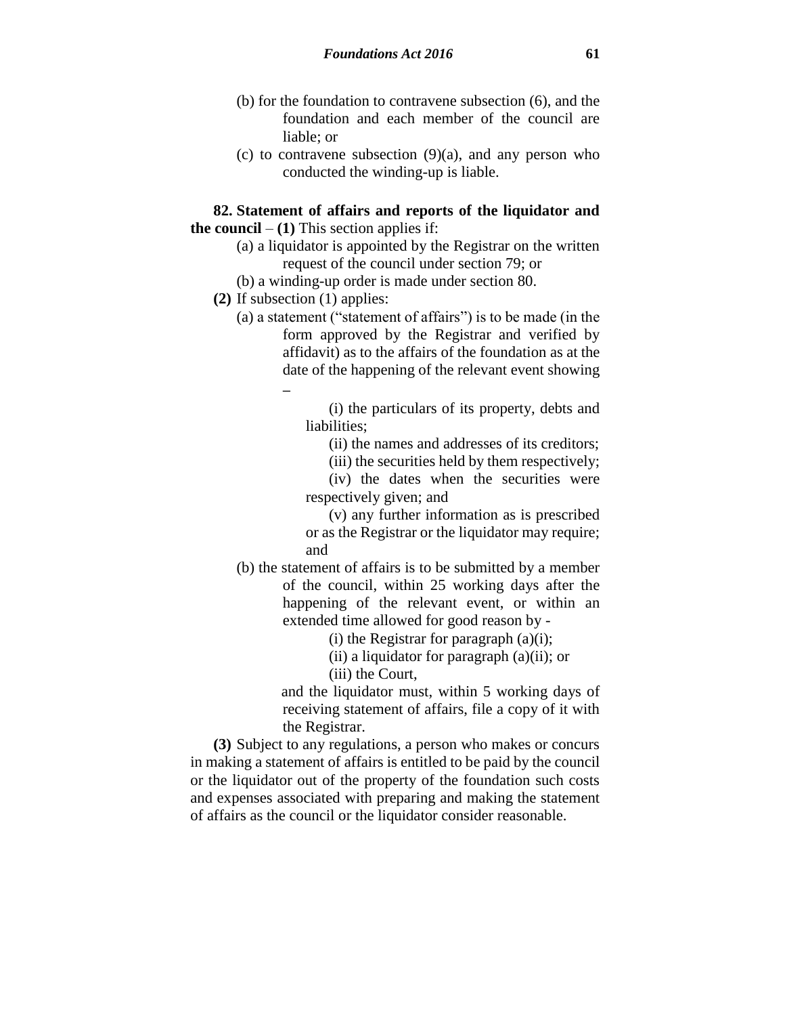- (b) for the foundation to contravene subsection (6), and the foundation and each member of the council are liable; or
- (c) to contravene subsection  $(9)(a)$ , and any person who conducted the winding-up is liable.

#### **82. Statement of affairs and reports of the liquidator and the council**  $- (1)$  This section applies if:

- (a) a liquidator is appointed by the Registrar on the written request of the council under section 79; or
- (b) a winding-up order is made under section 80.
- **(2)** If subsection (1) applies:
	- (a) a statement ("statement of affairs") is to be made (in the form approved by the Registrar and verified by affidavit) as to the affairs of the foundation as at the date of the happening of the relevant event showing –

(i) the particulars of its property, debts and liabilities:

(ii) the names and addresses of its creditors;

(iii) the securities held by them respectively;

(iv) the dates when the securities were respectively given; and

(v) any further information as is prescribed or as the Registrar or the liquidator may require; and

(b) the statement of affairs is to be submitted by a member of the council, within 25 working days after the happening of the relevant event, or within an extended time allowed for good reason by -

(i) the Registrar for paragraph  $(a)(i)$ ;

(ii) a liquidator for paragraph (a)(ii); or

(iii) the Court,

and the liquidator must, within 5 working days of receiving statement of affairs, file a copy of it with the Registrar.

**(3)** Subject to any regulations, a person who makes or concurs in making a statement of affairs is entitled to be paid by the council or the liquidator out of the property of the foundation such costs and expenses associated with preparing and making the statement of affairs as the council or the liquidator consider reasonable.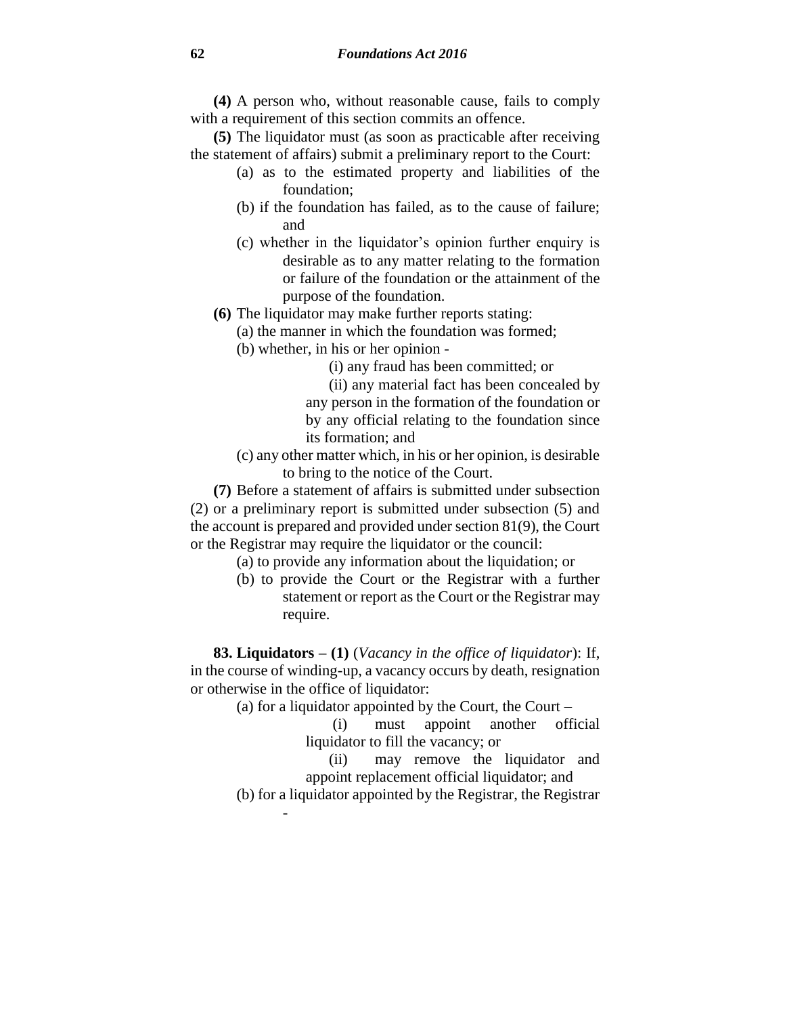**(4)** A person who, without reasonable cause, fails to comply with a requirement of this section commits an offence.

**(5)** The liquidator must (as soon as practicable after receiving the statement of affairs) submit a preliminary report to the Court:

- (a) as to the estimated property and liabilities of the foundation;
- (b) if the foundation has failed, as to the cause of failure; and
- (c) whether in the liquidator's opinion further enquiry is desirable as to any matter relating to the formation or failure of the foundation or the attainment of the purpose of the foundation.
- **(6)** The liquidator may make further reports stating:
	- (a) the manner in which the foundation was formed;
		- (b) whether, in his or her opinion
			- (i) any fraud has been committed; or
			- (ii) any material fact has been concealed by any person in the formation of the foundation or by any official relating to the foundation since its formation; and
		- (c) any other matter which, in his or her opinion, is desirable to bring to the notice of the Court.

**(7)** Before a statement of affairs is submitted under subsection (2) or a preliminary report is submitted under subsection (5) and the account is prepared and provided under section 81(9), the Court or the Registrar may require the liquidator or the council:

- (a) to provide any information about the liquidation; or
- (b) to provide the Court or the Registrar with a further statement or report as the Court or the Registrar may require.

**83. Liquidators – (1)** (*Vacancy in the office of liquidator*): If, in the course of winding-up, a vacancy occurs by death, resignation or otherwise in the office of liquidator:

(a) for a liquidator appointed by the Court, the Court –

- (i) must appoint another official liquidator to fill the vacancy; or
- (ii) may remove the liquidator and appoint replacement official liquidator; and

(b) for a liquidator appointed by the Registrar, the Registrar

-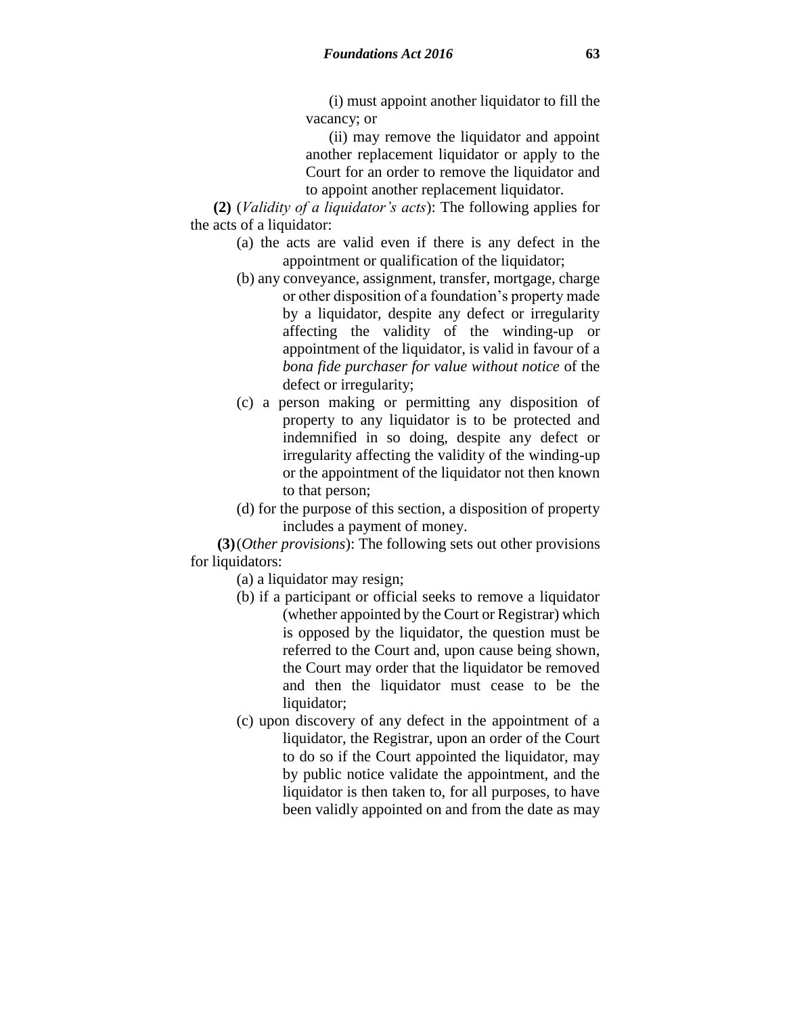(i) must appoint another liquidator to fill the vacancy; or

(ii) may remove the liquidator and appoint another replacement liquidator or apply to the Court for an order to remove the liquidator and to appoint another replacement liquidator.

**(2)** (*Validity of a liquidator's acts*): The following applies for the acts of a liquidator:

- (a) the acts are valid even if there is any defect in the appointment or qualification of the liquidator;
- (b) any conveyance, assignment, transfer, mortgage, charge or other disposition of a foundation's property made by a liquidator, despite any defect or irregularity affecting the validity of the winding-up or appointment of the liquidator, is valid in favour of a *bona fide purchaser for value without notice* of the defect or irregularity;
- (c) a person making or permitting any disposition of property to any liquidator is to be protected and indemnified in so doing, despite any defect or irregularity affecting the validity of the winding-up or the appointment of the liquidator not then known to that person;
- (d) for the purpose of this section, a disposition of property includes a payment of money.

**(3)**(*Other provisions*): The following sets out other provisions for liquidators:

(a) a liquidator may resign;

- (b) if a participant or official seeks to remove a liquidator (whether appointed by the Court or Registrar) which is opposed by the liquidator, the question must be referred to the Court and, upon cause being shown, the Court may order that the liquidator be removed and then the liquidator must cease to be the liquidator;
- (c) upon discovery of any defect in the appointment of a liquidator, the Registrar, upon an order of the Court to do so if the Court appointed the liquidator, may by public notice validate the appointment, and the liquidator is then taken to, for all purposes, to have been validly appointed on and from the date as may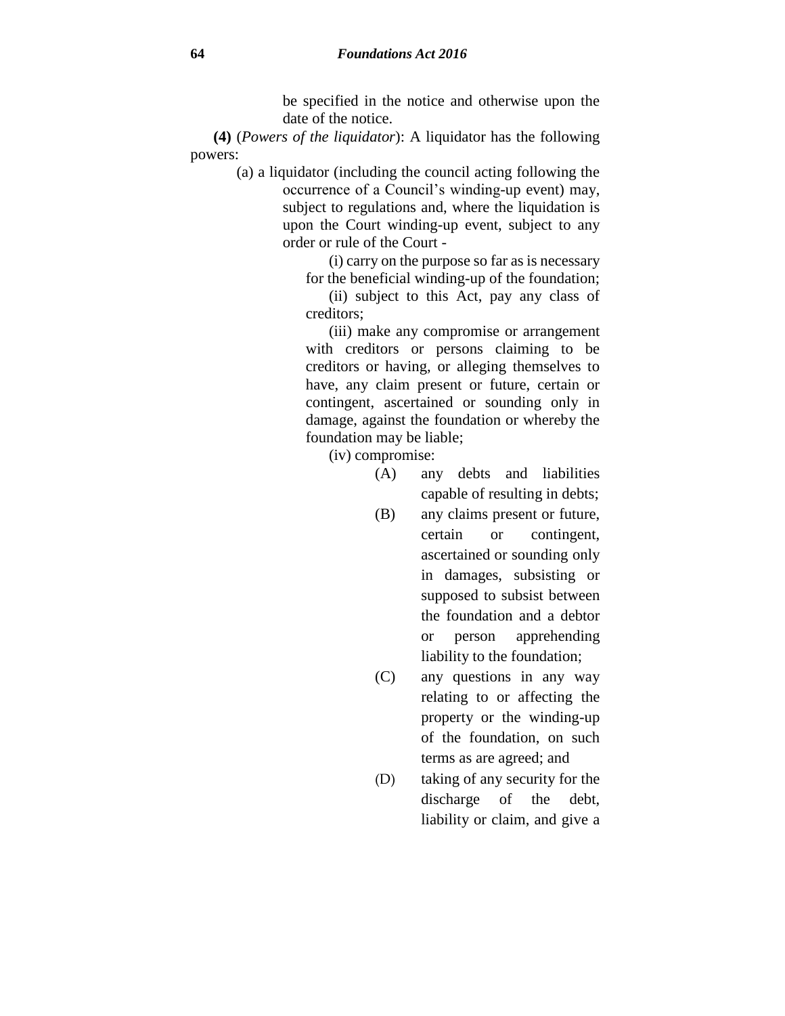be specified in the notice and otherwise upon the date of the notice.

**(4)** (*Powers of the liquidator*): A liquidator has the following powers:

> (a) a liquidator (including the council acting following the occurrence of a Council's winding-up event) may, subject to regulations and, where the liquidation is upon the Court winding-up event, subject to any order or rule of the Court -

> > (i) carry on the purpose so far as is necessary for the beneficial winding-up of the foundation;

> > (ii) subject to this Act, pay any class of creditors;

(iii) make any compromise or arrangement with creditors or persons claiming to be creditors or having, or alleging themselves to have, any claim present or future, certain or contingent, ascertained or sounding only in damage, against the foundation or whereby the foundation may be liable;

(iv) compromise:

- (A) any debts and liabilities capable of resulting in debts;
- (B) any claims present or future, certain or contingent, ascertained or sounding only in damages, subsisting or supposed to subsist between the foundation and a debtor or person apprehending liability to the foundation;
- (C) any questions in any way relating to or affecting the property or the winding-up of the foundation, on such terms as are agreed; and
- (D) taking of any security for the discharge of the debt, liability or claim, and give a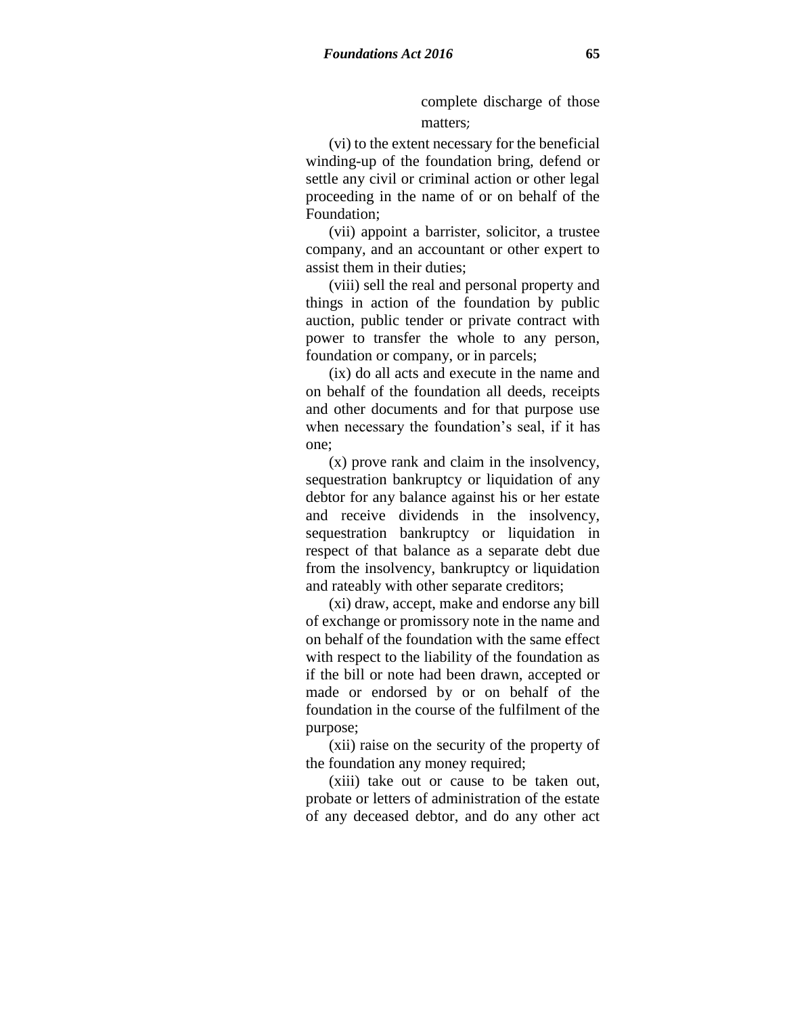complete discharge of those matters;

(vi) to the extent necessary for the beneficial winding-up of the foundation bring, defend or settle any civil or criminal action or other legal proceeding in the name of or on behalf of the Foundation;

(vii) appoint a barrister, solicitor, a trustee company, and an accountant or other expert to assist them in their duties;

(viii) sell the real and personal property and things in action of the foundation by public auction, public tender or private contract with power to transfer the whole to any person, foundation or company, or in parcels;

(ix) do all acts and execute in the name and on behalf of the foundation all deeds, receipts and other documents and for that purpose use when necessary the foundation's seal, if it has one;

(x) prove rank and claim in the insolvency, sequestration bankruptcy or liquidation of any debtor for any balance against his or her estate and receive dividends in the insolvency, sequestration bankruptcy or liquidation in respect of that balance as a separate debt due from the insolvency, bankruptcy or liquidation and rateably with other separate creditors;

(xi) draw, accept, make and endorse any bill of exchange or promissory note in the name and on behalf of the foundation with the same effect with respect to the liability of the foundation as if the bill or note had been drawn, accepted or made or endorsed by or on behalf of the foundation in the course of the fulfilment of the purpose;

(xii) raise on the security of the property of the foundation any money required;

(xiii) take out or cause to be taken out, probate or letters of administration of the estate of any deceased debtor, and do any other act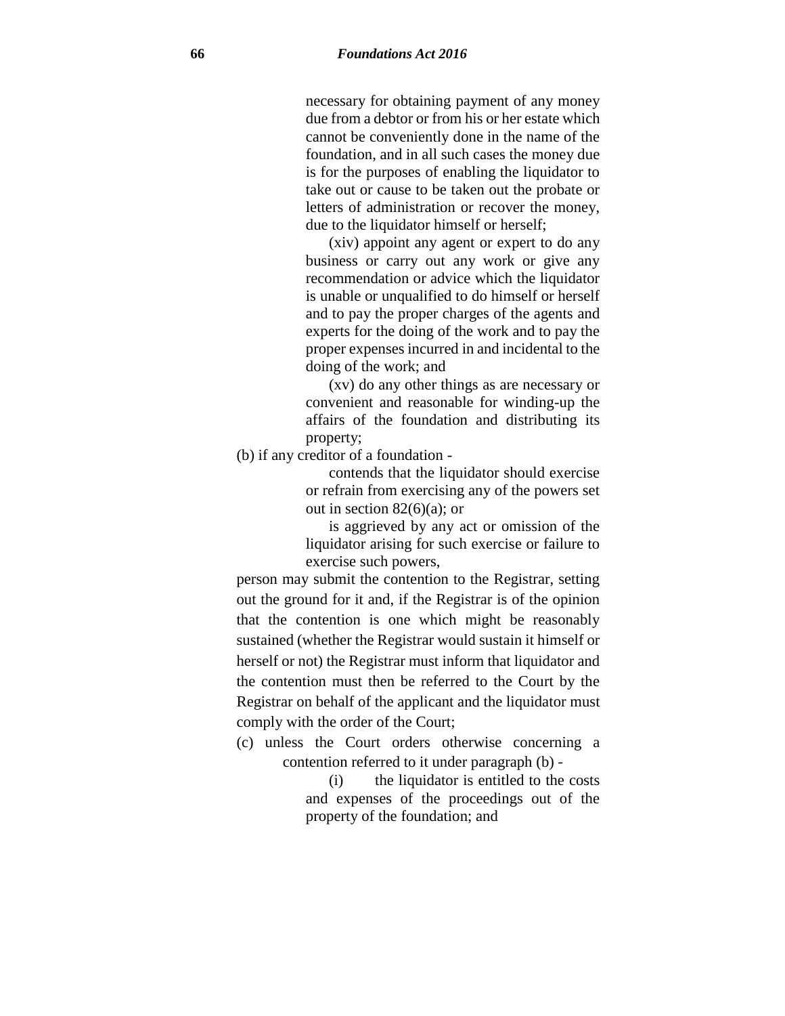necessary for obtaining payment of any money due from a debtor or from his or her estate which cannot be conveniently done in the name of the foundation, and in all such cases the money due is for the purposes of enabling the liquidator to take out or cause to be taken out the probate or letters of administration or recover the money, due to the liquidator himself or herself;

(xiv) appoint any agent or expert to do any business or carry out any work or give any recommendation or advice which the liquidator is unable or unqualified to do himself or herself and to pay the proper charges of the agents and experts for the doing of the work and to pay the proper expenses incurred in and incidental to the doing of the work; and

(xv) do any other things as are necessary or convenient and reasonable for winding-up the affairs of the foundation and distributing its property;

(b) if any creditor of a foundation -

contends that the liquidator should exercise or refrain from exercising any of the powers set out in section  $82(6)(a)$ ; or

is aggrieved by any act or omission of the liquidator arising for such exercise or failure to exercise such powers,

person may submit the contention to the Registrar, setting out the ground for it and, if the Registrar is of the opinion that the contention is one which might be reasonably sustained (whether the Registrar would sustain it himself or herself or not) the Registrar must inform that liquidator and the contention must then be referred to the Court by the Registrar on behalf of the applicant and the liquidator must comply with the order of the Court;

(c) unless the Court orders otherwise concerning a contention referred to it under paragraph (b) -

> (i) the liquidator is entitled to the costs and expenses of the proceedings out of the property of the foundation; and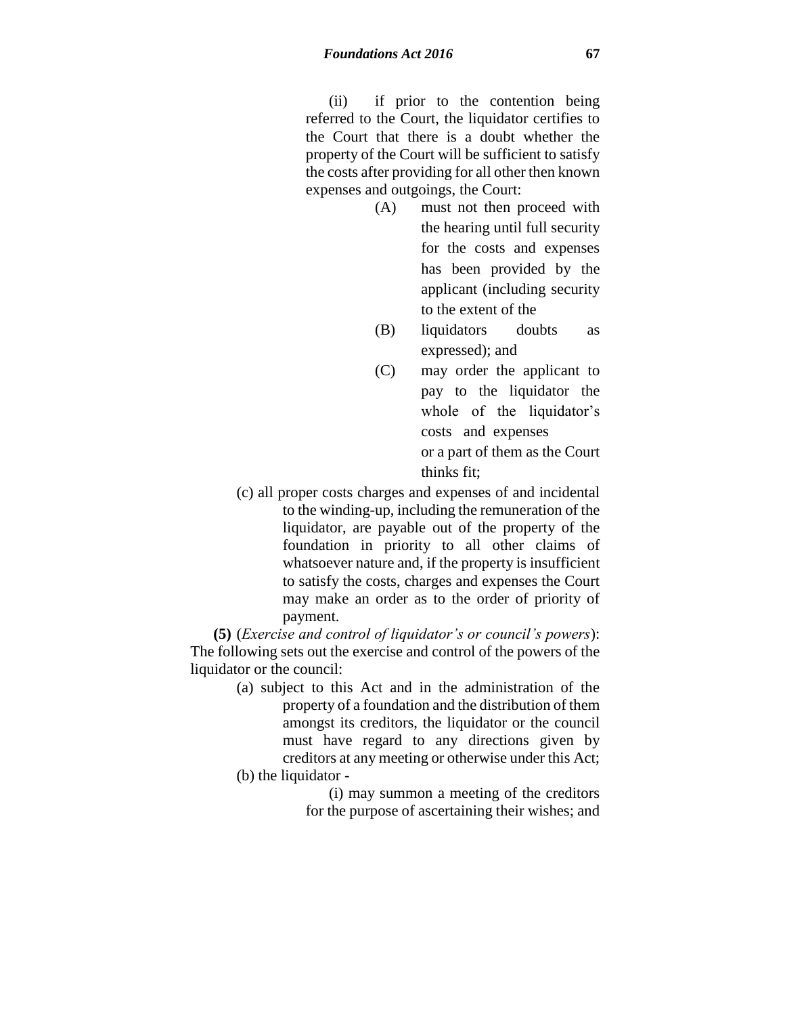(ii) if prior to the contention being referred to the Court, the liquidator certifies to the Court that there is a doubt whether the property of the Court will be sufficient to satisfy the costs after providing for all other then known expenses and outgoings, the Court:

- (A) must not then proceed with the hearing until full security for the costs and expenses has been provided by the applicant (including security to the extent of the
- (B) liquidators doubts as expressed); and
- (C) may order the applicant to pay to the liquidator the whole of the liquidator's costs and expenses or a part of them as the Court thinks fit;
- (c) all proper costs charges and expenses of and incidental to the winding-up, including the remuneration of the liquidator, are payable out of the property of the foundation in priority to all other claims of whatsoever nature and, if the property is insufficient to satisfy the costs, charges and expenses the Court may make an order as to the order of priority of payment.

**(5)** (*Exercise and control of liquidator's or council's powers*): The following sets out the exercise and control of the powers of the liquidator or the council:

> (a) subject to this Act and in the administration of the property of a foundation and the distribution of them amongst its creditors, the liquidator or the council must have regard to any directions given by creditors at any meeting or otherwise under this Act; (b) the liquidator -

> > (i) may summon a meeting of the creditors for the purpose of ascertaining their wishes; and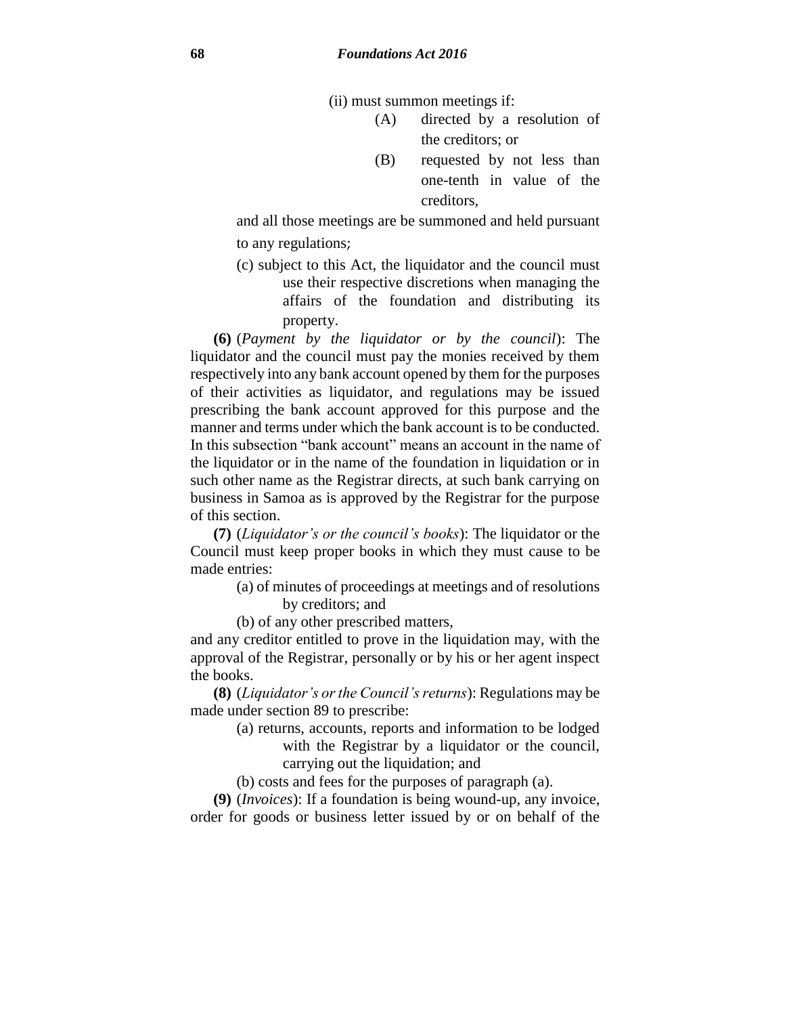(ii) must summon meetings if:

- (A) directed by a resolution of the creditors; or
- (B) requested by not less than one-tenth in value of the creditors,

and all those meetings are be summoned and held pursuant to any regulations;

(c) subject to this Act, the liquidator and the council must use their respective discretions when managing the affairs of the foundation and distributing its property.

**(6)** (*Payment by the liquidator or by the council*): The liquidator and the council must pay the monies received by them respectively into any bank account opened by them for the purposes of their activities as liquidator, and regulations may be issued prescribing the bank account approved for this purpose and the manner and terms under which the bank account is to be conducted. In this subsection "bank account" means an account in the name of the liquidator or in the name of the foundation in liquidation or in such other name as the Registrar directs, at such bank carrying on business in Samoa as is approved by the Registrar for the purpose of this section.

**(7)** (*Liquidator's or the council's books*): The liquidator or the Council must keep proper books in which they must cause to be made entries:

- (a) of minutes of proceedings at meetings and of resolutions by creditors; and
- (b) of any other prescribed matters,

and any creditor entitled to prove in the liquidation may, with the approval of the Registrar, personally or by his or her agent inspect the books.

**(8)** (*Liquidator's or the Council's returns*): Regulations may be made under section 89 to prescribe:

- (a) returns, accounts, reports and information to be lodged with the Registrar by a liquidator or the council, carrying out the liquidation; and
- (b) costs and fees for the purposes of paragraph (a).

**(9)** (*Invoices*): If a foundation is being wound-up, any invoice, order for goods or business letter issued by or on behalf of the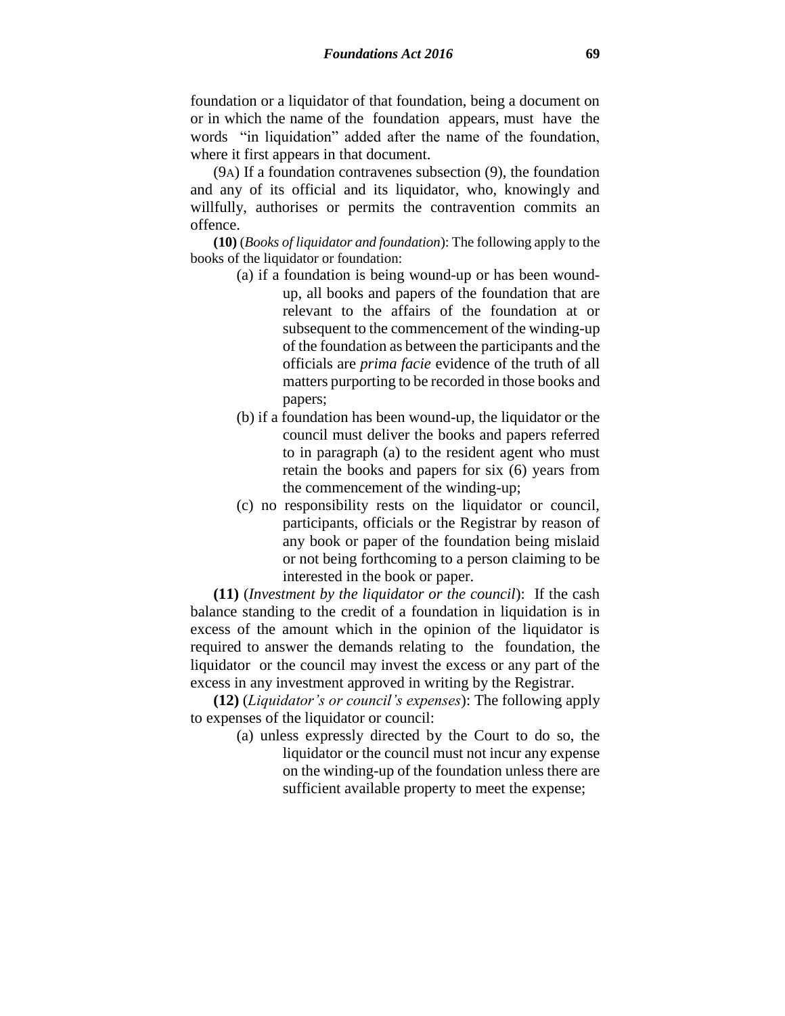foundation or a liquidator of that foundation, being a document on or in which the name of the foundation appears, must have the words "in liquidation" added after the name of the foundation, where it first appears in that document.

(9A) If a foundation contravenes subsection (9), the foundation and any of its official and its liquidator, who, knowingly and willfully, authorises or permits the contravention commits an offence.

**(10)** (*Books of liquidator and foundation*): The following apply to the books of the liquidator or foundation:

- (a) if a foundation is being wound-up or has been woundup, all books and papers of the foundation that are relevant to the affairs of the foundation at or subsequent to the commencement of the winding-up of the foundation as between the participants and the officials are *prima facie* evidence of the truth of all matters purporting to be recorded in those books and papers;
- (b) if a foundation has been wound-up, the liquidator or the council must deliver the books and papers referred to in paragraph (a) to the resident agent who must retain the books and papers for six (6) years from the commencement of the winding-up;
- (c) no responsibility rests on the liquidator or council, participants, officials or the Registrar by reason of any book or paper of the foundation being mislaid or not being forthcoming to a person claiming to be interested in the book or paper.

**(11)** (*Investment by the liquidator or the council*): If the cash balance standing to the credit of a foundation in liquidation is in excess of the amount which in the opinion of the liquidator is required to answer the demands relating to the foundation, the liquidator or the council may invest the excess or any part of the excess in any investment approved in writing by the Registrar.

**(12)** (*Liquidator's or council's expenses*): The following apply to expenses of the liquidator or council:

> (a) unless expressly directed by the Court to do so, the liquidator or the council must not incur any expense on the winding-up of the foundation unless there are sufficient available property to meet the expense;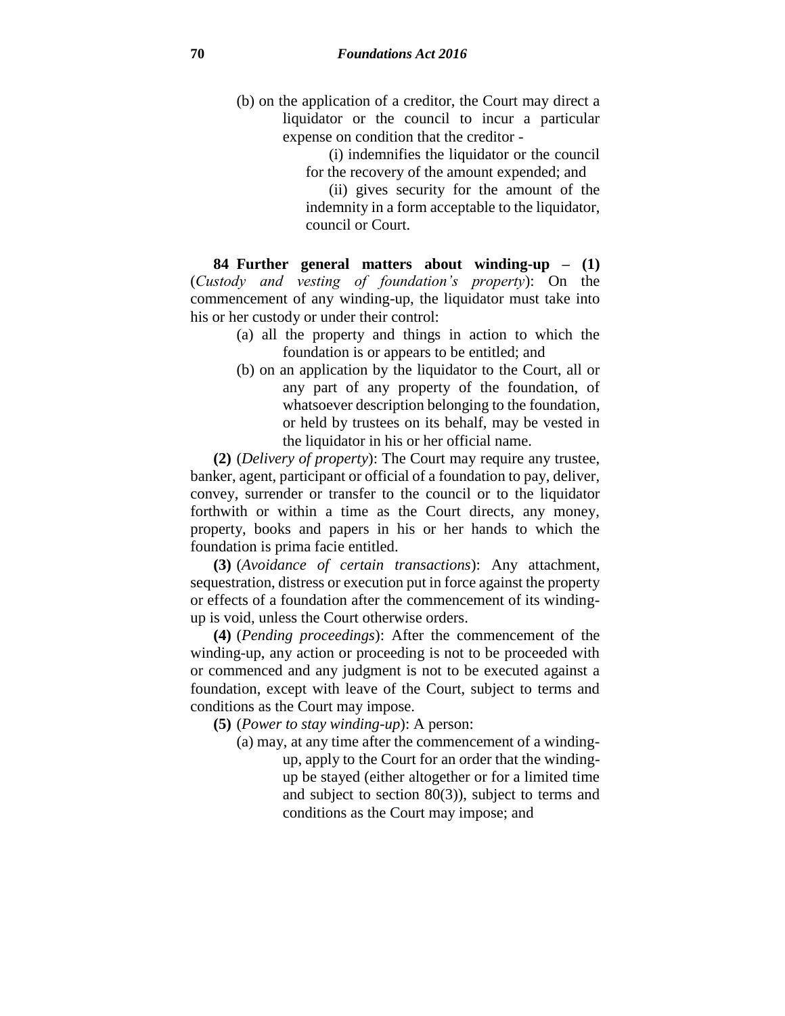- (b) on the application of a creditor, the Court may direct a liquidator or the council to incur a particular expense on condition that the creditor -
	- (i) indemnifies the liquidator or the council for the recovery of the amount expended; and

(ii) gives security for the amount of the indemnity in a form acceptable to the liquidator, council or Court.

**84 Further general matters about winding-up – (1)** (*Custody and vesting of foundation's property*): On the commencement of any winding-up, the liquidator must take into his or her custody or under their control:

- (a) all the property and things in action to which the foundation is or appears to be entitled; and
- (b) on an application by the liquidator to the Court, all or any part of any property of the foundation, of whatsoever description belonging to the foundation, or held by trustees on its behalf, may be vested in the liquidator in his or her official name.

**(2)** (*Delivery of property*): The Court may require any trustee, banker, agent, participant or official of a foundation to pay, deliver, convey, surrender or transfer to the council or to the liquidator forthwith or within a time as the Court directs, any money, property, books and papers in his or her hands to which the foundation is prima facie entitled.

**(3)** (*Avoidance of certain transactions*): Any attachment, sequestration, distress or execution put in force against the property or effects of a foundation after the commencement of its windingup is void, unless the Court otherwise orders.

**(4)** (*Pending proceedings*): After the commencement of the winding-up, any action or proceeding is not to be proceeded with or commenced and any judgment is not to be executed against a foundation, except with leave of the Court, subject to terms and conditions as the Court may impose.

**(5)** (*Power to stay winding-up*): A person:

- (a) may, at any time after the commencement of a winding
	- up, apply to the Court for an order that the windingup be stayed (either altogether or for a limited time and subject to section 80(3)), subject to terms and conditions as the Court may impose; and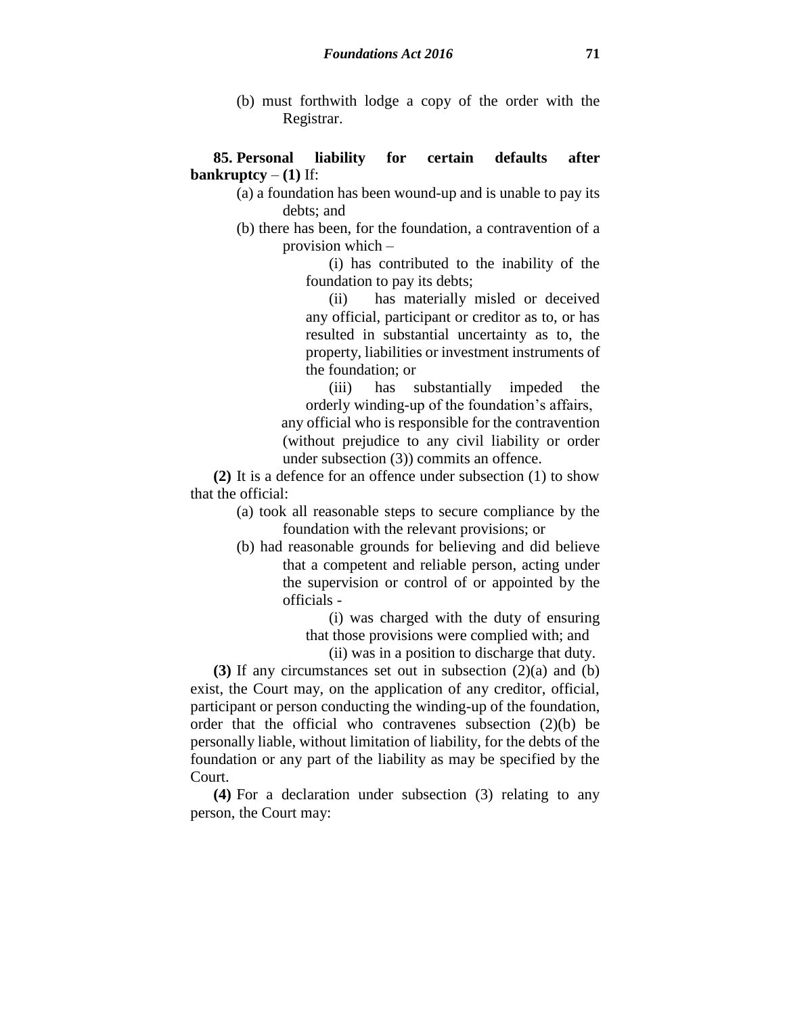(b) must forthwith lodge a copy of the order with the Registrar.

### **85. Personal liability for certain defaults after bankruptcy**  $-$  (1) If:

(a) a foundation has been wound-up and is unable to pay its debts; and

(b) there has been, for the foundation, a contravention of a provision which –

> (i) has contributed to the inability of the foundation to pay its debts;

> (ii) has materially misled or deceived any official, participant or creditor as to, or has resulted in substantial uncertainty as to, the property, liabilities or investment instruments of the foundation; or

> (iii) has substantially impeded the orderly winding-up of the foundation's affairs,

any official who is responsible for the contravention (without prejudice to any civil liability or order under subsection (3)) commits an offence.

**(2)** It is a defence for an offence under subsection (1) to show that the official:

- (a) took all reasonable steps to secure compliance by the foundation with the relevant provisions; or
- (b) had reasonable grounds for believing and did believe that a competent and reliable person, acting under the supervision or control of or appointed by the officials -

(i) was charged with the duty of ensuring that those provisions were complied with; and

(ii) was in a position to discharge that duty.

**(3)** If any circumstances set out in subsection (2)(a) and (b) exist, the Court may, on the application of any creditor, official, participant or person conducting the winding-up of the foundation, order that the official who contravenes subsection (2)(b) be personally liable, without limitation of liability, for the debts of the foundation or any part of the liability as may be specified by the Court.

**(4)** For a declaration under subsection (3) relating to any person, the Court may: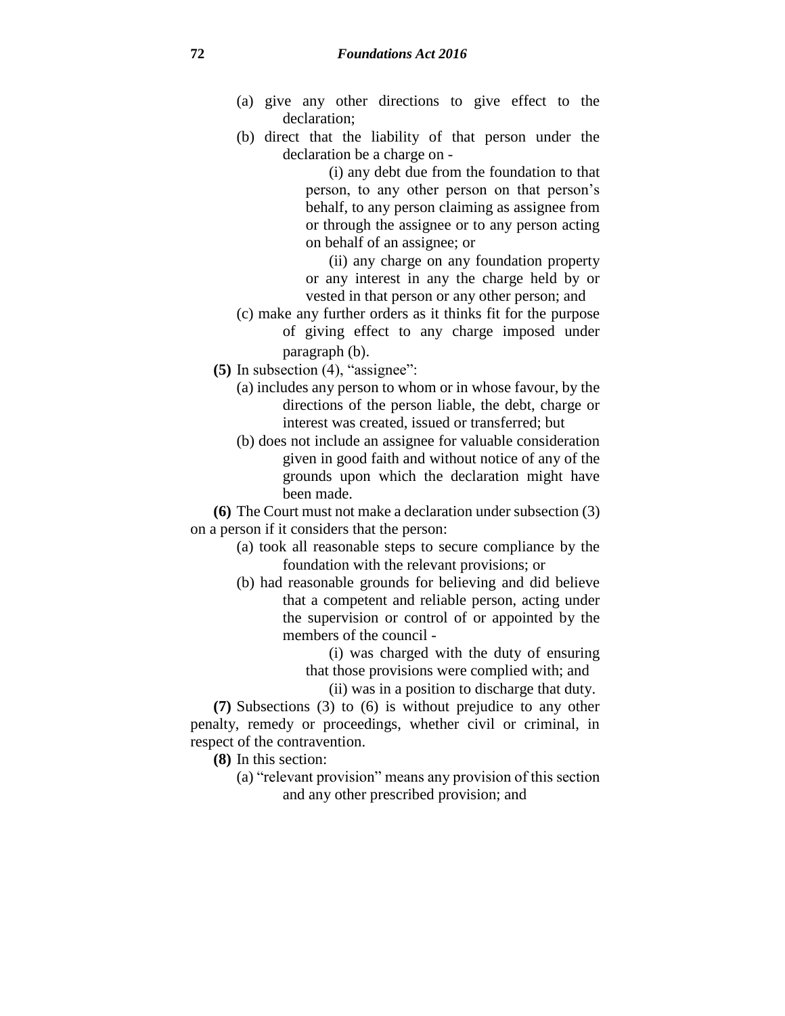- (a) give any other directions to give effect to the declaration;
- (b) direct that the liability of that person under the declaration be a charge on -

(i) any debt due from the foundation to that person, to any other person on that person's behalf, to any person claiming as assignee from or through the assignee or to any person acting on behalf of an assignee; or

(ii) any charge on any foundation property or any interest in any the charge held by or vested in that person or any other person; and

- (c) make any further orders as it thinks fit for the purpose of giving effect to any charge imposed under paragraph (b).
- **(5)** In subsection (4), "assignee":
	- (a) includes any person to whom or in whose favour, by the directions of the person liable, the debt, charge or interest was created, issued or transferred; but
	- (b) does not include an assignee for valuable consideration given in good faith and without notice of any of the grounds upon which the declaration might have been made.

**(6)** The Court must not make a declaration under subsection (3) on a person if it considers that the person:

- (a) took all reasonable steps to secure compliance by the foundation with the relevant provisions; or
- (b) had reasonable grounds for believing and did believe that a competent and reliable person, acting under the supervision or control of or appointed by the members of the council -

(i) was charged with the duty of ensuring that those provisions were complied with; and

(ii) was in a position to discharge that duty.

**(7)** Subsections (3) to (6) is without prejudice to any other penalty, remedy or proceedings, whether civil or criminal, in respect of the contravention.

**(8)** In this section:

(a) "relevant provision" means any provision of this section and any other prescribed provision; and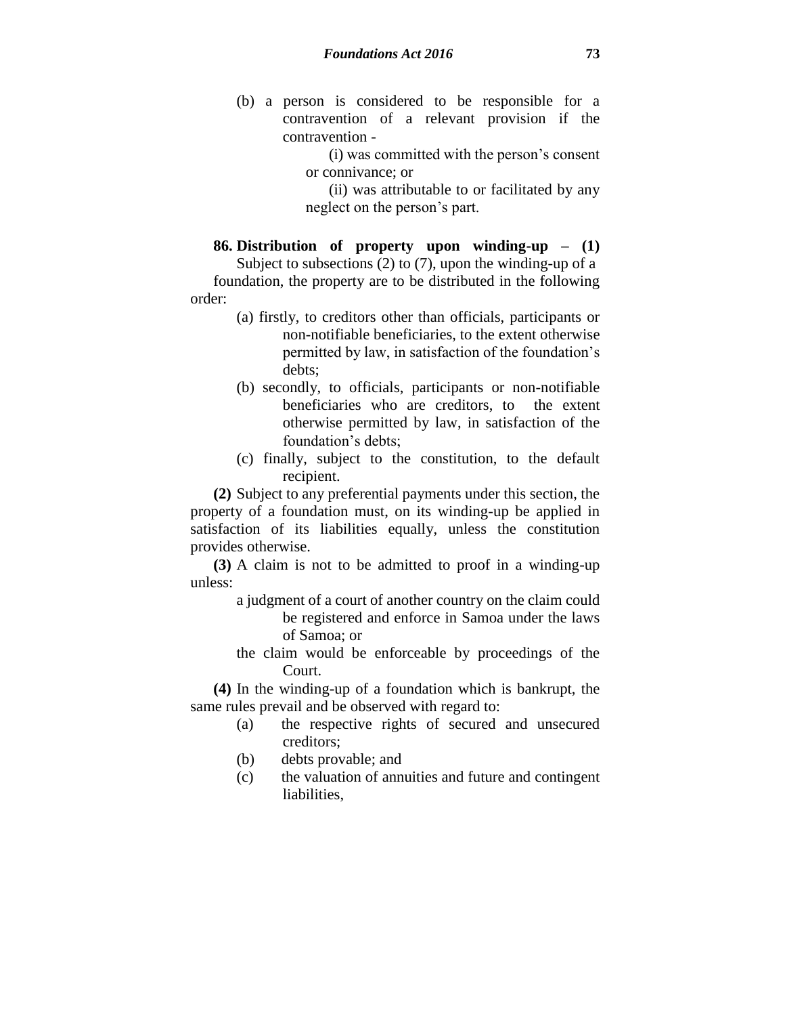(b) a person is considered to be responsible for a contravention of a relevant provision if the contravention -

> (i) was committed with the person's consent or connivance; or

> (ii) was attributable to or facilitated by any neglect on the person's part.

### **86. Distribution of property upon winding-up – (1)**

Subject to subsections (2) to (7), upon the winding-up of a foundation, the property are to be distributed in the following order:

- (a) firstly, to creditors other than officials, participants or non-notifiable beneficiaries, to the extent otherwise permitted by law, in satisfaction of the foundation's debts;
- (b) secondly, to officials, participants or non-notifiable beneficiaries who are creditors, to the extent otherwise permitted by law, in satisfaction of the foundation's debts;
- (c) finally, subject to the constitution, to the default recipient.

**(2)** Subject to any preferential payments under this section, the property of a foundation must, on its winding-up be applied in satisfaction of its liabilities equally, unless the constitution provides otherwise.

**(3)** A claim is not to be admitted to proof in a winding-up unless:

- a judgment of a court of another country on the claim could be registered and enforce in Samoa under the laws of Samoa; or
- the claim would be enforceable by proceedings of the Court.

**(4)** In the winding-up of a foundation which is bankrupt, the same rules prevail and be observed with regard to:

- (a) the respective rights of secured and unsecured creditors;
- (b) debts provable; and
- (c) the valuation of annuities and future and contingent liabilities,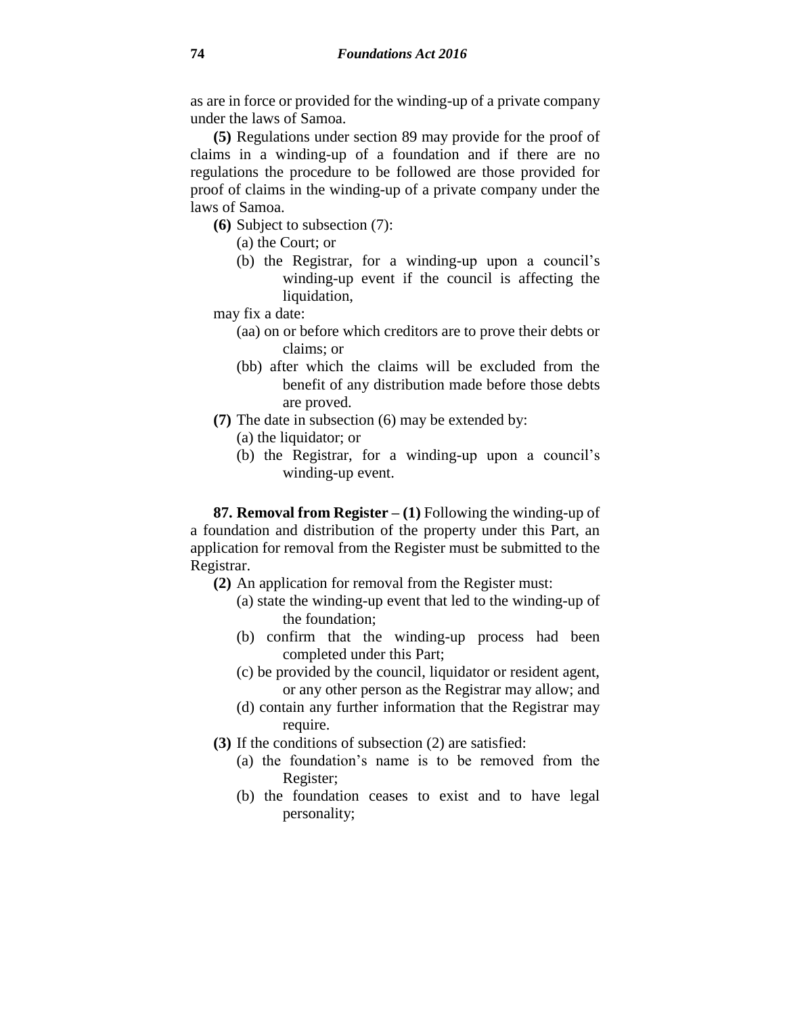as are in force or provided for the winding-up of a private company under the laws of Samoa.

**(5)** Regulations under section 89 may provide for the proof of claims in a winding-up of a foundation and if there are no regulations the procedure to be followed are those provided for proof of claims in the winding-up of a private company under the laws of Samoa.

- **(6)** Subject to subsection (7):
	- (a) the Court; or
	- (b) the Registrar, for a winding-up upon a council's winding-up event if the council is affecting the liquidation,

may fix a date:

- (aa) on or before which creditors are to prove their debts or claims; or
- (bb) after which the claims will be excluded from the benefit of any distribution made before those debts are proved.
- **(7)** The date in subsection (6) may be extended by:
	- (a) the liquidator; or
	- (b) the Registrar, for a winding-up upon a council's winding-up event.

**87. Removal from Register – (1)** Following the winding-up of a foundation and distribution of the property under this Part, an application for removal from the Register must be submitted to the Registrar.

- **(2)** An application for removal from the Register must:
	- (a) state the winding-up event that led to the winding-up of the foundation;
	- (b) confirm that the winding-up process had been completed under this Part;
	- (c) be provided by the council, liquidator or resident agent, or any other person as the Registrar may allow; and
	- (d) contain any further information that the Registrar may require.
- **(3)** If the conditions of subsection (2) are satisfied:
	- (a) the foundation's name is to be removed from the Register;
	- (b) the foundation ceases to exist and to have legal personality;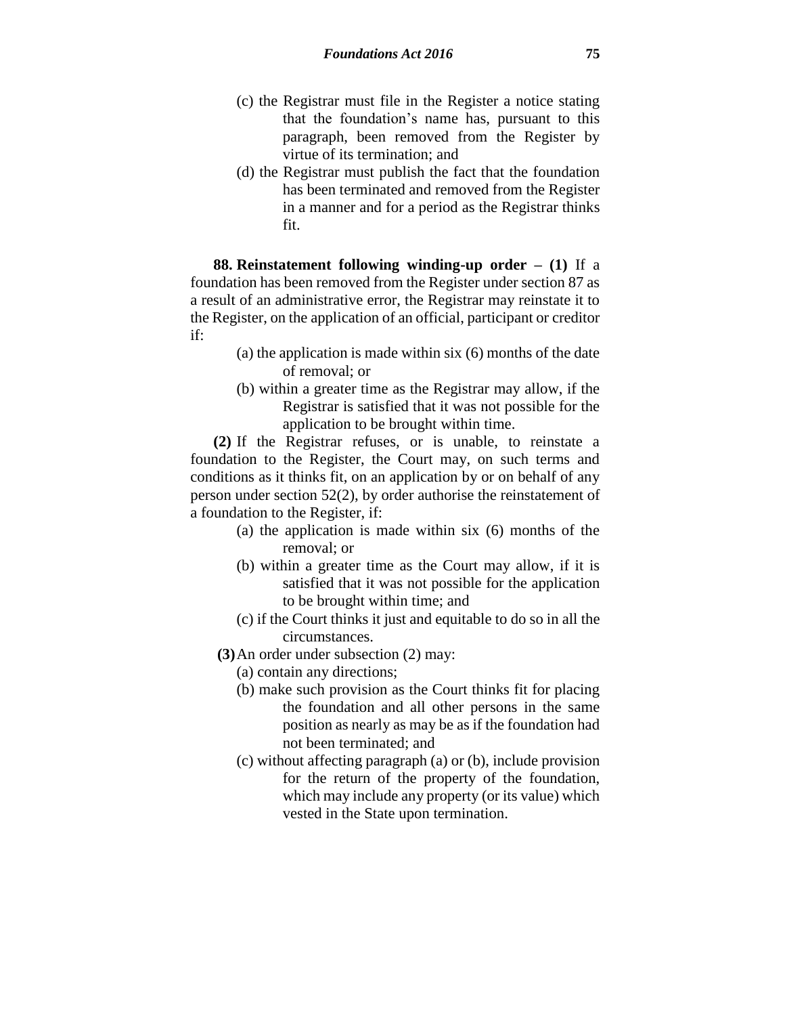- (c) the Registrar must file in the Register a notice stating that the foundation's name has, pursuant to this paragraph, been removed from the Register by virtue of its termination; and
- (d) the Registrar must publish the fact that the foundation has been terminated and removed from the Register in a manner and for a period as the Registrar thinks fit.

**88. Reinstatement following winding-up order – (1)** If a foundation has been removed from the Register under section 87 as a result of an administrative error, the Registrar may reinstate it to the Register, on the application of an official, participant or creditor if:

- (a) the application is made within six (6) months of the date of removal; or
- (b) within a greater time as the Registrar may allow, if the Registrar is satisfied that it was not possible for the application to be brought within time.

**(2)** If the Registrar refuses, or is unable, to reinstate a foundation to the Register, the Court may, on such terms and conditions as it thinks fit, on an application by or on behalf of any person under section 52(2), by order authorise the reinstatement of a foundation to the Register, if:

- (a) the application is made within six (6) months of the removal; or
- (b) within a greater time as the Court may allow, if it is satisfied that it was not possible for the application to be brought within time; and
- (c) if the Court thinks it just and equitable to do so in all the circumstances.
- **(3)**An order under subsection (2) may:
	- (a) contain any directions;
	- (b) make such provision as the Court thinks fit for placing the foundation and all other persons in the same position as nearly as may be as if the foundation had not been terminated; and
	- (c) without affecting paragraph (a) or (b), include provision for the return of the property of the foundation, which may include any property (or its value) which vested in the State upon termination.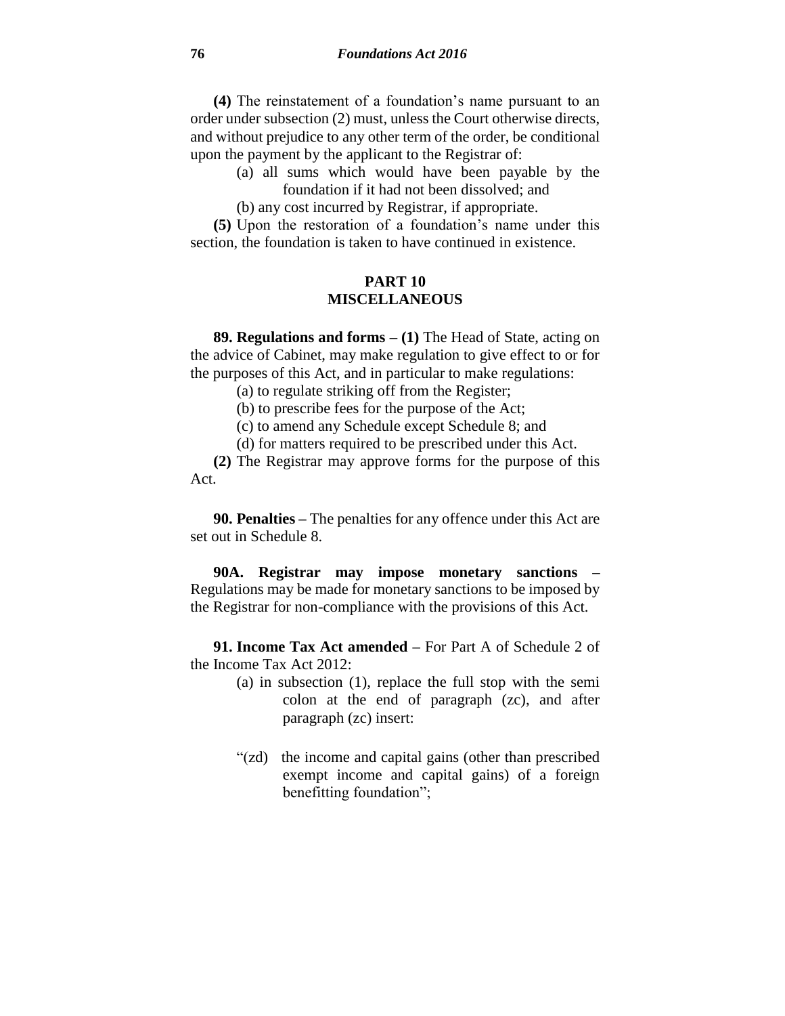**(4)** The reinstatement of a foundation's name pursuant to an order under subsection (2) must, unless the Court otherwise directs, and without prejudice to any other term of the order, be conditional upon the payment by the applicant to the Registrar of:

- (a) all sums which would have been payable by the foundation if it had not been dissolved; and
- (b) any cost incurred by Registrar, if appropriate.

**(5)** Upon the restoration of a foundation's name under this section, the foundation is taken to have continued in existence.

### **PART 10 MISCELLANEOUS**

**89. Regulations and forms – (1)** The Head of State, acting on the advice of Cabinet, may make regulation to give effect to or for the purposes of this Act, and in particular to make regulations:

(a) to regulate striking off from the Register;

(b) to prescribe fees for the purpose of the Act;

(c) to amend any Schedule except Schedule 8; and

(d) for matters required to be prescribed under this Act.

**(2)** The Registrar may approve forms for the purpose of this Act.

**90. Penalties –** The penalties for any offence under this Act are set out in Schedule 8.

**90A. Registrar may impose monetary sanctions –** Regulations may be made for monetary sanctions to be imposed by the Registrar for non-compliance with the provisions of this Act.

**91. Income Tax Act amended –** For Part A of Schedule 2 of the Income Tax Act 2012:

- (a) in subsection (1), replace the full stop with the semi colon at the end of paragraph (zc), and after paragraph (zc) insert:
- "(zd) the income and capital gains (other than prescribed exempt income and capital gains) of a foreign benefitting foundation";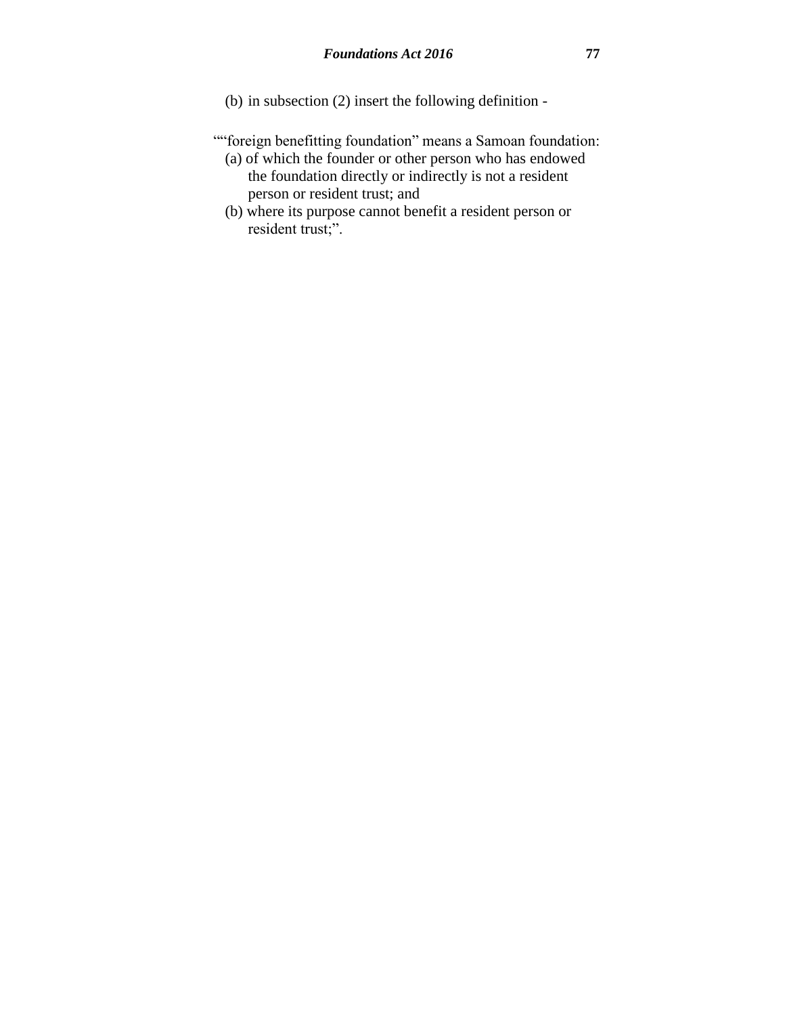- (b) in subsection (2) insert the following definition -
- ""foreign benefitting foundation" means a Samoan foundation:
	- (a) of which the founder or other person who has endowed the foundation directly or indirectly is not a resident person or resident trust; and
	- (b) where its purpose cannot benefit a resident person or resident trust;".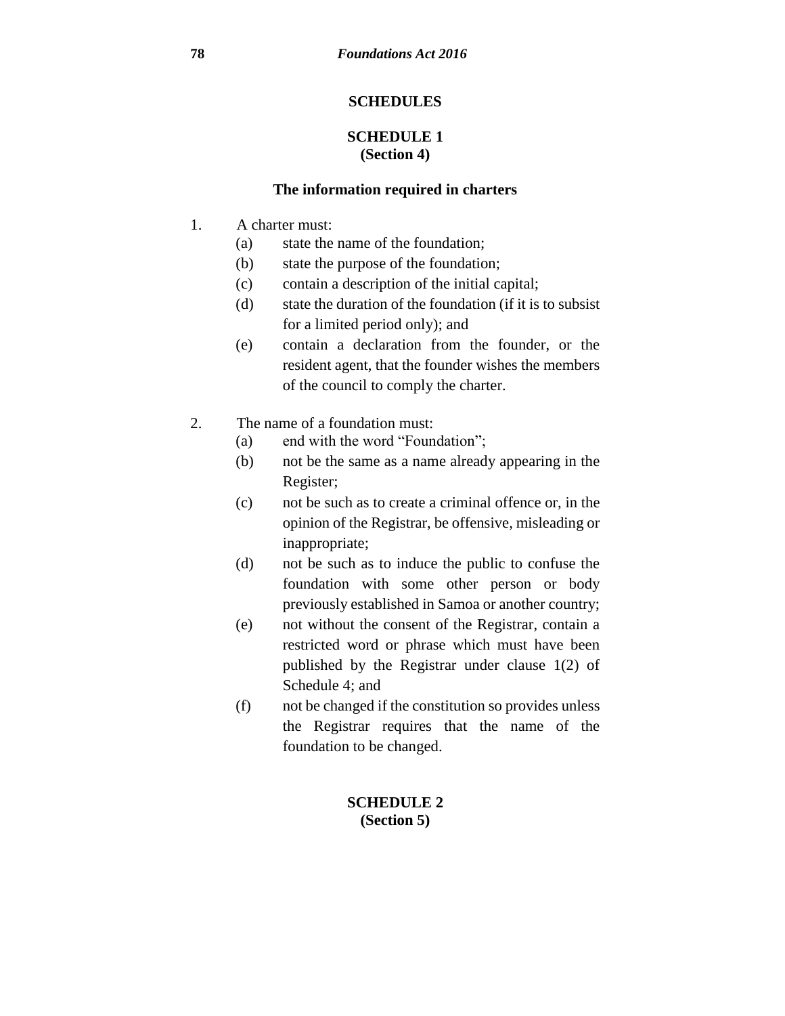### **SCHEDULES**

### **SCHEDULE 1 (Section 4)**

#### **The information required in charters**

- 1. A charter must:
	- (a) state the name of the foundation;
	- (b) state the purpose of the foundation;
	- (c) contain a description of the initial capital;
	- (d) state the duration of the foundation (if it is to subsist for a limited period only); and
	- (e) contain a declaration from the founder, or the resident agent, that the founder wishes the members of the council to comply the charter.
- 2. The name of a foundation must:
	- (a) end with the word "Foundation";
	- (b) not be the same as a name already appearing in the Register;
	- (c) not be such as to create a criminal offence or, in the opinion of the Registrar, be offensive, misleading or inappropriate;
	- (d) not be such as to induce the public to confuse the foundation with some other person or body previously established in Samoa or another country;
	- (e) not without the consent of the Registrar, contain a restricted word or phrase which must have been published by the Registrar under clause 1(2) of Schedule 4; and
	- (f) not be changed if the constitution so provides unless the Registrar requires that the name of the foundation to be changed.

### **SCHEDULE 2 (Section 5)**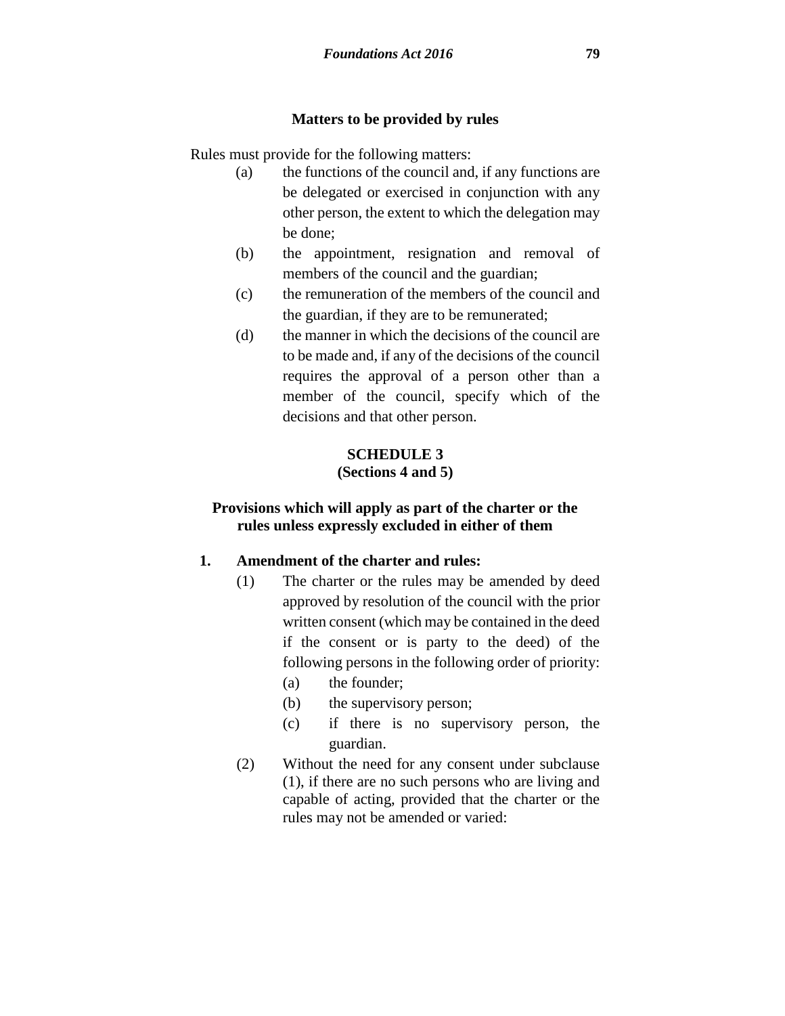#### **Matters to be provided by rules**

Rules must provide for the following matters:

- (a) the functions of the council and, if any functions are be delegated or exercised in conjunction with any other person, the extent to which the delegation may be done;
- (b) the appointment, resignation and removal of members of the council and the guardian;
- (c) the remuneration of the members of the council and the guardian, if they are to be remunerated;
- (d) the manner in which the decisions of the council are to be made and, if any of the decisions of the council requires the approval of a person other than a member of the council, specify which of the decisions and that other person.

### **SCHEDULE 3 (Sections 4 and 5)**

### **Provisions which will apply as part of the charter or the rules unless expressly excluded in either of them**

### **1. Amendment of the charter and rules:**

- (1) The charter or the rules may be amended by deed approved by resolution of the council with the prior written consent (which may be contained in the deed if the consent or is party to the deed) of the following persons in the following order of priority:
	- (a) the founder;
	- (b) the supervisory person;
	- (c) if there is no supervisory person, the guardian.
- (2) Without the need for any consent under subclause (1), if there are no such persons who are living and capable of acting, provided that the charter or the rules may not be amended or varied: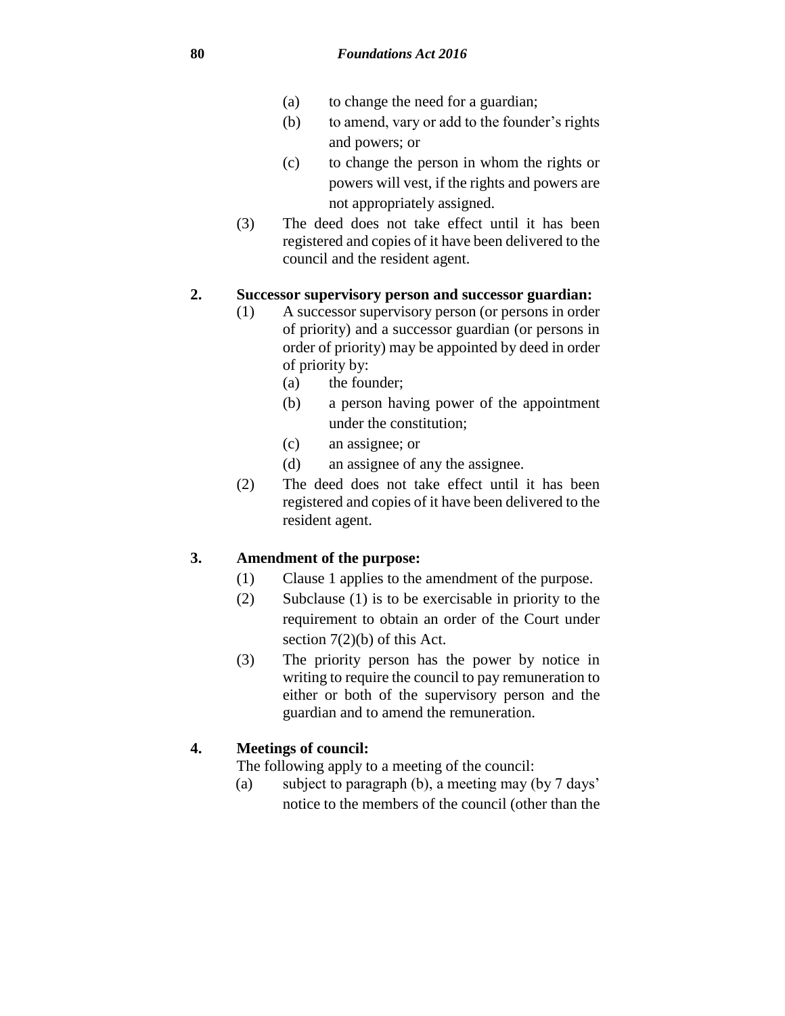- (a) to change the need for a guardian;
- (b) to amend, vary or add to the founder's rights and powers; or
- (c) to change the person in whom the rights or powers will vest, if the rights and powers are not appropriately assigned.
- (3) The deed does not take effect until it has been registered and copies of it have been delivered to the council and the resident agent.

#### **2. Successor supervisory person and successor guardian:**

- (1) A successor supervisory person (or persons in order of priority) and a successor guardian (or persons in order of priority) may be appointed by deed in order of priority by:
	- (a) the founder;
	- (b) a person having power of the appointment under the constitution;
	- (c) an assignee; or
	- (d) an assignee of any the assignee.
- (2) The deed does not take effect until it has been registered and copies of it have been delivered to the resident agent.

### **3. Amendment of the purpose:**

- (1) Clause 1 applies to the amendment of the purpose.
- (2) Subclause (1) is to be exercisable in priority to the requirement to obtain an order of the Court under section 7(2)(b) of this Act.
- (3) The priority person has the power by notice in writing to require the council to pay remuneration to either or both of the supervisory person and the guardian and to amend the remuneration.

### **4. Meetings of council:**

The following apply to a meeting of the council:

(a) subject to paragraph (b), a meeting may (by 7 days' notice to the members of the council (other than the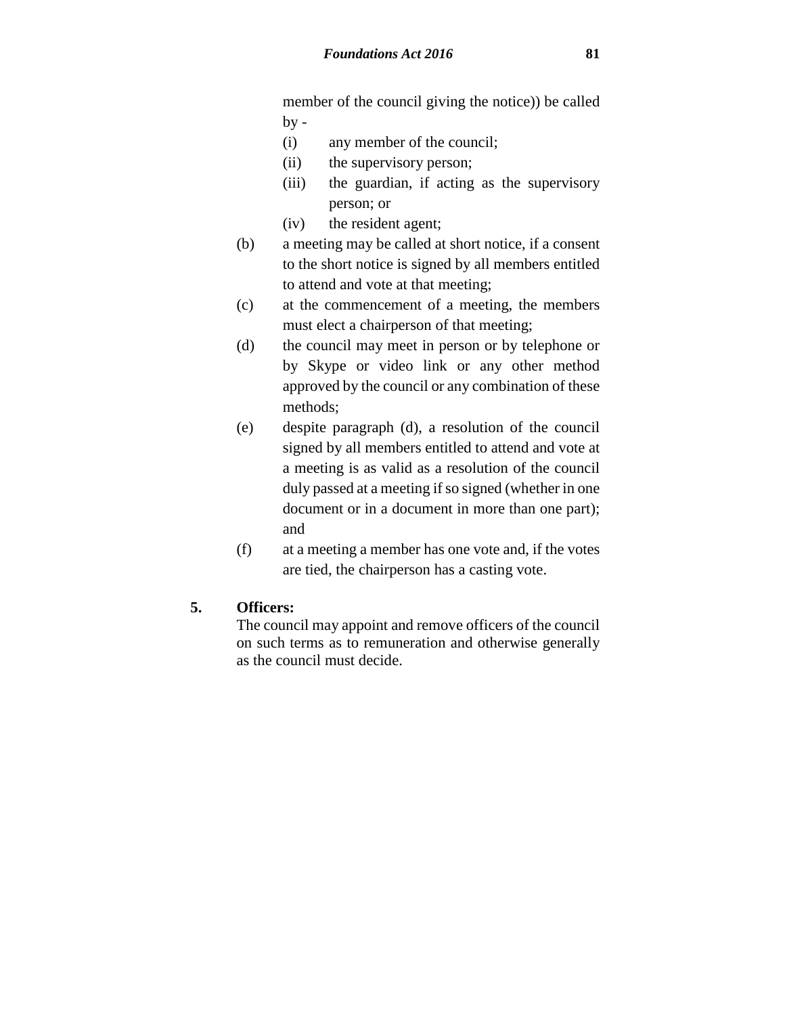member of the council giving the notice)) be called  $by -$ 

- (i) any member of the council;
- (ii) the supervisory person;
- (iii) the guardian, if acting as the supervisory person; or
- (iv) the resident agent;
- (b) a meeting may be called at short notice, if a consent to the short notice is signed by all members entitled to attend and vote at that meeting;
- (c) at the commencement of a meeting, the members must elect a chairperson of that meeting;
- (d) the council may meet in person or by telephone or by Skype or video link or any other method approved by the council or any combination of these methods;
- (e) despite paragraph (d), a resolution of the council signed by all members entitled to attend and vote at a meeting is as valid as a resolution of the council duly passed at a meeting if so signed (whether in one document or in a document in more than one part); and
- (f) at a meeting a member has one vote and, if the votes are tied, the chairperson has a casting vote.

### **5. Officers:**

The council may appoint and remove officers of the council on such terms as to remuneration and otherwise generally as the council must decide.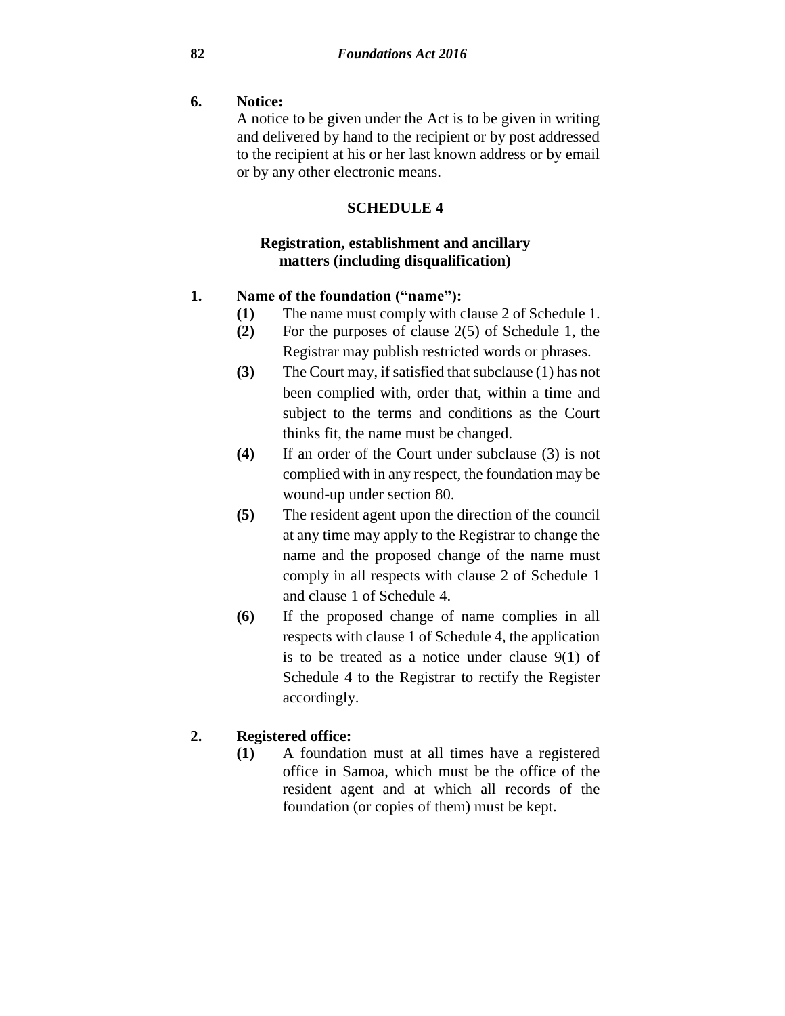### **6. Notice:**

A notice to be given under the Act is to be given in writing and delivered by hand to the recipient or by post addressed to the recipient at his or her last known address or by email or by any other electronic means.

### **SCHEDULE 4**

### **Registration, establishment and ancillary matters (including disqualification)**

### **1. Name of the foundation ("name"):**

- **(1)** The name must comply with clause 2 of Schedule 1.
- **(2)** For the purposes of clause 2(5) of Schedule 1, the Registrar may publish restricted words or phrases.
- **(3)** The Court may, if satisfied that subclause (1) has not been complied with, order that, within a time and subject to the terms and conditions as the Court thinks fit, the name must be changed.
- **(4)** If an order of the Court under subclause (3) is not complied with in any respect, the foundation may be wound-up under section 80.
- **(5)** The resident agent upon the direction of the council at any time may apply to the Registrar to change the name and the proposed change of the name must comply in all respects with clause 2 of Schedule 1 and clause 1 of Schedule 4.
- **(6)** If the proposed change of name complies in all respects with clause 1 of Schedule 4, the application is to be treated as a notice under clause 9(1) of Schedule 4 to the Registrar to rectify the Register accordingly.

## **2. Registered office:**

**(1)** A foundation must at all times have a registered office in Samoa, which must be the office of the resident agent and at which all records of the foundation (or copies of them) must be kept.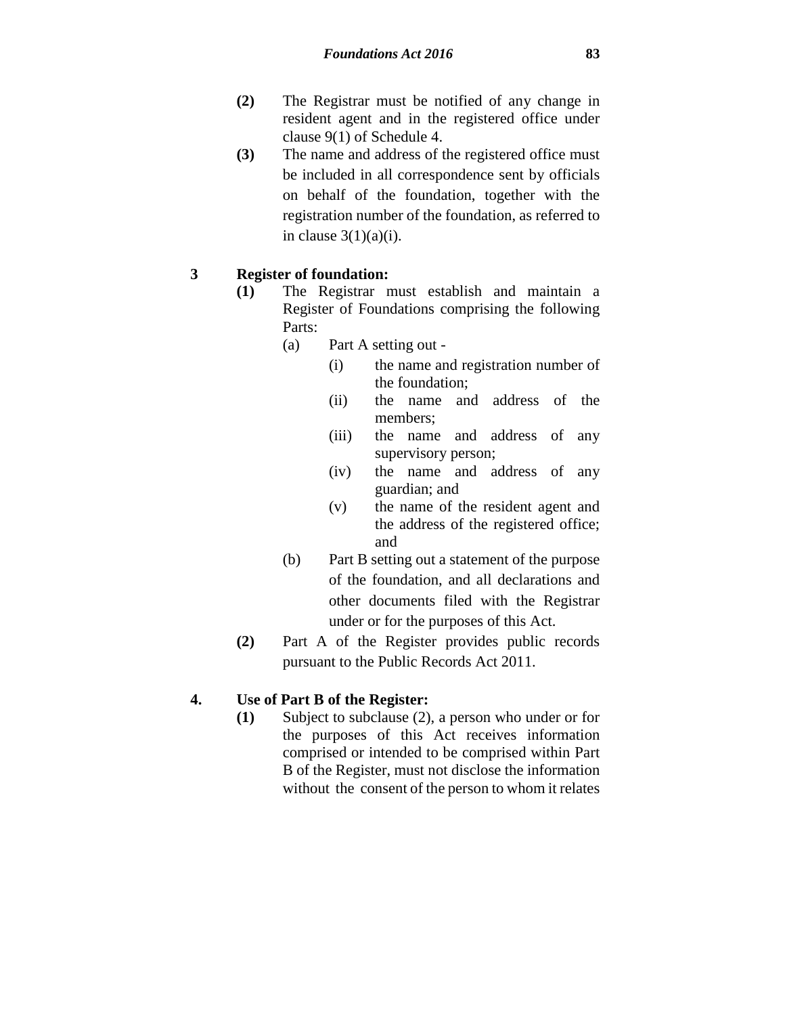- **(2)** The Registrar must be notified of any change in resident agent and in the registered office under clause 9(1) of Schedule 4.
- **(3)** The name and address of the registered office must be included in all correspondence sent by officials on behalf of the foundation, together with the registration number of the foundation, as referred to in clause  $3(1)(a)(i)$ .

#### **3 Register of foundation:**

- **(1)** The Registrar must establish and maintain a Register of Foundations comprising the following Parts:
	- (a) Part A setting out
		- (i) the name and registration number of the foundation;
		- (ii) the name and address of the members;
		- (iii) the name and address of any supervisory person;
		- (iv) the name and address of any guardian; and
		- (v) the name of the resident agent and the address of the registered office; and
	- (b) Part B setting out a statement of the purpose of the foundation, and all declarations and other documents filed with the Registrar under or for the purposes of this Act.
- **(2)** Part A of the Register provides public records pursuant to the Public Records Act 2011.

### **4. Use of Part B of the Register:**

**(1)** Subject to subclause (2), a person who under or for the purposes of this Act receives information comprised or intended to be comprised within Part B of the Register, must not disclose the information without the consent of the person to whom it relates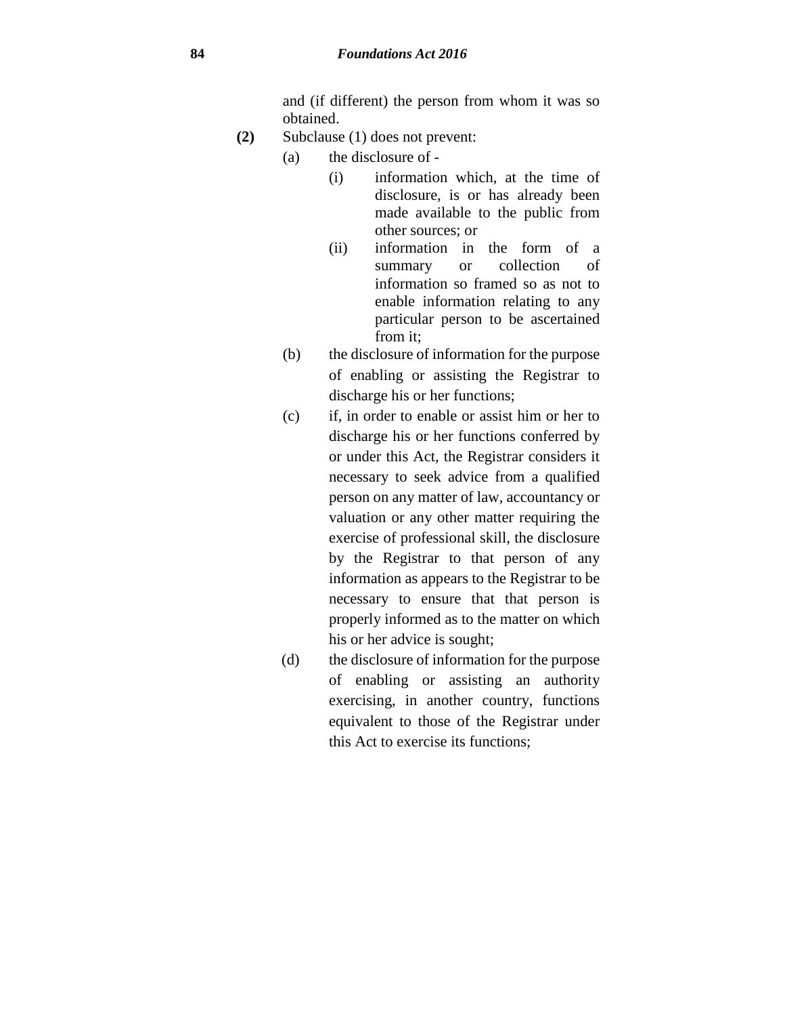and (if different) the person from whom it was so obtained.

- **(2)** Subclause (1) does not prevent:
	- (a) the disclosure of
		- (i) information which, at the time of disclosure, is or has already been made available to the public from other sources; or
		- (ii) information in the form of a summary or collection of information so framed so as not to enable information relating to any particular person to be ascertained from it;
	- (b) the disclosure of information for the purpose of enabling or assisting the Registrar to discharge his or her functions;
	- (c) if, in order to enable or assist him or her to discharge his or her functions conferred by or under this Act, the Registrar considers it necessary to seek advice from a qualified person on any matter of law, accountancy or valuation or any other matter requiring the exercise of professional skill, the disclosure by the Registrar to that person of any information as appears to the Registrar to be necessary to ensure that that person is properly informed as to the matter on which his or her advice is sought;
	- (d) the disclosure of information for the purpose of enabling or assisting an authority exercising, in another country, functions equivalent to those of the Registrar under this Act to exercise its functions;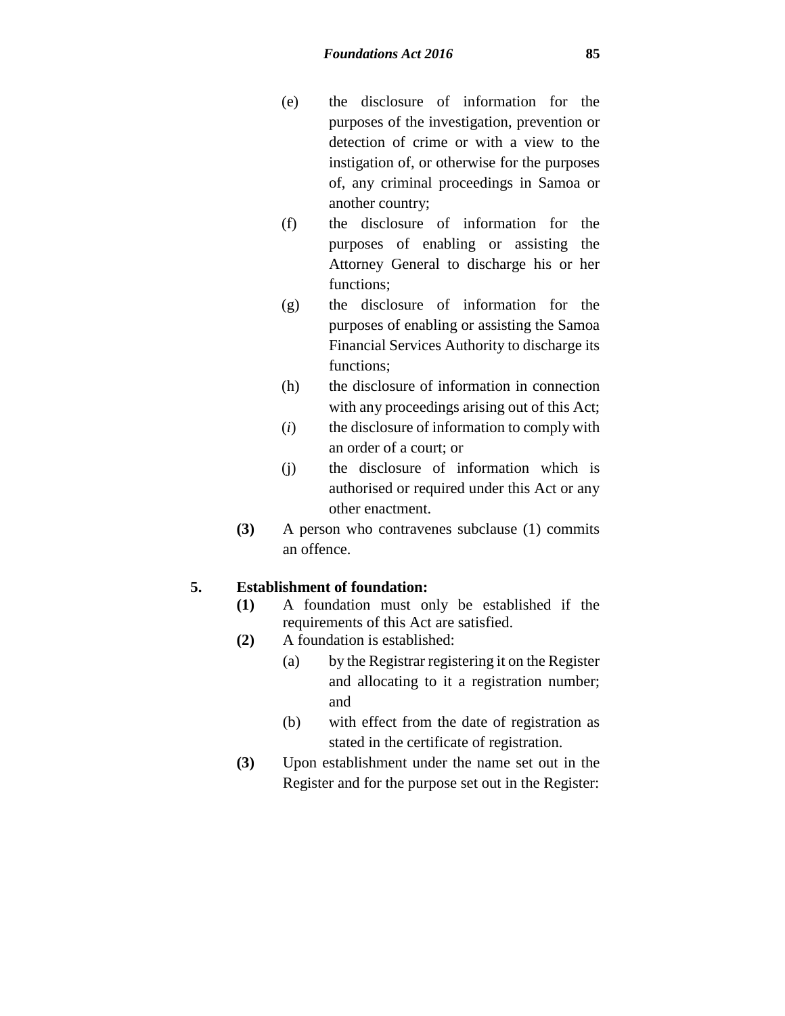- (e) the disclosure of information for the purposes of the investigation, prevention or detection of crime or with a view to the instigation of, or otherwise for the purposes of, any criminal proceedings in Samoa or another country;
- (f) the disclosure of information for the purposes of enabling or assisting the Attorney General to discharge his or her functions;
- (g) the disclosure of information for the purposes of enabling or assisting the Samoa Financial Services Authority to discharge its functions;
- (h) the disclosure of information in connection with any proceedings arising out of this Act;
- (*i*) the disclosure of information to comply with an order of a court; or
- (j) the disclosure of information which is authorised or required under this Act or any other enactment.
- **(3)** A person who contravenes subclause (1) commits an offence.

### **5. Establishment of foundation:**

- **(1)** A foundation must only be established if the requirements of this Act are satisfied.
- **(2)** A foundation is established:
	- (a) by the Registrar registering it on the Register and allocating to it a registration number; and
	- (b) with effect from the date of registration as stated in the certificate of registration.
- **(3)** Upon establishment under the name set out in the Register and for the purpose set out in the Register: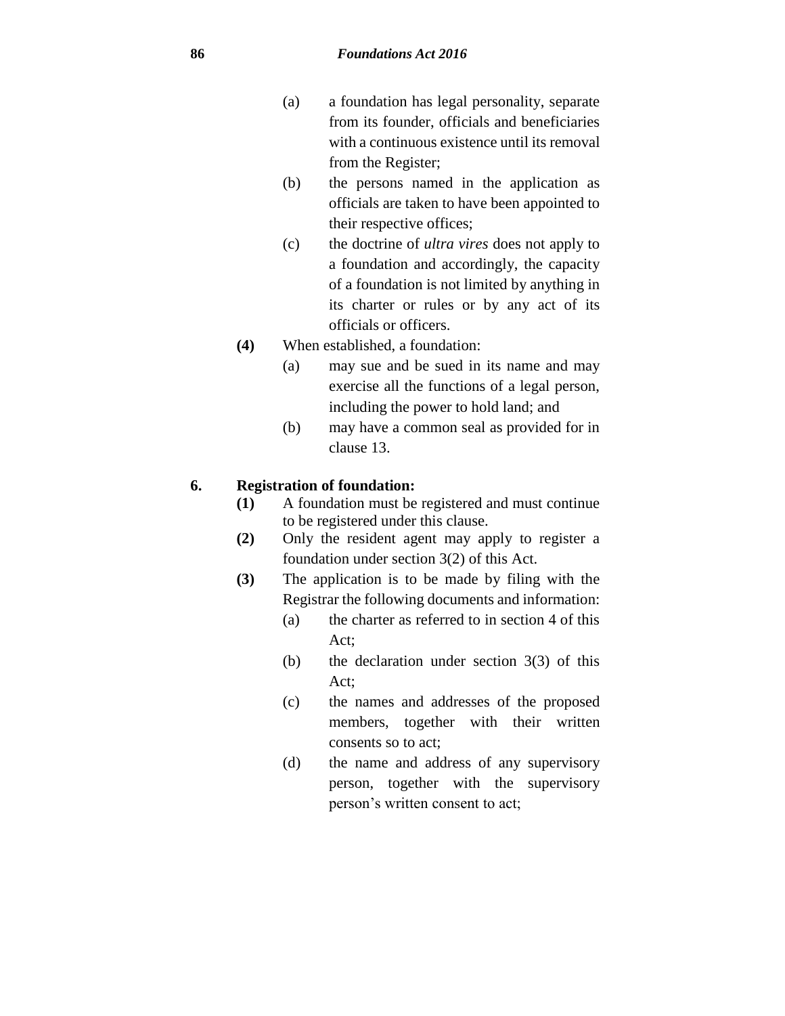- (a) a foundation has legal personality, separate from its founder, officials and beneficiaries with a continuous existence until its removal from the Register;
- (b) the persons named in the application as officials are taken to have been appointed to their respective offices;
- (c) the doctrine of *ultra vires* does not apply to a foundation and accordingly, the capacity of a foundation is not limited by anything in its charter or rules or by any act of its officials or officers.
- **(4)** When established, a foundation:
	- (a) may sue and be sued in its name and may exercise all the functions of a legal person, including the power to hold land; and
	- (b) may have a common seal as provided for in clause 13.

#### **6. Registration of foundation:**

- **(1)** A foundation must be registered and must continue to be registered under this clause.
- **(2)** Only the resident agent may apply to register a foundation under section 3(2) of this Act.
- **(3)** The application is to be made by filing with the Registrar the following documents and information:
	- (a) the charter as referred to in section 4 of this Act;
	- (b) the declaration under section 3(3) of this Act;
	- (c) the names and addresses of the proposed members, together with their written consents so to act;
	- (d) the name and address of any supervisory person, together with the supervisory person's written consent to act;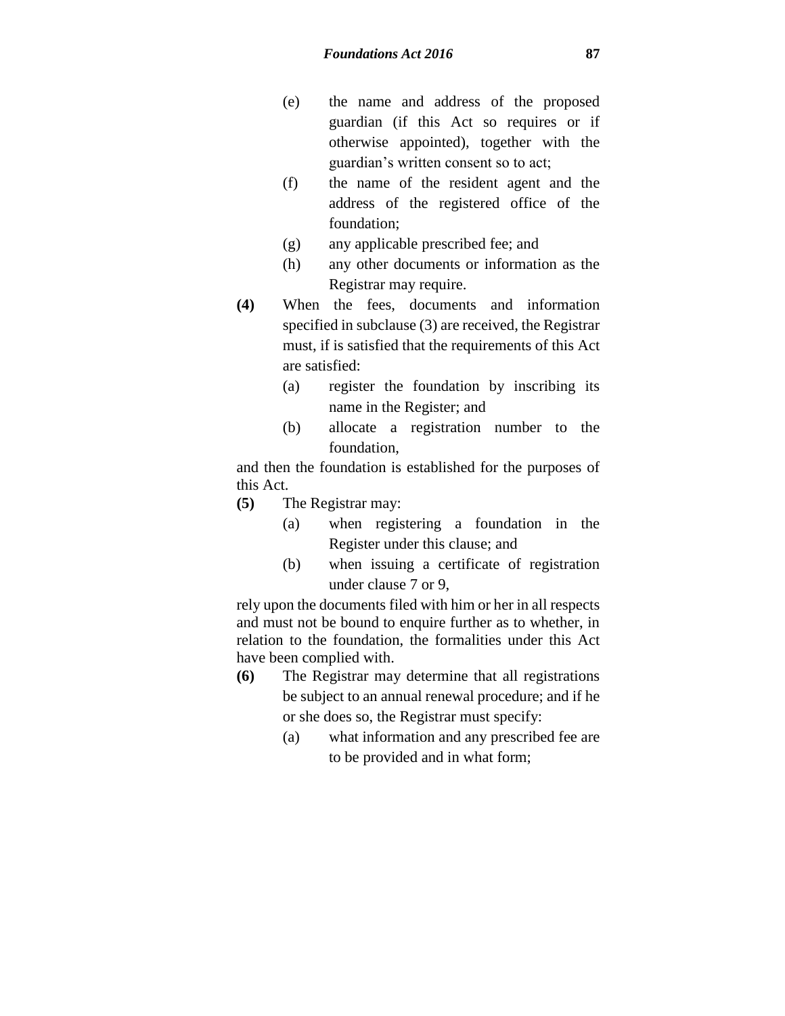- (e) the name and address of the proposed guardian (if this Act so requires or if otherwise appointed), together with the guardian's written consent so to act;
- (f) the name of the resident agent and the address of the registered office of the foundation;
- (g) any applicable prescribed fee; and
- (h) any other documents or information as the Registrar may require.
- **(4)** When the fees, documents and information specified in subclause (3) are received, the Registrar must, if is satisfied that the requirements of this Act are satisfied:
	- (a) register the foundation by inscribing its name in the Register; and
	- (b) allocate a registration number to the foundation,

and then the foundation is established for the purposes of this Act.

- **(5)** The Registrar may:
	- (a) when registering a foundation in the Register under this clause; and
	- (b) when issuing a certificate of registration under clause 7 or 9,

rely upon the documents filed with him or her in all respects and must not be bound to enquire further as to whether, in relation to the foundation, the formalities under this Act have been complied with.

- **(6)** The Registrar may determine that all registrations be subject to an annual renewal procedure; and if he or she does so, the Registrar must specify:
	- (a) what information and any prescribed fee are to be provided and in what form;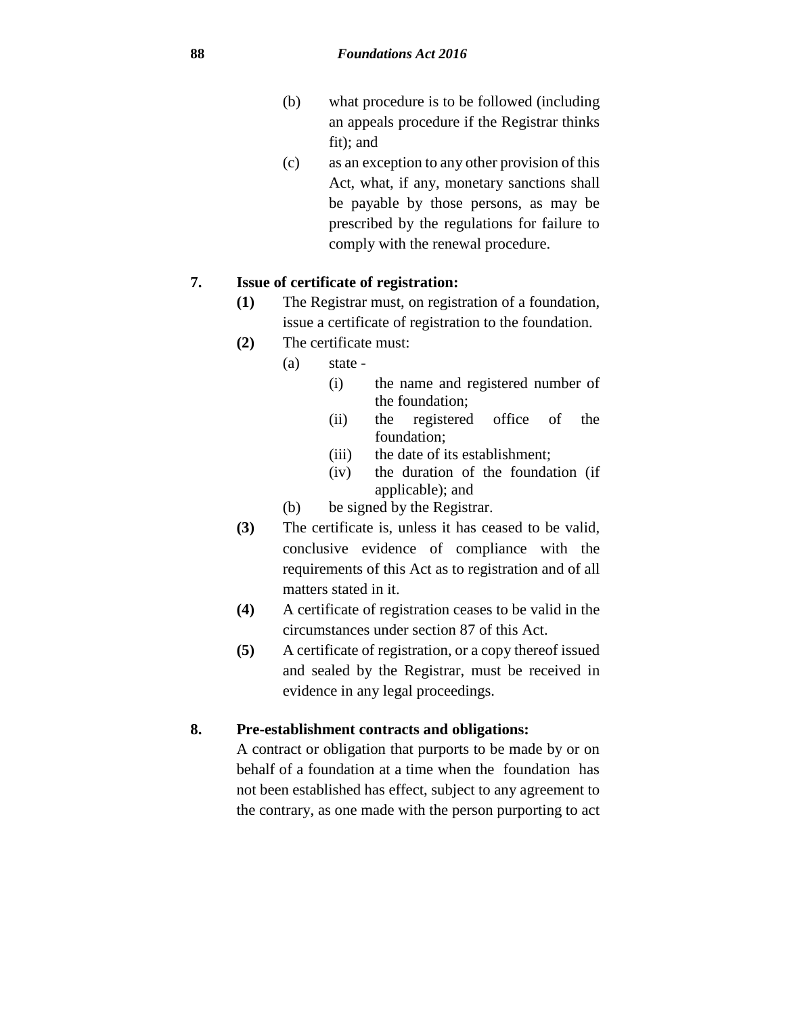- (b) what procedure is to be followed (including an appeals procedure if the Registrar thinks fit); and
- (c) as an exception to any other provision of this Act, what, if any, monetary sanctions shall be payable by those persons, as may be prescribed by the regulations for failure to comply with the renewal procedure.

### **7. Issue of certificate of registration:**

- **(1)** The Registrar must, on registration of a foundation, issue a certificate of registration to the foundation.
- **(2)** The certificate must:
	- (a) state
		- (i) the name and registered number of the foundation;
		- (ii) the registered office of the foundation;
		- (iii) the date of its establishment;
		- (iv) the duration of the foundation (if applicable); and
	- (b) be signed by the Registrar.
- **(3)** The certificate is, unless it has ceased to be valid, conclusive evidence of compliance with the requirements of this Act as to registration and of all matters stated in it.
- **(4)** A certificate of registration ceases to be valid in the circumstances under section 87 of this Act.
- **(5)** A certificate of registration, or a copy thereof issued and sealed by the Registrar, must be received in evidence in any legal proceedings.

## **8. Pre-establishment contracts and obligations:**

A contract or obligation that purports to be made by or on behalf of a foundation at a time when the foundation has not been established has effect, subject to any agreement to the contrary, as one made with the person purporting to act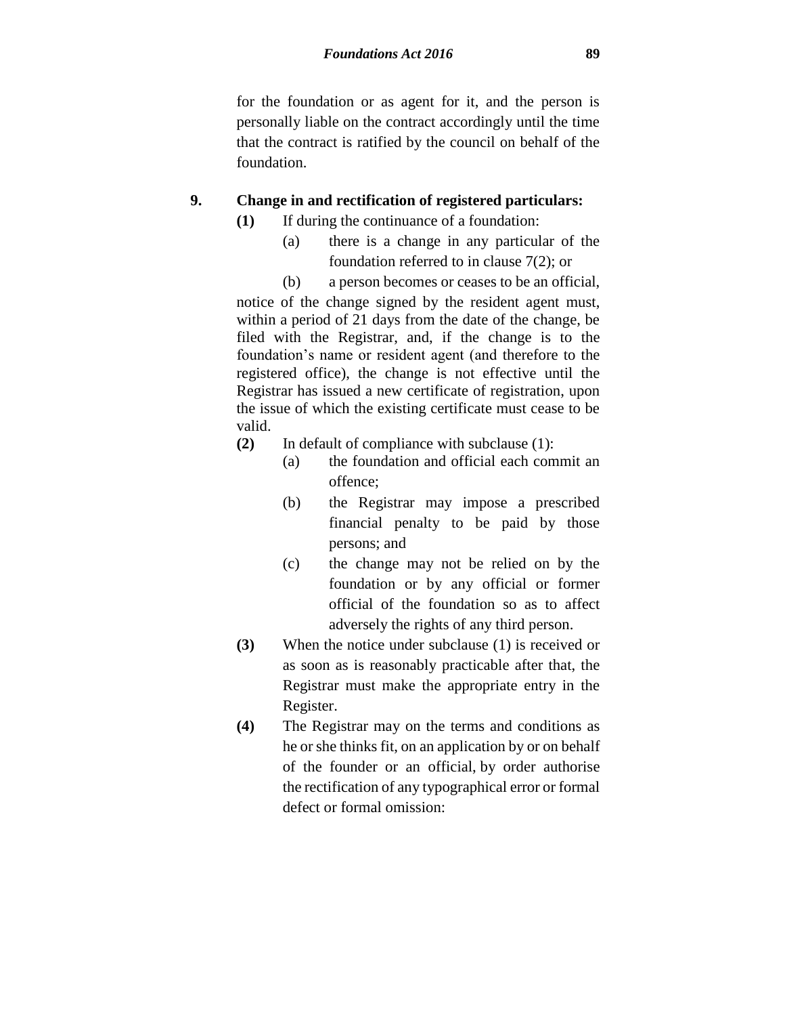for the foundation or as agent for it, and the person is personally liable on the contract accordingly until the time that the contract is ratified by the council on behalf of the foundation.

### **9. Change in and rectification of registered particulars:**

- **(1)** If during the continuance of a foundation:
	- (a) there is a change in any particular of the foundation referred to in clause 7(2); or
	- (b) a person becomes or ceases to be an official,

notice of the change signed by the resident agent must, within a period of 21 days from the date of the change, be filed with the Registrar, and, if the change is to the foundation's name or resident agent (and therefore to the registered office), the change is not effective until the Registrar has issued a new certificate of registration, upon the issue of which the existing certificate must cease to be valid.

- **(2)** In default of compliance with subclause (1):
	- (a) the foundation and official each commit an offence;
	- (b) the Registrar may impose a prescribed financial penalty to be paid by those persons; and
	- (c) the change may not be relied on by the foundation or by any official or former official of the foundation so as to affect adversely the rights of any third person.
- **(3)** When the notice under subclause (1) is received or as soon as is reasonably practicable after that, the Registrar must make the appropriate entry in the Register.
- **(4)** The Registrar may on the terms and conditions as he or she thinks fit, on an application by or on behalf of the founder or an official, by order authorise the rectification of any typographical error or formal defect or formal omission: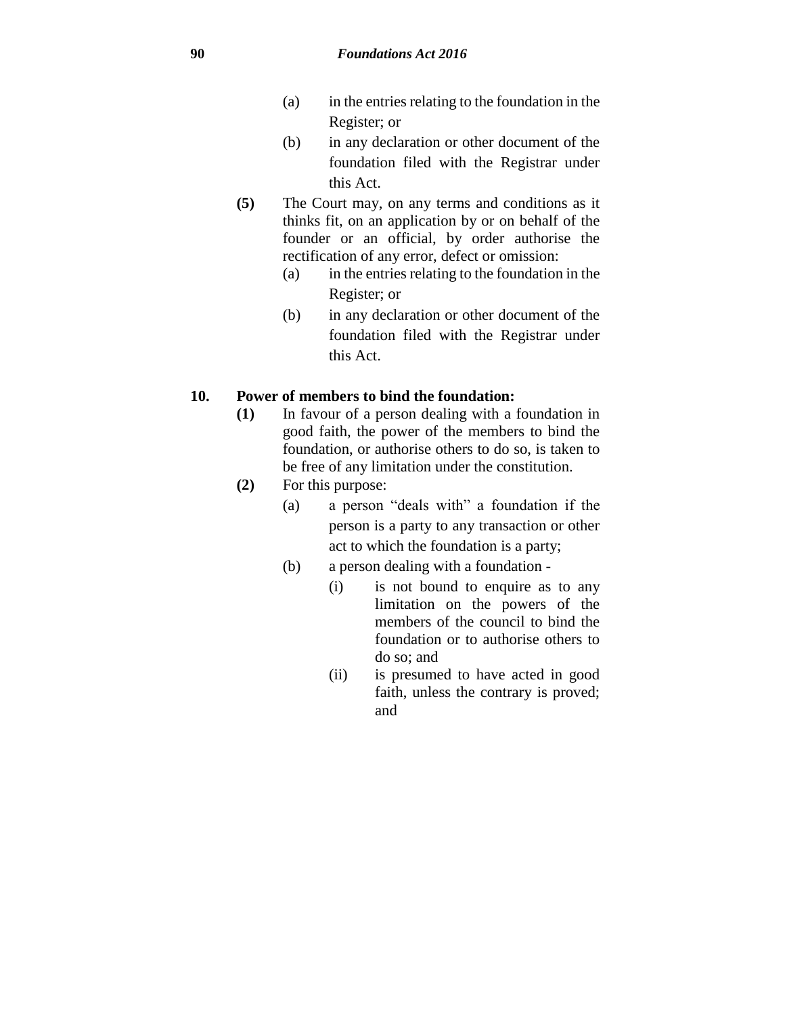- (a) in the entries relating to the foundation in the Register; or
- (b) in any declaration or other document of the foundation filed with the Registrar under this Act.
- **(5)** The Court may, on any terms and conditions as it thinks fit, on an application by or on behalf of the founder or an official, by order authorise the rectification of any error, defect or omission:
	- (a) in the entries relating to the foundation in the Register; or
	- (b) in any declaration or other document of the foundation filed with the Registrar under this Act.

## **10. Power of members to bind the foundation:**

- **(1)** In favour of a person dealing with a foundation in good faith, the power of the members to bind the foundation, or authorise others to do so, is taken to be free of any limitation under the constitution.
- **(2)** For this purpose:
	- (a) a person "deals with" a foundation if the person is a party to any transaction or other act to which the foundation is a party;
	- (b) a person dealing with a foundation
		- (i) is not bound to enquire as to any limitation on the powers of the members of the council to bind the foundation or to authorise others to do so; and
		- (ii) is presumed to have acted in good faith, unless the contrary is proved; and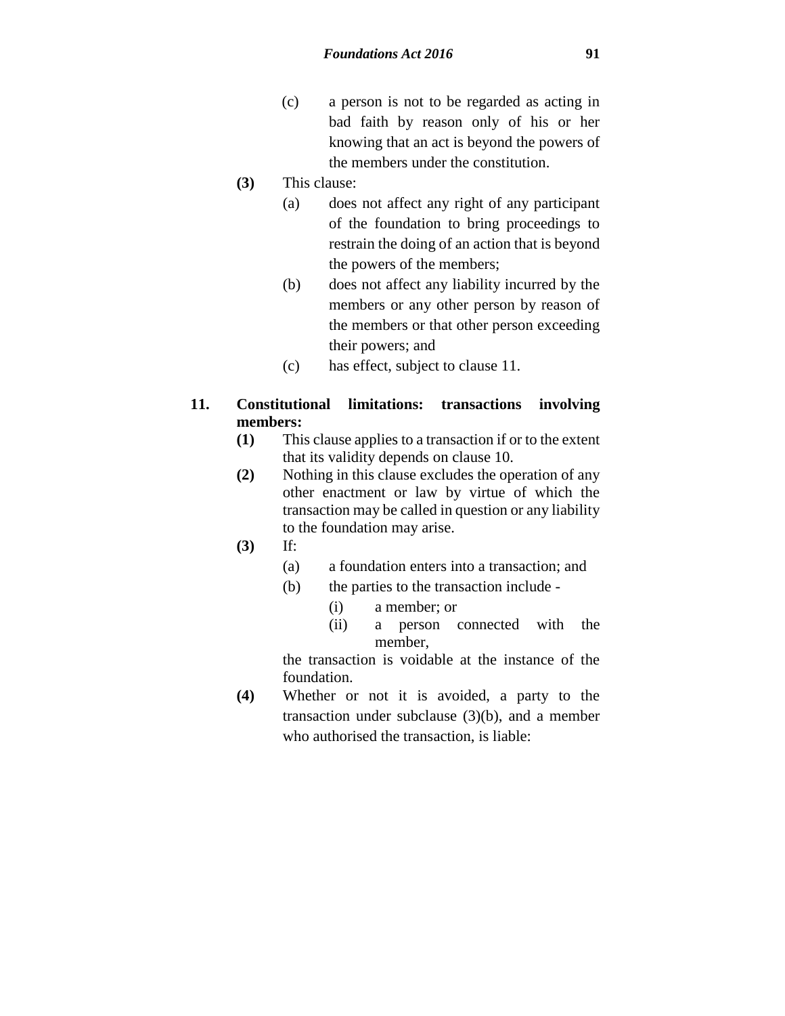- (c) a person is not to be regarded as acting in bad faith by reason only of his or her knowing that an act is beyond the powers of the members under the constitution.
- **(3)** This clause:
	- (a) does not affect any right of any participant of the foundation to bring proceedings to restrain the doing of an action that is beyond the powers of the members;
	- (b) does not affect any liability incurred by the members or any other person by reason of the members or that other person exceeding their powers; and
	- (c) has effect, subject to clause 11.
- **11. Constitutional limitations: transactions involving members:**
	- **(1)** This clause applies to a transaction if or to the extent that its validity depends on clause 10.
	- **(2)** Nothing in this clause excludes the operation of any other enactment or law by virtue of which the transaction may be called in question or any liability to the foundation may arise.
	- **(3)** If:
		- (a) a foundation enters into a transaction; and
		- (b) the parties to the transaction include
			- (i) a member; or
			- (ii) a person connected with the member,

the transaction is voidable at the instance of the foundation.

**(4)** Whether or not it is avoided, a party to the transaction under subclause (3)(b), and a member who authorised the transaction, is liable: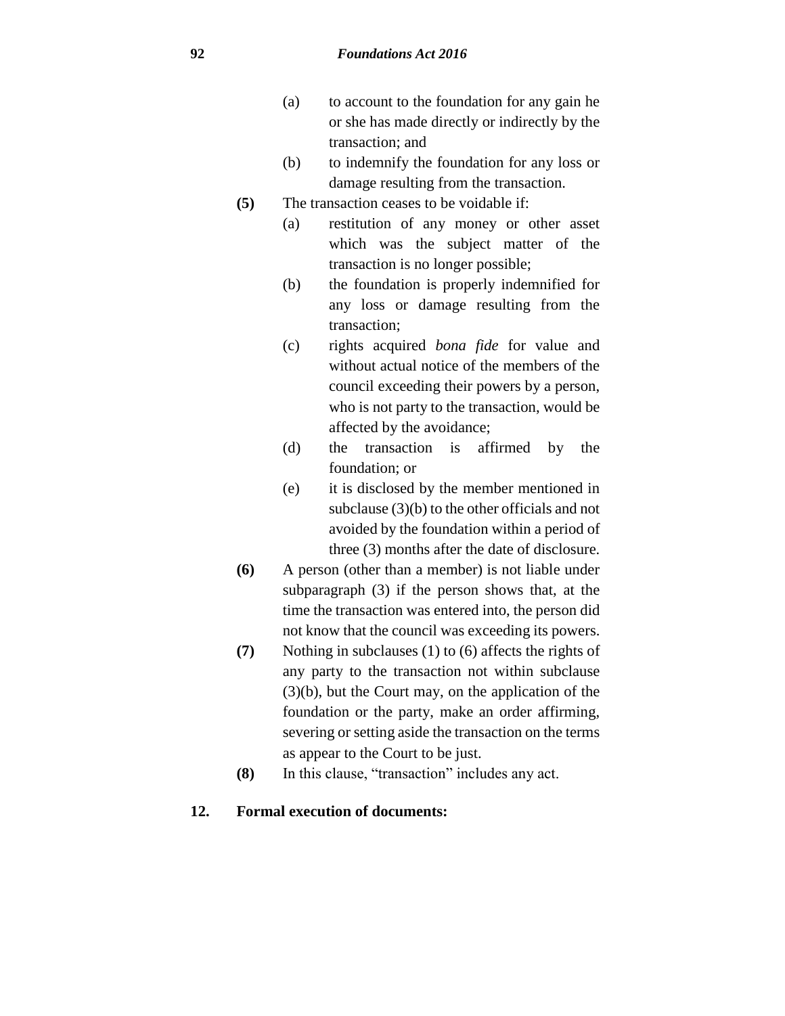#### **92** *Foundations Act 2016*

- (a) to account to the foundation for any gain he or she has made directly or indirectly by the transaction; and
- (b) to indemnify the foundation for any loss or damage resulting from the transaction.
- **(5)** The transaction ceases to be voidable if:
	- (a) restitution of any money or other asset which was the subject matter of the transaction is no longer possible;
	- (b) the foundation is properly indemnified for any loss or damage resulting from the transaction;
	- (c) rights acquired *bona fide* for value and without actual notice of the members of the council exceeding their powers by a person, who is not party to the transaction, would be affected by the avoidance;
	- (d) the transaction is affirmed by the foundation; or
	- (e) it is disclosed by the member mentioned in subclause (3)(b) to the other officials and not avoided by the foundation within a period of three (3) months after the date of disclosure.
- **(6)** A person (other than a member) is not liable under subparagraph (3) if the person shows that, at the time the transaction was entered into, the person did not know that the council was exceeding its powers.
- **(7)** Nothing in subclauses (1) to (6) affects the rights of any party to the transaction not within subclause (3)(b), but the Court may, on the application of the foundation or the party, make an order affirming, severing or setting aside the transaction on the terms as appear to the Court to be just.
- **(8)** In this clause, "transaction" includes any act.

### **12. Formal execution of documents:**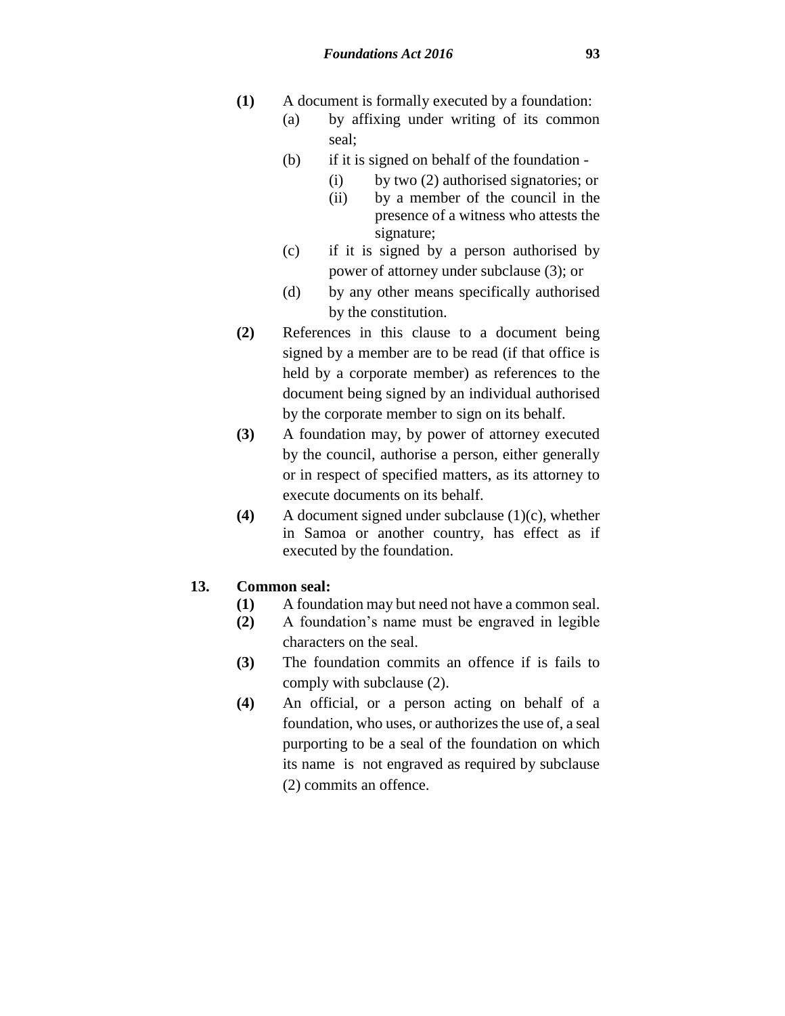- **(1)** A document is formally executed by a foundation:
	- (a) by affixing under writing of its common seal;
		- (b) if it is signed on behalf of the foundation
			- (i) by two (2) authorised signatories; or
			- (ii) by a member of the council in the presence of a witness who attests the signature;
		- (c) if it is signed by a person authorised by power of attorney under subclause (3); or
		- (d) by any other means specifically authorised by the constitution.
- **(2)** References in this clause to a document being signed by a member are to be read (if that office is held by a corporate member) as references to the document being signed by an individual authorised by the corporate member to sign on its behalf.
- **(3)** A foundation may, by power of attorney executed by the council, authorise a person, either generally or in respect of specified matters, as its attorney to execute documents on its behalf.
- **(4)** A document signed under subclause (1)(c), whether in Samoa or another country, has effect as if executed by the foundation.

### **13. Common seal:**

- **(1)** A foundation may but need not have a common seal.
- **(2)** A foundation's name must be engraved in legible characters on the seal.
- **(3)** The foundation commits an offence if is fails to comply with subclause (2).
- **(4)** An official, or a person acting on behalf of a foundation, who uses, or authorizes the use of, a seal purporting to be a seal of the foundation on which its name is not engraved as required by subclause (2) commits an offence.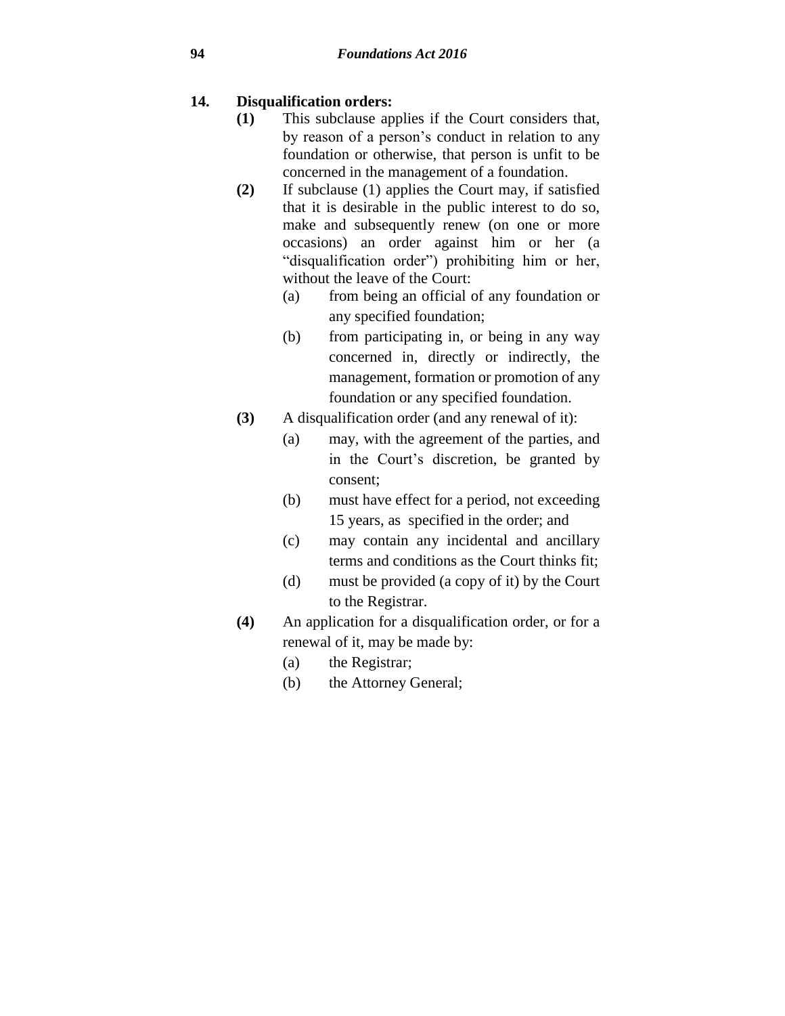## **14. Disqualification orders:**

- **(1)** This subclause applies if the Court considers that, by reason of a person's conduct in relation to any foundation or otherwise, that person is unfit to be concerned in the management of a foundation.
- **(2)** If subclause (1) applies the Court may, if satisfied that it is desirable in the public interest to do so, make and subsequently renew (on one or more occasions) an order against him or her (a "disqualification order") prohibiting him or her, without the leave of the Court:
	- (a) from being an official of any foundation or any specified foundation;
	- (b) from participating in, or being in any way concerned in, directly or indirectly, the management, formation or promotion of any foundation or any specified foundation.
- **(3)** A disqualification order (and any renewal of it):
	- (a) may, with the agreement of the parties, and in the Court's discretion, be granted by consent;
	- (b) must have effect for a period, not exceeding 15 years, as specified in the order; and
	- (c) may contain any incidental and ancillary terms and conditions as the Court thinks fit;
	- (d) must be provided (a copy of it) by the Court to the Registrar.
- **(4)** An application for a disqualification order, or for a renewal of it, may be made by:
	- (a) the Registrar;
	- (b) the Attorney General;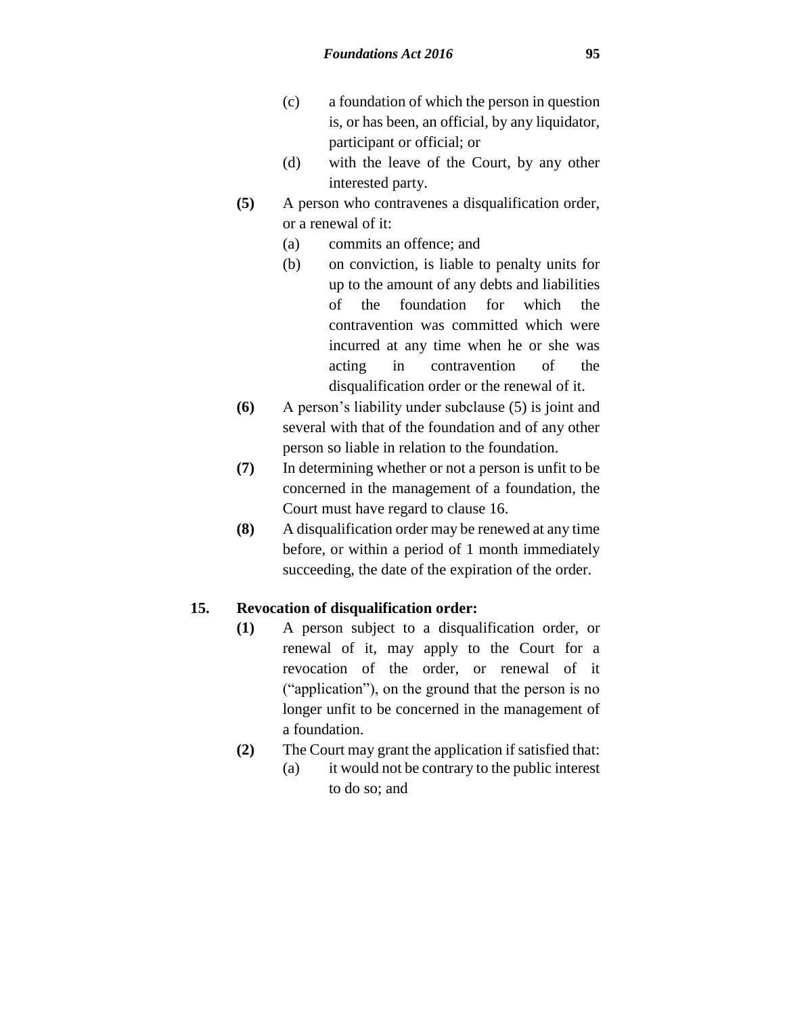- (c) a foundation of which the person in question is, or has been, an official, by any liquidator, participant or official; or
- (d) with the leave of the Court, by any other interested party.
- **(5)** A person who contravenes a disqualification order, or a renewal of it:
	- (a) commits an offence; and
	- (b) on conviction, is liable to penalty units for up to the amount of any debts and liabilities of the foundation for which the contravention was committed which were incurred at any time when he or she was acting in contravention of the disqualification order or the renewal of it.
- **(6)** A person's liability under subclause (5) is joint and several with that of the foundation and of any other person so liable in relation to the foundation.
- **(7)** In determining whether or not a person is unfit to be concerned in the management of a foundation, the Court must have regard to clause 16.
- **(8)** A disqualification order may be renewed at any time before, or within a period of 1 month immediately succeeding, the date of the expiration of the order.

### **15. Revocation of disqualification order:**

- **(1)** A person subject to a disqualification order, or renewal of it, may apply to the Court for a revocation of the order, or renewal of it ("application"), on the ground that the person is no longer unfit to be concerned in the management of a foundation.
- **(2)** The Court may grant the application if satisfied that:
	- (a) it would not be contrary to the public interest to do so; and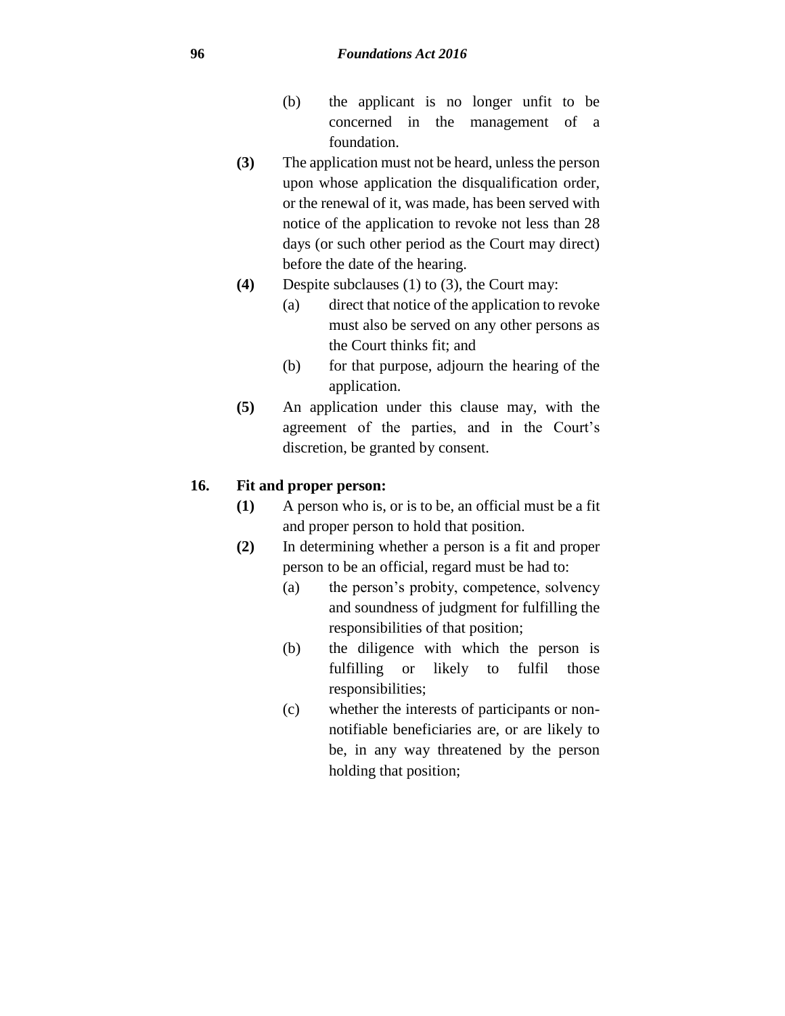- (b) the applicant is no longer unfit to be concerned in the management of a foundation.
- **(3)** The application must not be heard, unless the person upon whose application the disqualification order, or the renewal of it, was made, has been served with notice of the application to revoke not less than 28 days (or such other period as the Court may direct) before the date of the hearing.
- **(4)** Despite subclauses (1) to (3), the Court may:
	- (a) direct that notice of the application to revoke must also be served on any other persons as the Court thinks fit; and
	- (b) for that purpose, adjourn the hearing of the application.
- **(5)** An application under this clause may, with the agreement of the parties, and in the Court's discretion, be granted by consent.

## **16. Fit and proper person:**

- **(1)** A person who is, or is to be, an official must be a fit and proper person to hold that position.
- **(2)** In determining whether a person is a fit and proper person to be an official, regard must be had to:
	- (a) the person's probity, competence, solvency and soundness of judgment for fulfilling the responsibilities of that position;
	- (b) the diligence with which the person is fulfilling or likely to fulfil those responsibilities;
	- (c) whether the interests of participants or nonnotifiable beneficiaries are, or are likely to be, in any way threatened by the person holding that position;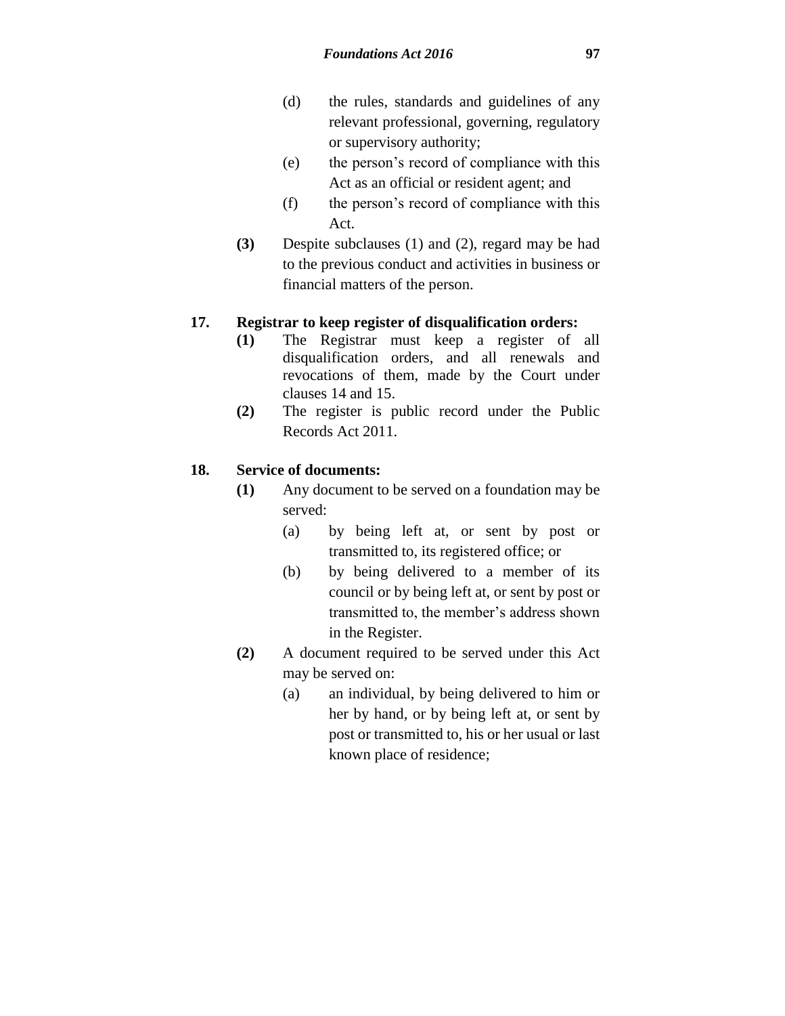- (d) the rules, standards and guidelines of any relevant professional, governing, regulatory or supervisory authority;
- (e) the person's record of compliance with this Act as an official or resident agent; and
- (f) the person's record of compliance with this Act.
- **(3)** Despite subclauses (1) and (2), regard may be had to the previous conduct and activities in business or financial matters of the person.

### **17. Registrar to keep register of disqualification orders:**

- **(1)** The Registrar must keep a register of all disqualification orders, and all renewals and revocations of them, made by the Court under clauses 14 and 15.
- **(2)** The register is public record under the Public Records Act 2011.

## **18. Service of documents:**

- **(1)** Any document to be served on a foundation may be served:
	- (a) by being left at, or sent by post or transmitted to, its registered office; or
	- (b) by being delivered to a member of its council or by being left at, or sent by post or transmitted to, the member's address shown in the Register.
- **(2)** A document required to be served under this Act may be served on:
	- (a) an individual, by being delivered to him or her by hand, or by being left at, or sent by post or transmitted to, his or her usual or last known place of residence;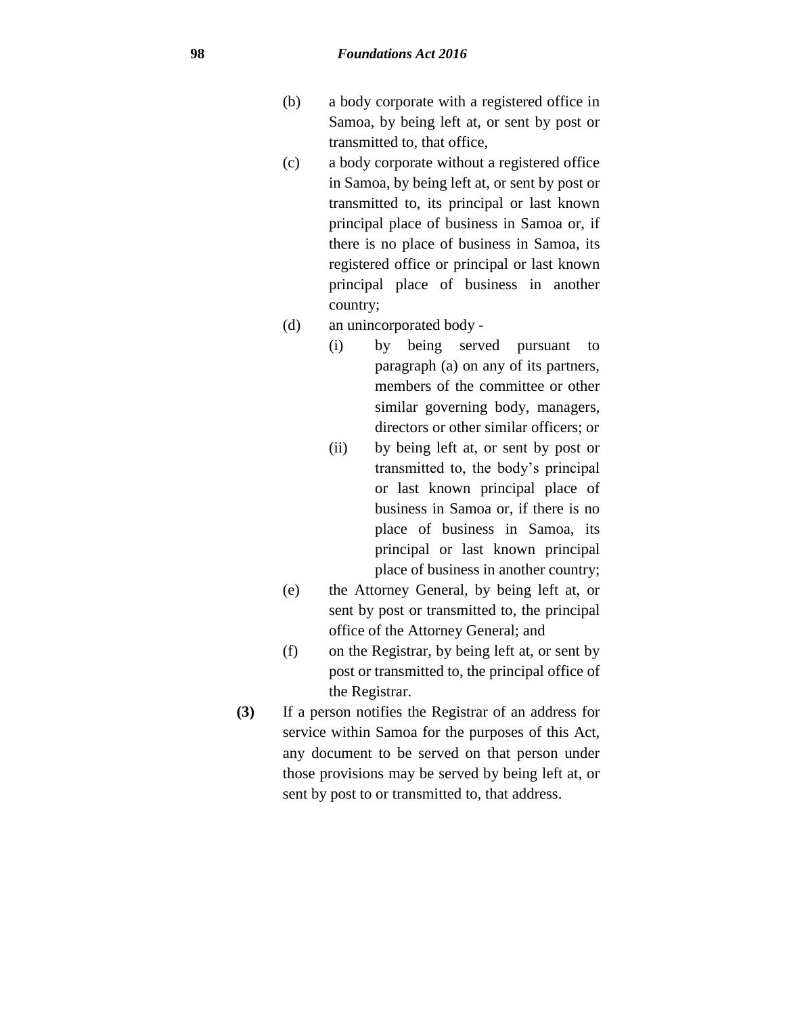- (b) a body corporate with a registered office in Samoa, by being left at, or sent by post or transmitted to, that office,
- (c) a body corporate without a registered office in Samoa, by being left at, or sent by post or transmitted to, its principal or last known principal place of business in Samoa or, if there is no place of business in Samoa, its registered office or principal or last known principal place of business in another country;
- (d) an unincorporated body
	- (i) by being served pursuant to paragraph (a) on any of its partners, members of the committee or other similar governing body, managers, directors or other similar officers; or
	- (ii) by being left at, or sent by post or transmitted to, the body's principal or last known principal place of business in Samoa or, if there is no place of business in Samoa, its principal or last known principal place of business in another country;
- (e) the Attorney General, by being left at, or sent by post or transmitted to, the principal office of the Attorney General; and
- (f) on the Registrar, by being left at, or sent by post or transmitted to, the principal office of the Registrar.
- **(3)** If a person notifies the Registrar of an address for service within Samoa for the purposes of this Act, any document to be served on that person under those provisions may be served by being left at, or sent by post to or transmitted to, that address.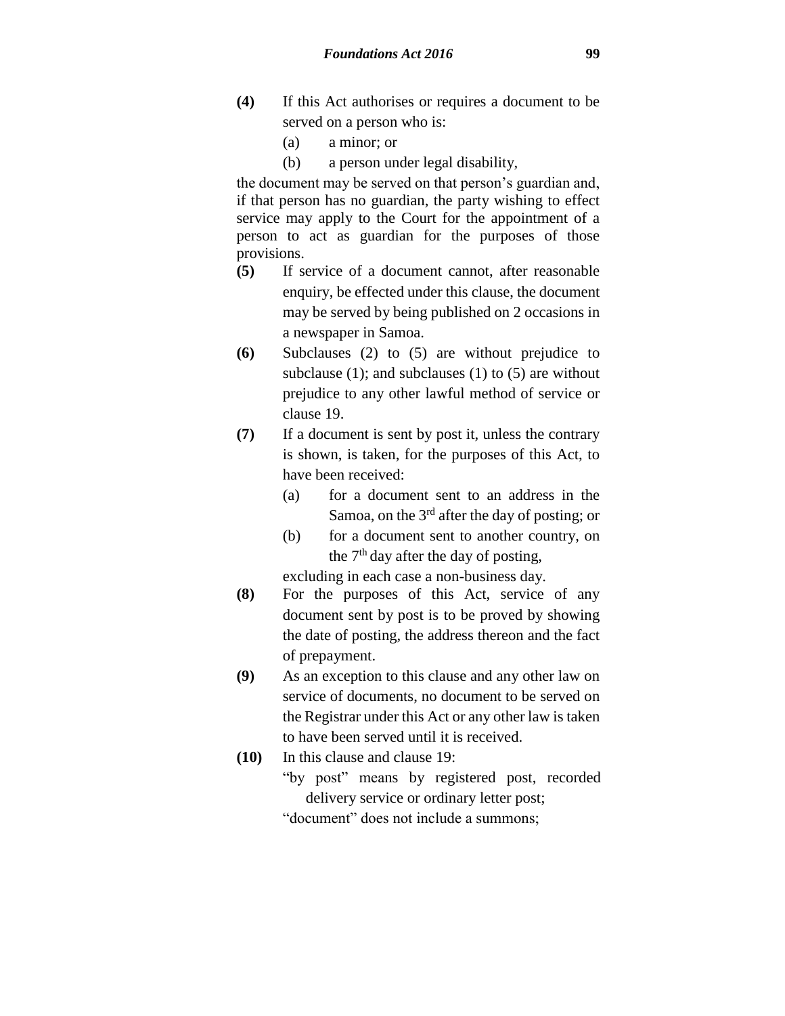- **(4)** If this Act authorises or requires a document to be served on a person who is:
	- (a) a minor; or
	- (b) a person under legal disability,

the document may be served on that person's guardian and, if that person has no guardian, the party wishing to effect service may apply to the Court for the appointment of a person to act as guardian for the purposes of those provisions.

- **(5)** If service of a document cannot, after reasonable enquiry, be effected under this clause, the document may be served by being published on 2 occasions in a newspaper in Samoa.
- **(6)** Subclauses (2) to (5) are without prejudice to subclause  $(1)$ ; and subclauses  $(1)$  to  $(5)$  are without prejudice to any other lawful method of service or clause 19.
- **(7)** If a document is sent by post it, unless the contrary is shown, is taken, for the purposes of this Act, to have been received:
	- (a) for a document sent to an address in the Samoa, on the  $3<sup>rd</sup>$  after the day of posting; or
	- (b) for a document sent to another country, on the  $7<sup>th</sup>$  day after the day of posting,

excluding in each case a non-business day.

- **(8)** For the purposes of this Act, service of any document sent by post is to be proved by showing the date of posting, the address thereon and the fact of prepayment.
- **(9)** As an exception to this clause and any other law on service of documents, no document to be served on the Registrar under this Act or any other law is taken to have been served until it is received.
- **(10)** In this clause and clause 19: "by post" means by registered post, recorded delivery service or ordinary letter post; "document" does not include a summons;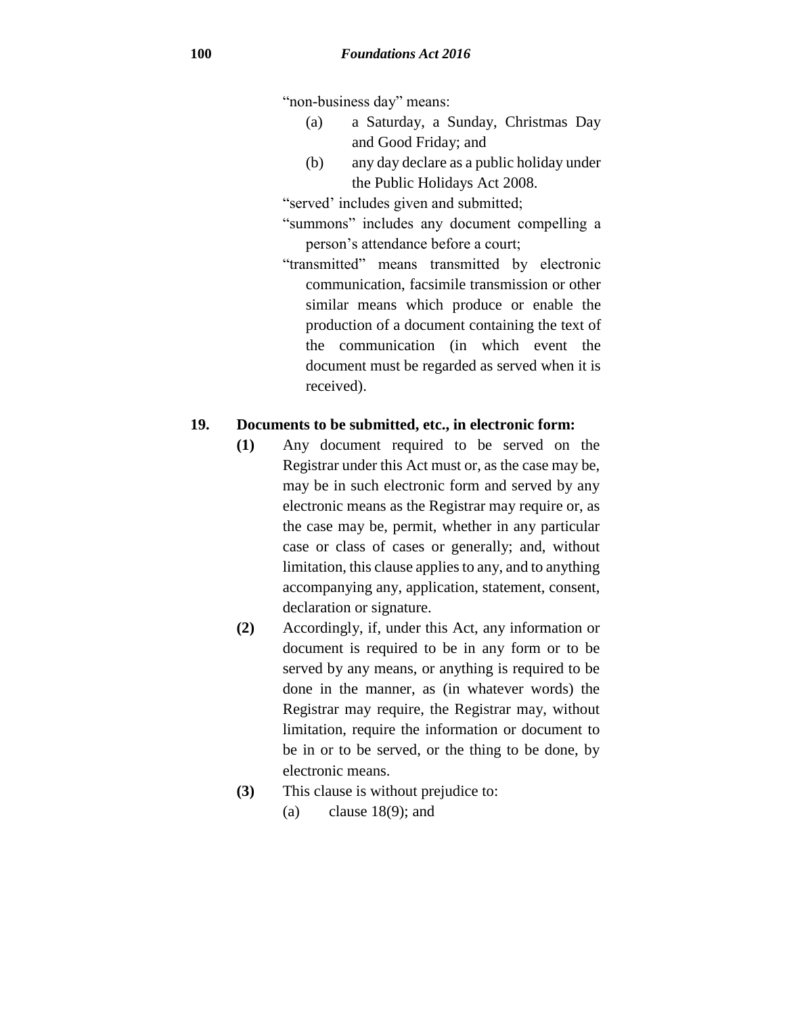"non-business day" means:

- (a) a Saturday, a Sunday, Christmas Day and Good Friday; and
- (b) any day declare as a public holiday under the Public Holidays Act 2008.

"served' includes given and submitted;

- "summons" includes any document compelling a person's attendance before a court;
- "transmitted" means transmitted by electronic communication, facsimile transmission or other similar means which produce or enable the production of a document containing the text of the communication (in which event the document must be regarded as served when it is received).

### **19. Documents to be submitted, etc., in electronic form:**

- **(1)** Any document required to be served on the Registrar under this Act must or, as the case may be, may be in such electronic form and served by any electronic means as the Registrar may require or, as the case may be, permit, whether in any particular case or class of cases or generally; and, without limitation, this clause applies to any, and to anything accompanying any, application, statement, consent, declaration or signature.
- **(2)** Accordingly, if, under this Act, any information or document is required to be in any form or to be served by any means, or anything is required to be done in the manner, as (in whatever words) the Registrar may require, the Registrar may, without limitation, require the information or document to be in or to be served, or the thing to be done, by electronic means.
- **(3)** This clause is without prejudice to:
	- (a) clause  $18(9)$ ; and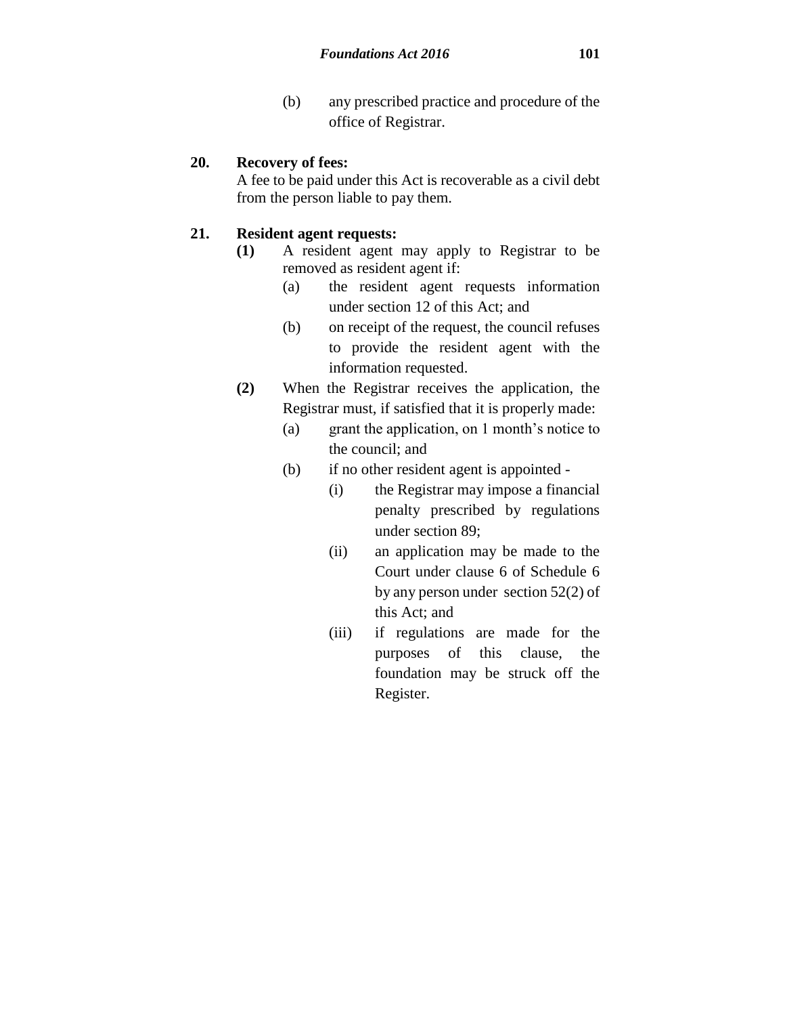(b) any prescribed practice and procedure of the office of Registrar.

### **20. Recovery of fees:**

A fee to be paid under this Act is recoverable as a civil debt from the person liable to pay them.

### **21. Resident agent requests:**

- **(1)** A resident agent may apply to Registrar to be removed as resident agent if:
	- (a) the resident agent requests information under section 12 of this Act; and
	- (b) on receipt of the request, the council refuses to provide the resident agent with the information requested.
- **(2)** When the Registrar receives the application, the Registrar must, if satisfied that it is properly made:
	- (a) grant the application, on 1 month's notice to the council; and
	- (b) if no other resident agent is appointed
		- (i) the Registrar may impose a financial penalty prescribed by regulations under section 89;
		- (ii) an application may be made to the Court under clause 6 of Schedule 6 by any person under section 52(2) of this Act; and
		- (iii) if regulations are made for the purposes of this clause, the foundation may be struck off the Register.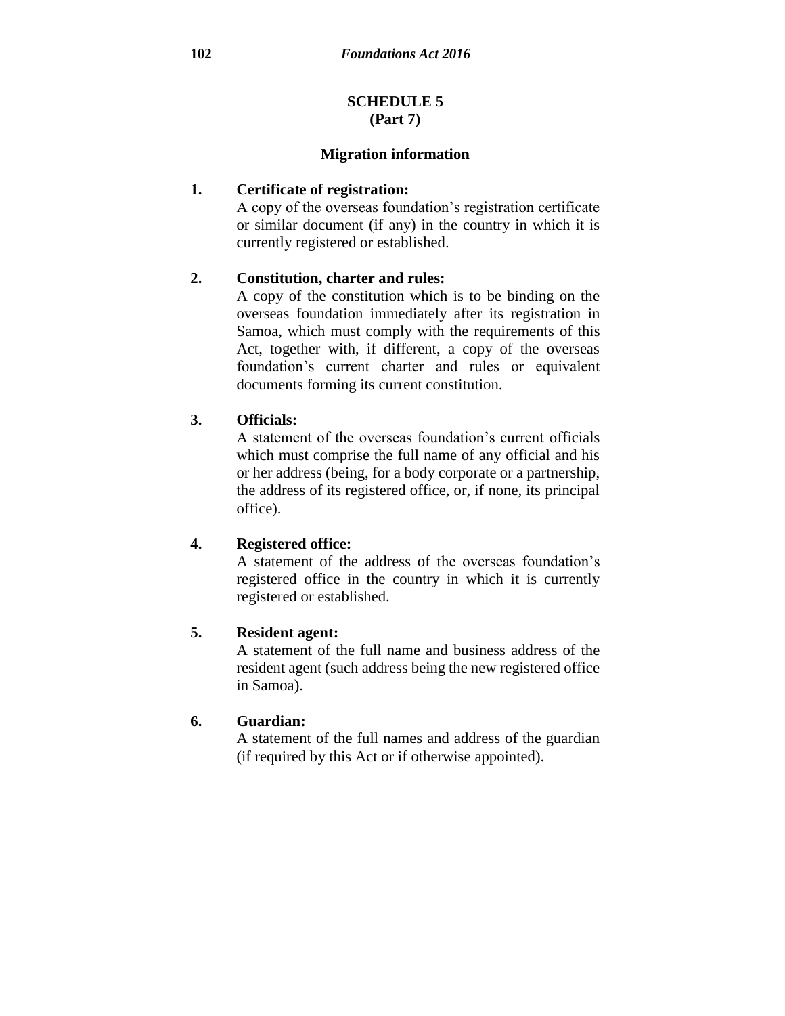### **SCHEDULE 5 (Part 7)**

#### **Migration information**

### **1. Certificate of registration:**

A copy of the overseas foundation's registration certificate or similar document (if any) in the country in which it is currently registered or established.

### **2. Constitution, charter and rules:**

A copy of the constitution which is to be binding on the overseas foundation immediately after its registration in Samoa, which must comply with the requirements of this Act, together with, if different, a copy of the overseas foundation's current charter and rules or equivalent documents forming its current constitution.

### **3. Officials:**

A statement of the overseas foundation's current officials which must comprise the full name of any official and his or her address (being, for a body corporate or a partnership, the address of its registered office, or, if none, its principal office).

### **4. Registered office:**

A statement of the address of the overseas foundation's registered office in the country in which it is currently registered or established.

### **5. Resident agent:**

A statement of the full name and business address of the resident agent (such address being the new registered office in Samoa).

### **6. Guardian:**

A statement of the full names and address of the guardian (if required by this Act or if otherwise appointed).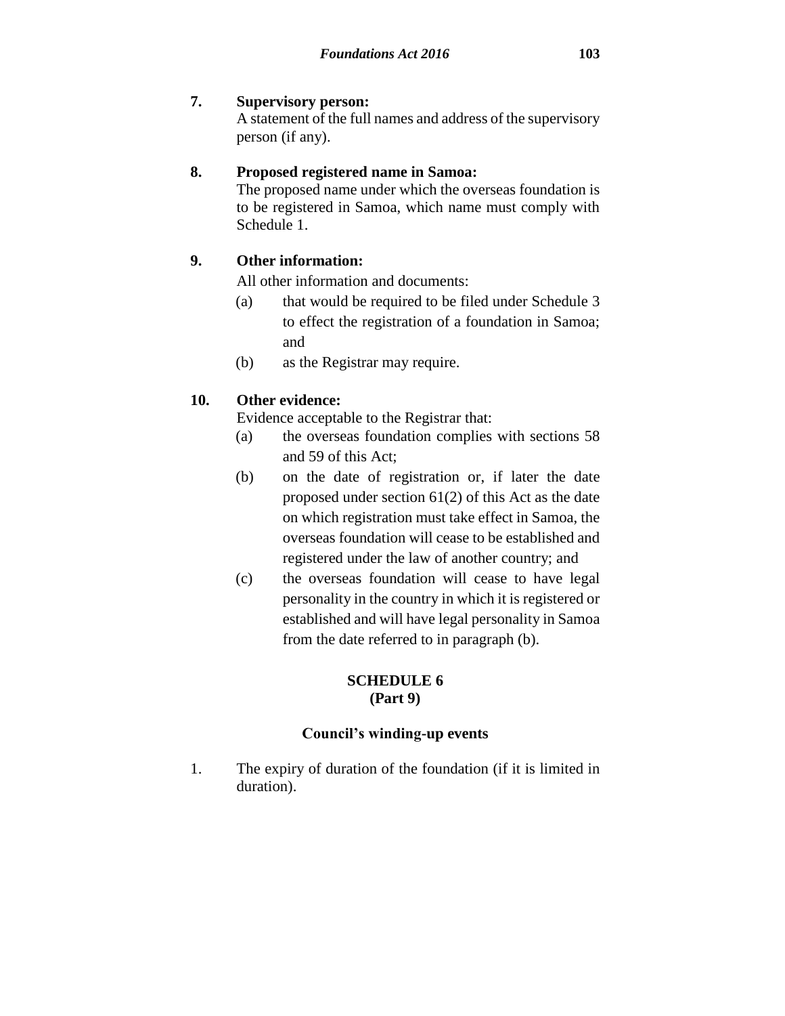A statement of the full names and address of the supervisory person (if any).

# **8. Proposed registered name in Samoa:**

The proposed name under which the overseas foundation is to be registered in Samoa, which name must comply with Schedule 1.

# **9. Other information:**

All other information and documents:

- (a) that would be required to be filed under Schedule 3 to effect the registration of a foundation in Samoa; and
- (b) as the Registrar may require.

# **10. Other evidence:**

Evidence acceptable to the Registrar that:

- (a) the overseas foundation complies with sections 58 and 59 of this Act;
- (b) on the date of registration or, if later the date proposed under section 61(2) of this Act as the date on which registration must take effect in Samoa, the overseas foundation will cease to be established and registered under the law of another country; and
- (c) the overseas foundation will cease to have legal personality in the country in which it is registered or established and will have legal personality in Samoa from the date referred to in paragraph (b).

# **SCHEDULE 6 (Part 9)**

# **Council's winding-up events**

1. The expiry of duration of the foundation (if it is limited in duration).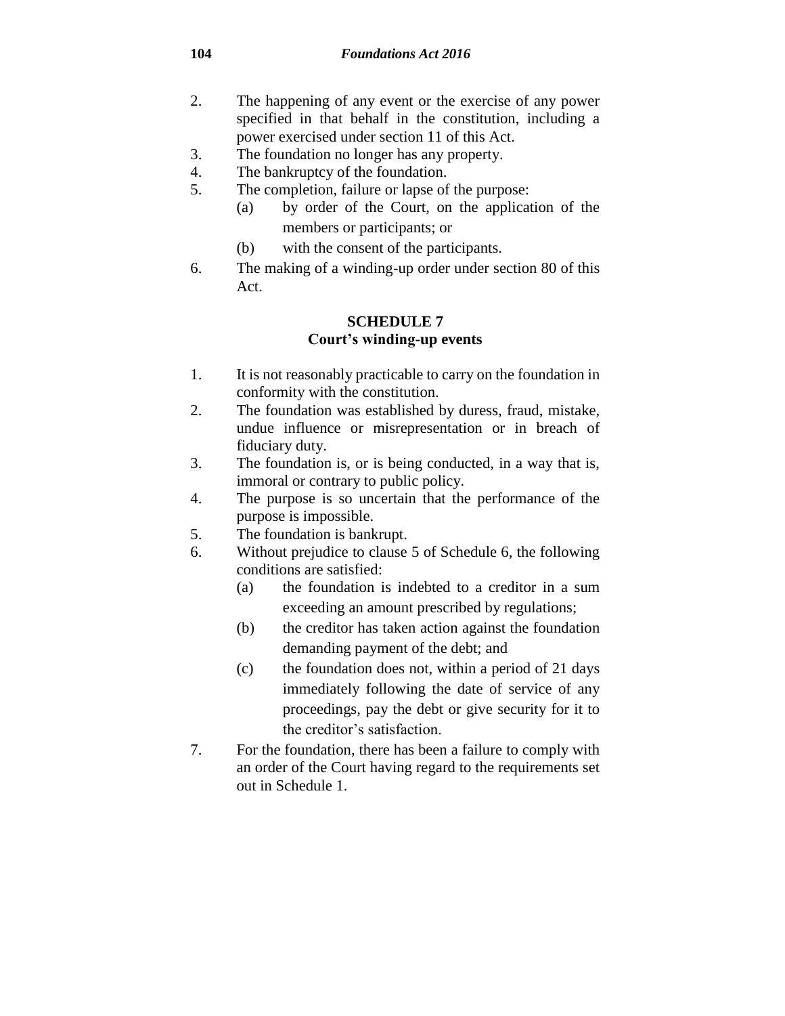- 2. The happening of any event or the exercise of any power specified in that behalf in the constitution, including a power exercised under section 11 of this Act.
- 3. The foundation no longer has any property.
- 4. The bankruptcy of the foundation.
- 5. The completion, failure or lapse of the purpose:
	- (a) by order of the Court, on the application of the members or participants; or
	- (b) with the consent of the participants.
- 6. The making of a winding-up order under section 80 of this Act.

### **SCHEDULE 7 Court's winding-up events**

- 1. It is not reasonably practicable to carry on the foundation in conformity with the constitution.
- 2. The foundation was established by duress, fraud, mistake, undue influence or misrepresentation or in breach of fiduciary duty.
- 3. The foundation is, or is being conducted, in a way that is, immoral or contrary to public policy.
- 4. The purpose is so uncertain that the performance of the purpose is impossible.
- 5. The foundation is bankrupt.
- 6. Without prejudice to clause 5 of Schedule 6, the following conditions are satisfied:
	- (a) the foundation is indebted to a creditor in a sum exceeding an amount prescribed by regulations;
	- (b) the creditor has taken action against the foundation demanding payment of the debt; and
	- (c) the foundation does not, within a period of 21 days immediately following the date of service of any proceedings, pay the debt or give security for it to the creditor's satisfaction.
- 7. For the foundation, there has been a failure to comply with an order of the Court having regard to the requirements set out in Schedule 1.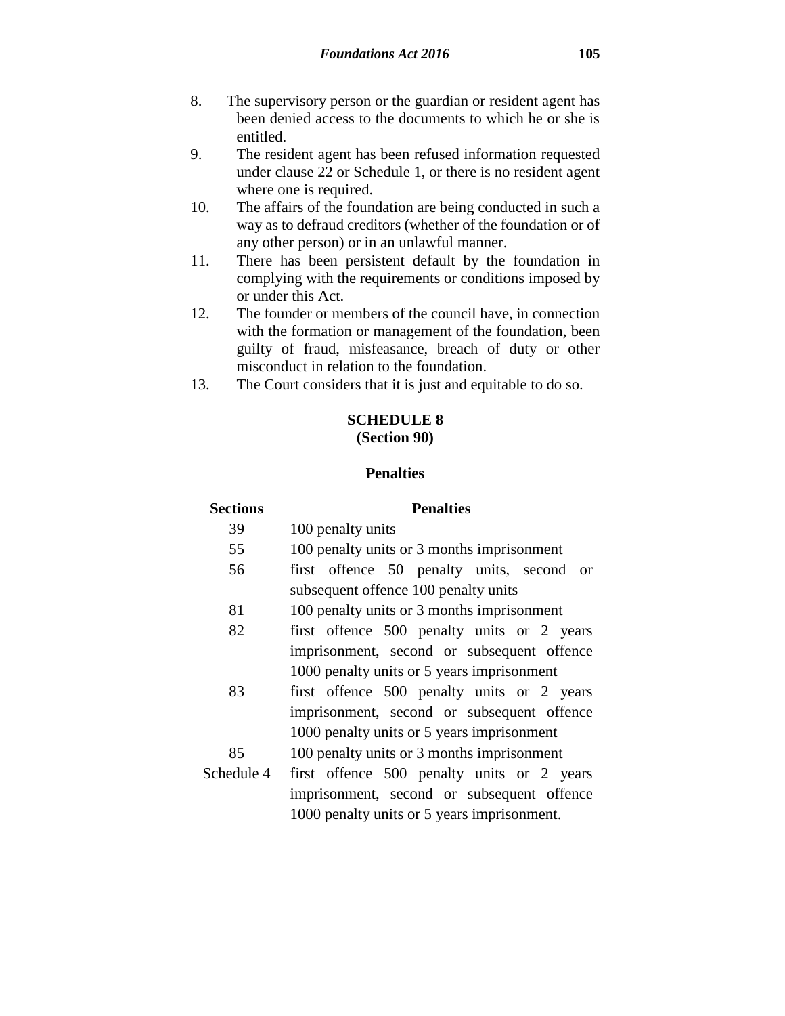- 8. The supervisory person or the guardian or resident agent has been denied access to the documents to which he or she is entitled.
- 9. The resident agent has been refused information requested under clause 22 or Schedule 1, or there is no resident agent where one is required.
- 10. The affairs of the foundation are being conducted in such a way as to defraud creditors (whether of the foundation or of any other person) or in an unlawful manner.
- 11. There has been persistent default by the foundation in complying with the requirements or conditions imposed by or under this Act.
- 12. The founder or members of the council have, in connection with the formation or management of the foundation, been guilty of fraud, misfeasance, breach of duty or other misconduct in relation to the foundation.
- 13. The Court considers that it is just and equitable to do so.

### **SCHEDULE 8 (Section 90)**

### **Penalties**

| <b>Sections</b> | <b>Penalties</b>                            |  |  |
|-----------------|---------------------------------------------|--|--|
| 39              | 100 penalty units                           |  |  |
| 55              | 100 penalty units or 3 months imprisonment  |  |  |
| 56              | first offence 50 penalty units, second or   |  |  |
|                 | subsequent offence 100 penalty units        |  |  |
| 81              | 100 penalty units or 3 months imprisonment  |  |  |
| 82              | first offence 500 penalty units or 2 years  |  |  |
|                 | imprisonment, second or subsequent offence  |  |  |
|                 | 1000 penalty units or 5 years imprisonment  |  |  |
| 83              | first offence 500 penalty units or 2 years  |  |  |
|                 | imprisonment, second or subsequent offence  |  |  |
|                 | 1000 penalty units or 5 years imprisonment  |  |  |
| 85              | 100 penalty units or 3 months imprisonment  |  |  |
| Schedule 4      | first offence 500 penalty units or 2 years  |  |  |
|                 | imprisonment, second or subsequent offence  |  |  |
|                 | 1000 penalty units or 5 years imprisonment. |  |  |